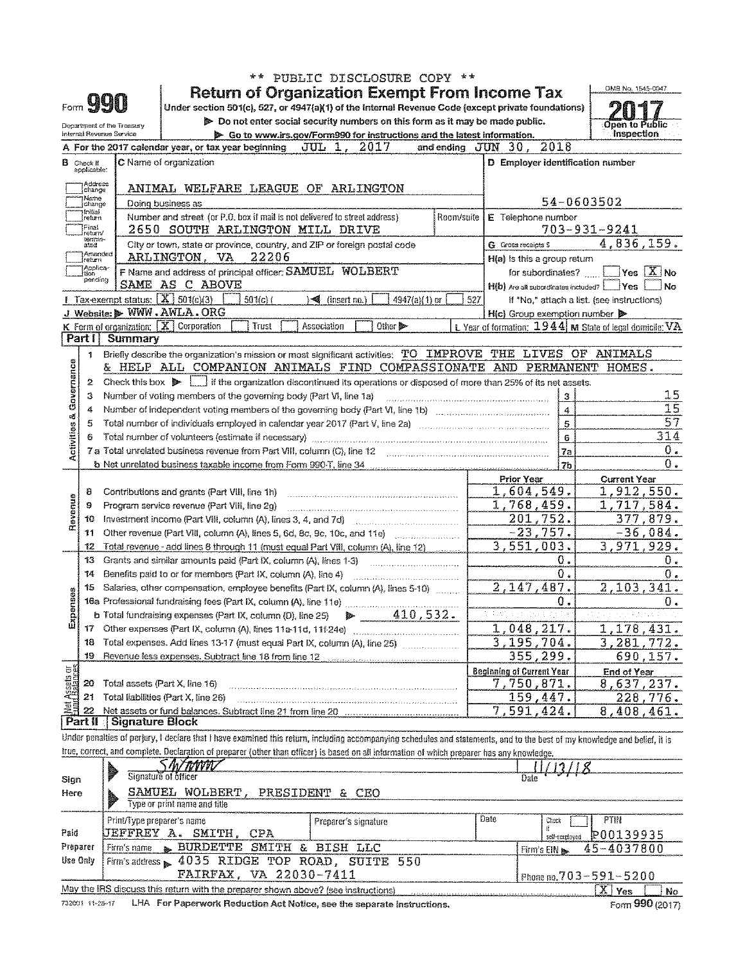|                            |                                  |                                                   | PUBLIC DISCLOSURE COPY **                                                                                                                                                  |                                                             |                                                |
|----------------------------|----------------------------------|---------------------------------------------------|----------------------------------------------------------------------------------------------------------------------------------------------------------------------------|-------------------------------------------------------------|------------------------------------------------|
|                            |                                  |                                                   | <b>Return of Organization Exempt From Income Tax</b>                                                                                                                       |                                                             | OMB No. 1545-0047                              |
| Form <b>YYU</b>            |                                  |                                                   | Under section 501(c), 527, or 4947(a)(1) of the Internal Revenue Code (except private foundations)                                                                         |                                                             |                                                |
| Department of the Treasury |                                  |                                                   | Do not enter social security numbers on this form as it may be made public.                                                                                                |                                                             | Open to Public                                 |
|                            |                                  | Internal Revenue Service                          | Go to www.irs.gov/Form990 for instructions and the latest information.                                                                                                     |                                                             | Inspection                                     |
|                            |                                  |                                                   | A For the 2017 calendar year, or tax year beginning<br>JUL 1,<br>2017                                                                                                      | 2018<br>and ending $JUN = 30$ .                             |                                                |
|                            | <b>B</b> Check if<br>applicable: |                                                   | C Name of organization                                                                                                                                                     | D Employer identification number                            |                                                |
|                            | Address<br>change                |                                                   | ANIMAL WELFARE LEAGUE OF ARLINGTON                                                                                                                                         |                                                             |                                                |
|                            | Name<br>change                   |                                                   | Doing business as                                                                                                                                                          | 54-0603502                                                  |                                                |
|                            | Initial<br>return                |                                                   | Number and street (or P.O. box if mail is not delivered to street address)<br>Room/suite I                                                                                 | E Telephone number                                          |                                                |
|                            | Final<br>return/                 |                                                   | 2650 SOUTH ARLINGTON MILL DRIVE                                                                                                                                            | 703-931-9241                                                |                                                |
|                            | termin-<br>ated                  |                                                   | City or town, state or province, country, and ZIP or foreign postal code                                                                                                   | G Gross receipts \$                                         | 4,836,159.                                     |
|                            | Amended<br>return                |                                                   | ARLINGTON, VA<br>22206                                                                                                                                                     | H(a) is this a group return                                 |                                                |
|                            | Applica-<br> tion                |                                                   | F Name and address of principal officer: SAMUEL WOLBERT                                                                                                                    | for subordinates?                                           | $\mathsf{Yes} \downharpoonright X \mathsf{No}$ |
|                            | pending                          |                                                   | SAME AS C ABOVE                                                                                                                                                            | H(b) Are all subordinates included? [COVES                  | No                                             |
|                            |                                  | Tax-exempt status: $\boxed{\mathbf{X}}$ 501(c)(3) | 501(c)<br>$\sqrt{\frac{4}{\pi}}$ (insert no.)<br>4947(a)(1) or                                                                                                             | 527<br>If "No," attach a list. (see instructions)           |                                                |
|                            |                                  |                                                   | J Website: WWW.AWLA.ORG                                                                                                                                                    | $H(c)$ Group exemption number $\blacktriangleright$         |                                                |
|                            |                                  |                                                   | K Form of organization: X Corporation<br>Other <b>B</b><br>Trust<br>Association                                                                                            | L Year of formation: $1944$ M State of legal domicile: $VA$ |                                                |
|                            | Part I                           | Summary                                           |                                                                                                                                                                            |                                                             |                                                |
|                            | 1                                |                                                   | Briefly describe the organization's mission or most significant activities: TO IMPROVE                                                                                     | THE<br><b>LIVES</b><br>OF                                   | ANIMALS                                        |
|                            |                                  |                                                   | & HELP ALL COMPANION ANIMALS FIND COMPASSIONATE                                                                                                                            | AND<br>PERMANENT                                            | HOMES.                                         |
| Governance                 | 2                                |                                                   | Check this box $\triangleright$ $\perp$ if the organization discontinued its operations or disposed of more than 25% of its net assets.                                    |                                                             |                                                |
|                            | 3                                |                                                   | Number of voting members of the governing body (Part VI, line 1a)                                                                                                          | 3                                                           | 15                                             |
|                            | 4                                |                                                   | Number of independent voting members of the governing body (Part VI, line 1b) [11] [11] [11] [11] [11] [11] [1                                                             | 4                                                           | 15                                             |
| <b>Activities &amp;</b>    | 5                                |                                                   | Total number of individuals employed in calendar year 2017 (Part V, line 2a) manufactured content content content                                                          | 5                                                           | 57                                             |
|                            | 6                                |                                                   | Total number of volunteers (estimate if necessary)                                                                                                                         | G                                                           | 314                                            |
|                            |                                  |                                                   | 7 a Total unrelated business revenue from Part VIII, column (C), line 12                                                                                                   | 7a                                                          | Ο.                                             |
|                            |                                  |                                                   | b Net unrelated business taxable income from Form 990-T, line 34 [100] Met unrelated business and                                                                          | 7 <sub>b</sub>                                              | 0.                                             |
|                            |                                  |                                                   |                                                                                                                                                                            | Prior Year                                                  | <b>Current Year</b>                            |
|                            | 8                                |                                                   | Contributions and grants (Part VIII, line 1h)                                                                                                                              | 1,604,549.                                                  | 1,912,550.                                     |
| Revenue                    | 9                                |                                                   | Program service revenue (Part VIII, line 2g)                                                                                                                               | 1,768,459.                                                  | <u>1,717,584.</u>                              |
|                            | 10                               |                                                   | Investment income (Part VIII, column (A), lines 3, 4, and 7d)                                                                                                              | 201,752.                                                    | 377,879.                                       |
|                            | 11                               |                                                   | Other revenue (Part VIII, column (A), lines 5, 6d, 8c, 9c, 10c, and 11e)                                                                                                   | $-23,757.$                                                  | $-36,084.$                                     |
|                            | 12                               |                                                   | Total revenue - add lines 8 through 11 (must equal Part VIII, column (A), line 12)                                                                                         | 3,551,003.                                                  | 3,971,929.                                     |
|                            | 13                               |                                                   | Grants and similar amounts paid (Part IX, column (A), lines 1-3)                                                                                                           | 0.                                                          | 0.                                             |
|                            | 14                               |                                                   | Benefits paid to or for members (Part IX, column (A), line 4)                                                                                                              | $\overline{0}$ .                                            | $0$ .                                          |
|                            | 15                               |                                                   | Salaries, other compensation, employee benefits (Part IX, column (A), lines 5-10)                                                                                          | 2,147,487.                                                  | 2,103,341.                                     |
| essueu                     |                                  |                                                   |                                                                                                                                                                            | 0.                                                          | 0.                                             |
| Ŵ.                         |                                  |                                                   | 410,532.<br>b Total fundraising expenses (Part IX, column (D), line 25)<br>₩                                                                                               | a paul particular                                           | ч÷                                             |
|                            | 17                               |                                                   |                                                                                                                                                                            | 1,048,217.                                                  | 1,178,431.                                     |
|                            | 18                               |                                                   |                                                                                                                                                                            | <u>3,195,704.</u>                                           | 3,281,<br>772.                                 |
|                            | 19                               |                                                   | Revenue less expenses. Subtract line 18 from line 12 [10] [10] [10] Revenue Revenue Revenue Revenue Revenue Re                                                             | 355,299.                                                    | 690,157.                                       |
| Net Assets or              | 20                               | Total assets (Part X, line 16)                    |                                                                                                                                                                            | <b>Beginning of Current Year</b>                            | <b>End of Year</b>                             |
|                            | 21                               |                                                   | Total liabilities (Part X, line 26)                                                                                                                                        | 7,750,8 <mark>71.</mark>                                    | 8,637,237.                                     |
|                            | 22                               |                                                   |                                                                                                                                                                            | 159, 447.<br>7,591,424.                                     | 228,776.                                       |
|                            | Part II                          | <b>Signature Block</b>                            |                                                                                                                                                                            |                                                             | 8,408,461.                                     |
|                            |                                  |                                                   | Under penalties of perjury, I declare that I have examined this return, including accompanying schedules and statements, and to the best of my knowledge and belief, it is |                                                             |                                                |
|                            |                                  |                                                   | true, correct, and complete. Declaration of preparer (other than officer) is based on all information of which preparer has any knowledge.                                 |                                                             |                                                |
|                            |                                  |                                                   |                                                                                                                                                                            |                                                             |                                                |

| Sign     | Signature of officer                                                                           |                      | Date                                                 |  |  |  |  |  |
|----------|------------------------------------------------------------------------------------------------|----------------------|------------------------------------------------------|--|--|--|--|--|
| Here     | SAMUEL WOLBERT,<br>Type or print name and title                                                | PRESIDENT & CEO      |                                                      |  |  |  |  |  |
| Paid     | Print/Type preparer's name<br>UEFFREY A. SMITH,<br>CPA                                         | Preparer's signature | Date.<br>PTIN<br>Check<br>P00139935<br>self-employed |  |  |  |  |  |
| Preparer | Firm's name SHURDETTE SMITH & BISH LLC                                                         |                      | 45-4037800<br>Firm's EIN                             |  |  |  |  |  |
| Use Only | Firm's address & 4035 RIDGE TOP ROAD, SUITE 550<br>FAIRFAX, VA 22030-7411                      |                      | Phone no. $703 - 591 - 5200$                         |  |  |  |  |  |
|          | May the IRS discuss this return with the preparer shown above? (see instructions)<br>Yes<br>No |                      |                                                      |  |  |  |  |  |

732001 11-28-17 LHA For Paperwork Reduction Act Notice, see the separate instructions.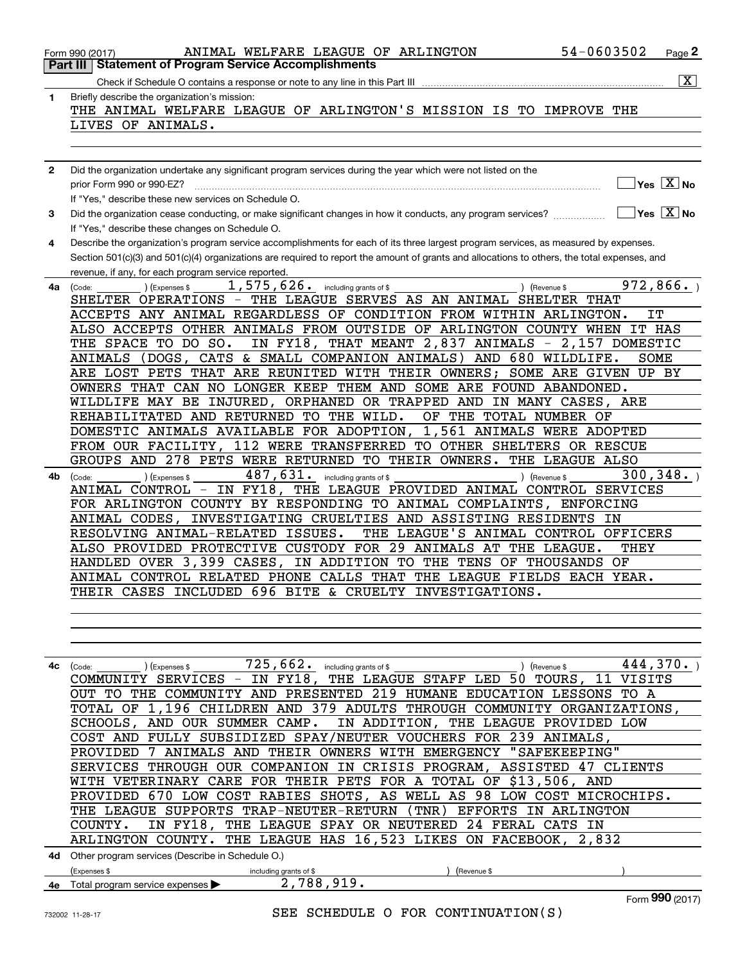|     | 54-0603502<br>ANIMAL WELFARE LEAGUE OF ARLINGTON<br>Page 2<br>Form 990 (2017)                                                                |
|-----|----------------------------------------------------------------------------------------------------------------------------------------------|
|     | <b>Part III Statement of Program Service Accomplishments</b>                                                                                 |
|     | $\boxed{\text{X}}$                                                                                                                           |
| 1   | Briefly describe the organization's mission:                                                                                                 |
|     | THE ANIMAL WELFARE LEAGUE OF ARLINGTON'S MISSION IS TO IMPROVE THE                                                                           |
|     | LIVES OF ANIMALS.                                                                                                                            |
|     |                                                                                                                                              |
|     |                                                                                                                                              |
| 2   | Did the organization undertake any significant program services during the year which were not listed on the                                 |
|     | $Yes \quad X$ No<br>prior Form 990 or 990-EZ?                                                                                                |
|     | If "Yes," describe these new services on Schedule O.                                                                                         |
| 3   |                                                                                                                                              |
|     | If "Yes," describe these changes on Schedule O.                                                                                              |
| 4   | Describe the organization's program service accomplishments for each of its three largest program services, as measured by expenses.         |
|     | Section 501(c)(3) and 501(c)(4) organizations are required to report the amount of grants and allocations to others, the total expenses, and |
|     | revenue, if any, for each program service reported.                                                                                          |
| 4a  | 972,866.<br>$1,575,626$ $\cdot$ including grants of \$<br>) (Expenses \$<br>) (Revenue \$<br>(Code:                                          |
|     | SHELTER OPERATIONS - THE LEAGUE SERVES AS AN ANIMAL SHELTER THAT<br>ACCEPTS ANY ANIMAL REGARDLESS OF CONDITION FROM WITHIN ARLINGTON.<br>IT  |
|     | ALSO ACCEPTS OTHER ANIMALS FROM OUTSIDE OF ARLINGTON COUNTY WHEN IT HAS                                                                      |
|     | THE SPACE TO DO SO.<br>IN FY18, THAT MEANT 2,837 ANIMALS - 2,157 DOMESTIC                                                                    |
|     | ANIMALS (DOGS, CATS & SMALL COMPANION ANIMALS) AND 680 WILDLIFE.<br>SOME                                                                     |
|     | ARE LOST PETS THAT ARE REUNITED WITH THEIR OWNERS; SOME ARE GIVEN UP BY                                                                      |
|     | OWNERS THAT CAN NO LONGER KEEP THEM AND SOME ARE FOUND ABANDONED.                                                                            |
|     | WILDLIFE MAY BE INJURED, ORPHANED OR TRAPPED AND IN MANY CASES, ARE                                                                          |
|     | REHABILITATED AND RETURNED TO THE WILD.<br>OF THE TOTAL NUMBER OF                                                                            |
|     | DOMESTIC ANIMALS AVAILABLE FOR ADOPTION, 1,561 ANIMALS WERE ADOPTED                                                                          |
|     | FROM OUR FACILITY, 112 WERE TRANSFERRED TO OTHER SHELTERS OR RESCUE                                                                          |
|     | GROUPS AND 278 PETS WERE RETURNED TO THEIR OWNERS. THE LEAGUE ALSO                                                                           |
| 4b. | 487, 631. including grants of \$<br>300, 348.<br>(Expenses \$<br>) (Revenue \$<br>(Code:                                                     |
|     | ANIMAL CONTROL - IN FY18, THE LEAGUE PROVIDED ANIMAL CONTROL SERVICES                                                                        |
|     | FOR ARLINGTON COUNTY BY RESPONDING TO ANIMAL COMPLAINTS, ENFORCING                                                                           |
|     | ANIMAL CODES, INVESTIGATING CRUELTIES AND ASSISTING RESIDENTS IN                                                                             |
|     | THE LEAGUE'S ANIMAL CONTROL OFFICERS<br>RESOLVING ANIMAL-RELATED ISSUES.                                                                     |
|     | ALSO PROVIDED PROTECTIVE CUSTODY FOR 29 ANIMALS AT THE LEAGUE.<br>THEY                                                                       |
|     | HANDLED OVER 3,399 CASES, IN ADDITION TO THE TENS OF THOUSANDS OF                                                                            |
|     | ANIMAL CONTROL RELATED PHONE CALLS THAT THE LEAGUE FIELDS EACH YEAR.                                                                         |
|     | THEIR CASES INCLUDED 696 BITE & CRUELTY INVESTIGATIONS.                                                                                      |
|     |                                                                                                                                              |
|     |                                                                                                                                              |
|     |                                                                                                                                              |
|     | $725$ , $662$ . including grants of \$<br>444,370.<br>$4c$ (Code:<br>(Expenses \$<br>) (Revenue \$                                           |
|     | COMMUNITY SERVICES - IN FY18, THE LEAGUE STAFF LED 50 TOURS, 11 VISITS                                                                       |
|     | OUT TO THE COMMUNITY AND PRESENTED 219 HUMANE EDUCATION LESSONS TO A                                                                         |
|     | TOTAL OF 1,196 CHILDREN AND 379 ADULTS THROUGH COMMUNITY ORGANIZATIONS,                                                                      |
|     | SCHOOLS, AND OUR SUMMER CAMP. IN ADDITION, THE LEAGUE PROVIDED LOW                                                                           |
|     | COST AND FULLY SUBSIDIZED SPAY/NEUTER VOUCHERS FOR 239 ANIMALS,                                                                              |
|     | PROVIDED 7 ANIMALS AND THEIR OWNERS WITH EMERGENCY "SAFEKEEPING"                                                                             |
|     | SERVICES THROUGH OUR COMPANION IN CRISIS PROGRAM, ASSISTED 47 CLIENTS                                                                        |
|     | WITH VETERINARY CARE FOR THEIR PETS FOR A TOTAL OF \$13,506, AND                                                                             |
|     | PROVIDED 670 LOW COST RABIES SHOTS, AS WELL AS 98 LOW COST MICROCHIPS.                                                                       |

THE LEAGUE SUPPORTS TRAP-NEUTER-RETURN (TNR) EFFORTS IN ARLINGTON COUNTY. IN FY18, THE LEAGUE SPAY OR NEUTERED 24 FERAL CATS IN ARLINGTON COUNTY. THE LEAGUE HAS 16,523 LIKES ON FACEBOOK, 2,832

|    | <b>4d</b> Other program services (Describe in Schedule O.) |                        |            |  |
|----|------------------------------------------------------------|------------------------|------------|--|
|    | (Expenses \$                                               | including grants of \$ | Revenue \$ |  |
| 4е | Total program service expenses >                           | 700<br>. റ 1 റ         |            |  |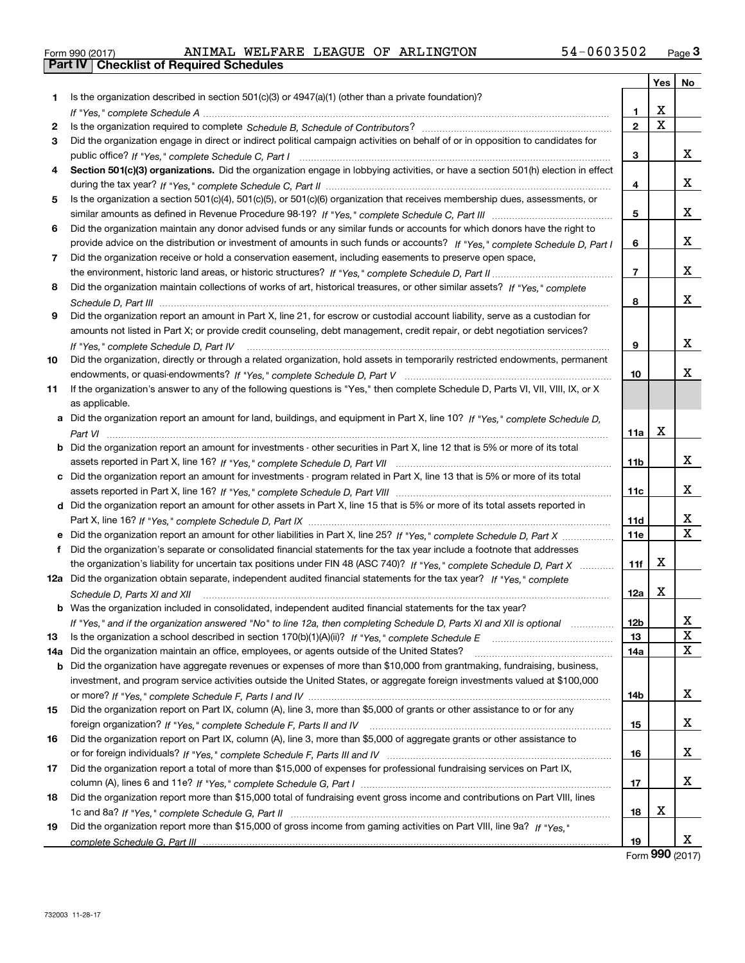|  | Form 990 (2017) |  |
|--|-----------------|--|

|    |                                                                                                                                      |                | Yes | No                            |
|----|--------------------------------------------------------------------------------------------------------------------------------------|----------------|-----|-------------------------------|
| 1. | Is the organization described in section $501(c)(3)$ or $4947(a)(1)$ (other than a private foundation)?                              |                |     |                               |
|    |                                                                                                                                      | 1              | X   |                               |
| 2  |                                                                                                                                      | $\mathbf{2}$   | X   |                               |
| 3  | Did the organization engage in direct or indirect political campaign activities on behalf of or in opposition to candidates for      |                |     |                               |
|    |                                                                                                                                      | 3              |     | x                             |
| 4  | Section 501(c)(3) organizations. Did the organization engage in lobbying activities, or have a section 501(h) election in effect     |                |     |                               |
|    |                                                                                                                                      | 4              |     | x                             |
| 5  | Is the organization a section 501(c)(4), 501(c)(5), or 501(c)(6) organization that receives membership dues, assessments, or         |                |     |                               |
|    |                                                                                                                                      | 5              |     | x                             |
| 6  | Did the organization maintain any donor advised funds or any similar funds or accounts for which donors have the right to            |                |     |                               |
|    | provide advice on the distribution or investment of amounts in such funds or accounts? If "Yes," complete Schedule D, Part I         | 6              |     | x                             |
| 7  | Did the organization receive or hold a conservation easement, including easements to preserve open space,                            |                |     |                               |
|    |                                                                                                                                      | $\overline{7}$ |     | x                             |
| 8  | Did the organization maintain collections of works of art, historical treasures, or other similar assets? If "Yes," complete         |                |     |                               |
|    |                                                                                                                                      | 8              |     | x                             |
| 9  | Did the organization report an amount in Part X, line 21, for escrow or custodial account liability, serve as a custodian for        |                |     |                               |
|    | amounts not listed in Part X; or provide credit counseling, debt management, credit repair, or debt negotiation services?            |                |     |                               |
|    | If "Yes," complete Schedule D, Part IV                                                                                               | 9              |     | x                             |
| 10 | Did the organization, directly or through a related organization, hold assets in temporarily restricted endowments, permanent        |                |     |                               |
|    |                                                                                                                                      | 10             |     | x                             |
| 11 | If the organization's answer to any of the following questions is "Yes," then complete Schedule D, Parts VI, VII, VIII, IX, or X     |                |     |                               |
|    | as applicable.                                                                                                                       |                |     |                               |
|    | a Did the organization report an amount for land, buildings, and equipment in Part X, line 10? If "Yes," complete Schedule D,        |                |     |                               |
|    |                                                                                                                                      | 11a            | X   |                               |
|    | <b>b</b> Did the organization report an amount for investments - other securities in Part X, line 12 that is 5% or more of its total |                |     |                               |
|    | assets reported in Part X, line 16? If "Yes," complete Schedule D, Part VII                                                          | 11b            |     | x                             |
|    | c Did the organization report an amount for investments - program related in Part X, line 13 that is 5% or more of its total         |                |     |                               |
|    |                                                                                                                                      | 11c            |     | x                             |
|    | d Did the organization report an amount for other assets in Part X, line 15 that is 5% or more of its total assets reported in       |                |     |                               |
|    |                                                                                                                                      | 11d            |     | x<br>$\overline{\mathbf{X}}$  |
|    |                                                                                                                                      | <b>11e</b>     |     |                               |
| f  | Did the organization's separate or consolidated financial statements for the tax year include a footnote that addresses              |                |     |                               |
|    | the organization's liability for uncertain tax positions under FIN 48 (ASC 740)? If "Yes," complete Schedule D, Part X               | 11f            | X   |                               |
|    | 12a Did the organization obtain separate, independent audited financial statements for the tax year? If "Yes," complete              |                | X   |                               |
|    | Schedule D, Parts XI and XII                                                                                                         | 12a            |     |                               |
|    | <b>b</b> Was the organization included in consolidated, independent audited financial statements for the tax year?                   |                |     |                               |
|    | If "Yes," and if the organization answered "No" to line 12a, then completing Schedule D, Parts XI and XII is optional                | 12b<br>13      |     | X,<br>$\overline{\textbf{X}}$ |
| 13 | 14a Did the organization maintain an office, employees, or agents outside of the United States?                                      | 14a            |     | $\mathbf X$                   |
|    | <b>b</b> Did the organization have aggregate revenues or expenses of more than \$10,000 from grantmaking, fundraising, business,     |                |     |                               |
|    | investment, and program service activities outside the United States, or aggregate foreign investments valued at \$100,000           |                |     |                               |
|    |                                                                                                                                      | 14b            |     | X                             |
| 15 | Did the organization report on Part IX, column (A), line 3, more than \$5,000 of grants or other assistance to or for any            |                |     |                               |
|    |                                                                                                                                      | 15             |     | X                             |
| 16 | Did the organization report on Part IX, column (A), line 3, more than \$5,000 of aggregate grants or other assistance to             |                |     |                               |
|    |                                                                                                                                      | 16             |     | X                             |
| 17 | Did the organization report a total of more than \$15,000 of expenses for professional fundraising services on Part IX,              |                |     |                               |
|    |                                                                                                                                      | 17             |     | X                             |
| 18 | Did the organization report more than \$15,000 total of fundraising event gross income and contributions on Part VIII, lines         |                |     |                               |
|    |                                                                                                                                      | 18             | X   |                               |
| 19 | Did the organization report more than \$15,000 of gross income from gaming activities on Part VIII, line 9a? If "Yes."               |                |     |                               |
|    |                                                                                                                                      | 19             |     | X                             |

Form (2017) **990**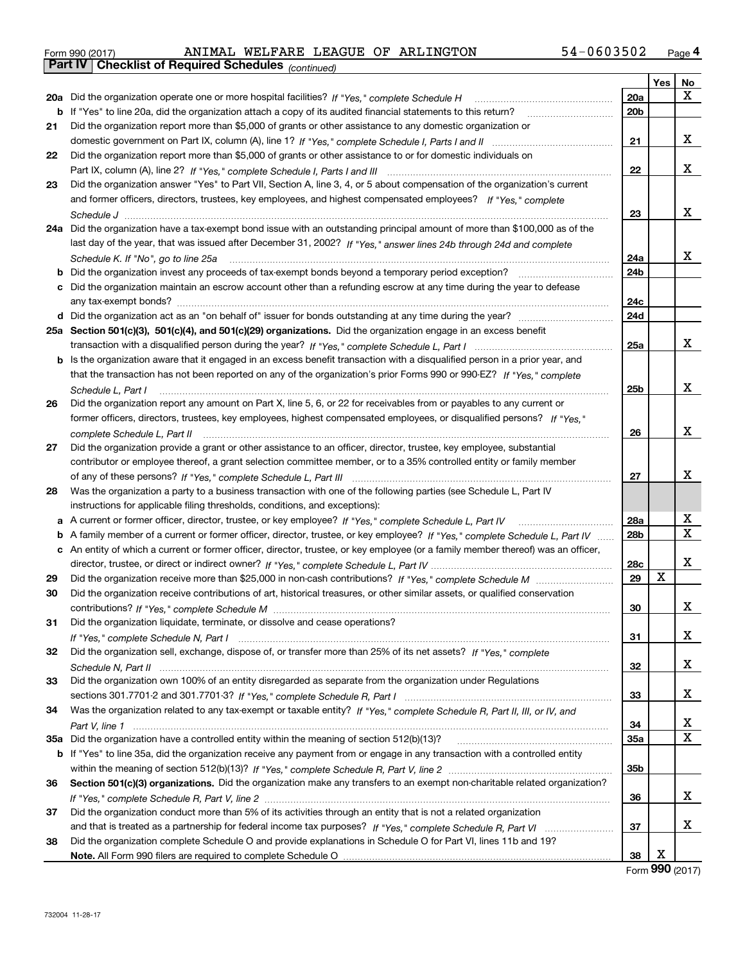| Form 990 (2017) | ANIMAL                                                       |  | WELFARE LEAGUE OF ARLINGTON | $54 - 0603502$ | Page 4 |
|-----------------|--------------------------------------------------------------|--|-----------------------------|----------------|--------|
|                 | <b>Part IV   Checklist of Required Schedules</b> (continued) |  |                             |                |        |

|     |                                                                                                                                 |     | Yes | <u>No</u> |
|-----|---------------------------------------------------------------------------------------------------------------------------------|-----|-----|-----------|
| 20a | Did the organization operate one or more hospital facilities? If "Yes," complete Schedule H                                     | 20a |     | X         |
| b   | If "Yes" to line 20a, did the organization attach a copy of its audited financial statements to this return?                    | 20b |     |           |
| 21  | Did the organization report more than \$5,000 of grants or other assistance to any domestic organization or                     |     |     |           |
|     |                                                                                                                                 | 21  |     | х         |
| 22  | Did the organization report more than \$5,000 of grants or other assistance to or for domestic individuals on                   |     |     |           |
|     |                                                                                                                                 | 22  |     | х         |
| 23  | Did the organization answer "Yes" to Part VII, Section A, line 3, 4, or 5 about compensation of the organization's current      |     |     |           |
|     | and former officers, directors, trustees, key employees, and highest compensated employees? If "Yes," complete                  |     |     |           |
|     |                                                                                                                                 | 23  |     | x         |
| 24a | Did the organization have a tax-exempt bond issue with an outstanding principal amount of more than \$100,000 as of the         |     |     |           |
|     | last day of the year, that was issued after December 31, 2002? If "Yes," answer lines 24b through 24d and complete              |     |     |           |
|     | Schedule K. If "No", go to line 25a                                                                                             | 24a |     | х         |
| b   | Did the organization invest any proceeds of tax-exempt bonds beyond a temporary period exception?                               | 24b |     |           |
|     | Did the organization maintain an escrow account other than a refunding escrow at any time during the year to defease            |     |     |           |
|     |                                                                                                                                 | 24c |     |           |
|     |                                                                                                                                 | 24d |     |           |
|     | 25a Section 501(c)(3), 501(c)(4), and 501(c)(29) organizations. Did the organization engage in an excess benefit                |     |     |           |
|     |                                                                                                                                 | 25a |     | х         |
| b   | Is the organization aware that it engaged in an excess benefit transaction with a disqualified person in a prior year, and      |     |     |           |
|     | that the transaction has not been reported on any of the organization's prior Forms 990 or 990-EZ? If "Yes," complete           |     |     |           |
|     | Schedule L, Part I                                                                                                              | 25b |     | x         |
| 26  | Did the organization report any amount on Part X, line 5, 6, or 22 for receivables from or payables to any current or           |     |     |           |
|     | former officers, directors, trustees, key employees, highest compensated employees, or disqualified persons? If "Yes."          |     |     |           |
|     | complete Schedule L, Part II                                                                                                    | 26  |     | x         |
| 27  | Did the organization provide a grant or other assistance to an officer, director, trustee, key employee, substantial            |     |     |           |
|     | contributor or employee thereof, a grant selection committee member, or to a 35% controlled entity or family member             |     |     |           |
|     |                                                                                                                                 | 27  |     | x         |
| 28  | Was the organization a party to a business transaction with one of the following parties (see Schedule L, Part IV               |     |     |           |
|     | instructions for applicable filing thresholds, conditions, and exceptions):                                                     |     |     |           |
| а   |                                                                                                                                 | 28a |     | х         |
| b   | A family member of a current or former officer, director, trustee, or key employee? If "Yes," complete Schedule L, Part IV      | 28b |     | х         |
| с   | An entity of which a current or former officer, director, trustee, or key employee (or a family member thereof) was an officer, |     |     |           |
|     |                                                                                                                                 | 28c |     | х         |
| 29  |                                                                                                                                 | 29  | X   |           |
| 30  | Did the organization receive contributions of art, historical treasures, or other similar assets, or qualified conservation     |     |     |           |
|     |                                                                                                                                 | 30  |     | х         |
| 31  | Did the organization liquidate, terminate, or dissolve and cease operations?                                                    |     |     |           |
|     |                                                                                                                                 | 31  |     | x         |
| 32  | Did the organization sell, exchange, dispose of, or transfer more than 25% of its net assets? If "Yes," complete                |     |     |           |
|     | Did the organization own 100% of an entity disregarded as separate from the organization under Regulations                      | 32  |     | x         |
| 33  |                                                                                                                                 |     |     | х         |
| 34  |                                                                                                                                 | 33  |     |           |
|     | Was the organization related to any tax-exempt or taxable entity? If "Yes," complete Schedule R, Part II, III, or IV, and       | 34  |     | x         |
|     | 35a Did the organization have a controlled entity within the meaning of section 512(b)(13)?                                     | 35a |     | Х         |
|     | b If "Yes" to line 35a, did the organization receive any payment from or engage in any transaction with a controlled entity     |     |     |           |
|     |                                                                                                                                 | 35b |     |           |
| 36  | Section 501(c)(3) organizations. Did the organization make any transfers to an exempt non-charitable related organization?      |     |     |           |
|     |                                                                                                                                 | 36  |     | х         |
| 37  | Did the organization conduct more than 5% of its activities through an entity that is not a related organization                |     |     |           |
|     |                                                                                                                                 | 37  |     | х         |
| 38  | Did the organization complete Schedule O and provide explanations in Schedule O for Part VI, lines 11b and 19?                  |     |     |           |
|     |                                                                                                                                 | 38  | X   |           |

Form (2017) **990**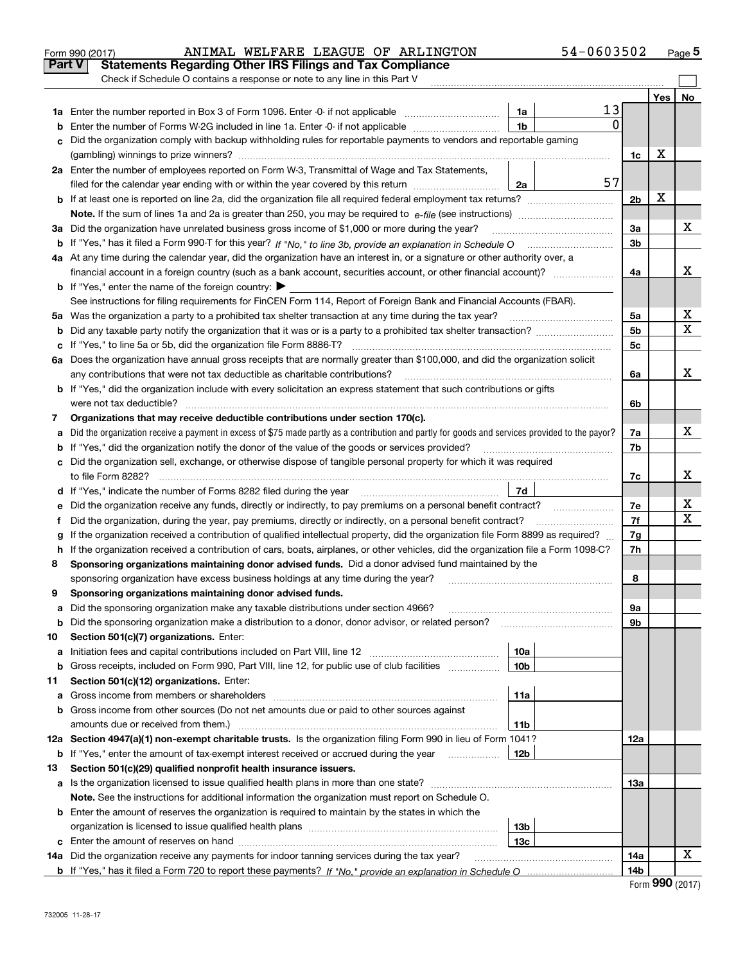|        | ANIMAL WELFARE LEAGUE OF ARLINGTON<br>Form 990 (2017)                                                                                                                                                                          |                 | 54-0603502 |                |       | Page 5 |
|--------|--------------------------------------------------------------------------------------------------------------------------------------------------------------------------------------------------------------------------------|-----------------|------------|----------------|-------|--------|
| Part V | <b>Statements Regarding Other IRS Filings and Tax Compliance</b>                                                                                                                                                               |                 |            |                |       |        |
|        | Check if Schedule O contains a response or note to any line in this Part V                                                                                                                                                     |                 |            |                |       |        |
|        |                                                                                                                                                                                                                                |                 |            |                | Yes l | No     |
|        | 1a Enter the number reported in Box 3 of Form 1096. Enter -0- if not applicable                                                                                                                                                | 1a              | 13         |                |       |        |
| b      | Enter the number of Forms W-2G included in line 1a. Enter -0- if not applicable                                                                                                                                                | 1 <sub>b</sub>  | 0          |                |       |        |
| c      | Did the organization comply with backup withholding rules for reportable payments to vendors and reportable gaming                                                                                                             |                 |            |                |       |        |
|        |                                                                                                                                                                                                                                |                 |            | 1c             | X     |        |
|        | 2a Enter the number of employees reported on Form W-3, Transmittal of Wage and Tax Statements,                                                                                                                                 |                 |            |                |       |        |
|        | filed for the calendar year ending with or within the year covered by this return                                                                                                                                              | 2a              | 57         |                |       |        |
|        |                                                                                                                                                                                                                                |                 |            | 2b             | X     |        |
|        |                                                                                                                                                                                                                                |                 |            |                |       |        |
|        | 3a Did the organization have unrelated business gross income of \$1,000 or more during the year?                                                                                                                               |                 |            | За             |       | x      |
|        |                                                                                                                                                                                                                                |                 |            | 3 <sub>b</sub> |       |        |
|        | 4a At any time during the calendar year, did the organization have an interest in, or a signature or other authority over, a                                                                                                   |                 |            |                |       |        |
|        | financial account in a foreign country (such as a bank account, securities account, or other financial account)?                                                                                                               |                 |            | 4a             |       | х      |
|        | <b>b</b> If "Yes," enter the name of the foreign country: $\blacktriangleright$                                                                                                                                                |                 |            |                |       |        |
|        | See instructions for filing requirements for FinCEN Form 114, Report of Foreign Bank and Financial Accounts (FBAR).                                                                                                            |                 |            |                |       |        |
|        | 5a Was the organization a party to a prohibited tax shelter transaction at any time during the tax year?                                                                                                                       |                 |            | 5a             |       | x      |
|        |                                                                                                                                                                                                                                |                 |            | 5 <sub>b</sub> |       | X      |
|        |                                                                                                                                                                                                                                |                 |            | 5c             |       |        |
|        | 6a Does the organization have annual gross receipts that are normally greater than \$100,000, and did the organization solicit                                                                                                 |                 |            |                |       |        |
|        | any contributions that were not tax deductible as charitable contributions?                                                                                                                                                    |                 |            | 6a             |       | x      |
|        | b If "Yes," did the organization include with every solicitation an express statement that such contributions or gifts                                                                                                         |                 |            |                |       |        |
|        |                                                                                                                                                                                                                                |                 |            | 6b             |       |        |
| 7      | Organizations that may receive deductible contributions under section 170(c).                                                                                                                                                  |                 |            | 7a             |       | x      |
| a      | Did the organization receive a payment in excess of \$75 made partly as a contribution and partly for goods and services provided to the payor?                                                                                |                 |            |                |       |        |
|        | <b>b</b> If "Yes," did the organization notify the donor of the value of the goods or services provided?                                                                                                                       |                 |            |                |       |        |
|        | c Did the organization sell, exchange, or otherwise dispose of tangible personal property for which it was required                                                                                                            |                 |            |                |       |        |
|        |                                                                                                                                                                                                                                |                 |            | 7c             |       | х      |
|        | d If "Yes," indicate the number of Forms 8282 filed during the year manufactured in the set of the set of the set of the set of the set of the set of the set of the set of the set of the set of the set of the set of the se | 7d              |            |                |       |        |
| е      |                                                                                                                                                                                                                                |                 |            | 7e             |       | X      |
| f.     | Did the organization, during the year, pay premiums, directly or indirectly, on a personal benefit contract?                                                                                                                   |                 |            | 7f             |       | X      |
| g      | If the organization received a contribution of qualified intellectual property, did the organization file Form 8899 as required?                                                                                               |                 |            | 7g             |       |        |
|        | h If the organization received a contribution of cars, boats, airplanes, or other vehicles, did the organization file a Form 1098-C?                                                                                           |                 |            | 7h             |       |        |
| 8      | Sponsoring organizations maintaining donor advised funds. Did a donor advised fund maintained by the                                                                                                                           |                 |            |                |       |        |
|        | sponsoring organization have excess business holdings at any time during the year?                                                                                                                                             |                 |            | 8              |       |        |
|        | Sponsoring organizations maintaining donor advised funds.                                                                                                                                                                      |                 |            |                |       |        |
| а      | Did the sponsoring organization make any taxable distributions under section 4966?                                                                                                                                             |                 |            | 9а             |       |        |
| b      | Did the sponsoring organization make a distribution to a donor, donor advisor, or related person?                                                                                                                              |                 |            | 9b             |       |        |
| 10     | Section 501(c)(7) organizations. Enter:                                                                                                                                                                                        |                 |            |                |       |        |
| а      | Initiation fees and capital contributions included on Part VIII, line 12 [[[[[[[[[[[[[[[[[[[[[[[[[[[[[[[[]]]]]                                                                                                                 | 10a             |            |                |       |        |
| b      | Gross receipts, included on Form 990, Part VIII, line 12, for public use of club facilities                                                                                                                                    | 10 <sub>b</sub> |            |                |       |        |
| 11     | Section 501(c)(12) organizations. Enter:                                                                                                                                                                                       |                 |            |                |       |        |
| a      |                                                                                                                                                                                                                                | 11a             |            |                |       |        |
|        | b Gross income from other sources (Do not net amounts due or paid to other sources against                                                                                                                                     |                 |            |                |       |        |
|        | amounts due or received from them.)                                                                                                                                                                                            | 11b             |            |                |       |        |
|        | 12a Section 4947(a)(1) non-exempt charitable trusts. Is the organization filing Form 990 in lieu of Form 1041?                                                                                                                 |                 |            | 12a            |       |        |
|        | <b>b</b> If "Yes," enter the amount of tax-exempt interest received or accrued during the year                                                                                                                                 | 12 <sub>b</sub> |            |                |       |        |
| 13     | Section 501(c)(29) qualified nonprofit health insurance issuers.                                                                                                                                                               |                 |            |                |       |        |
|        | a Is the organization licensed to issue qualified health plans in more than one state?                                                                                                                                         |                 |            | 13a            |       |        |
|        | Note. See the instructions for additional information the organization must report on Schedule O.                                                                                                                              |                 |            |                |       |        |
|        | <b>b</b> Enter the amount of reserves the organization is required to maintain by the states in which the                                                                                                                      |                 |            |                |       |        |
|        |                                                                                                                                                                                                                                | 13 <sub>b</sub> |            |                |       |        |
|        |                                                                                                                                                                                                                                | 13 <sub>c</sub> |            |                |       |        |
|        | 14a Did the organization receive any payments for indoor tanning services during the tax year?                                                                                                                                 |                 |            | 14a            |       | x      |
|        |                                                                                                                                                                                                                                |                 |            | 14b            |       |        |

| Form 990 (2017) |  |  |
|-----------------|--|--|
|-----------------|--|--|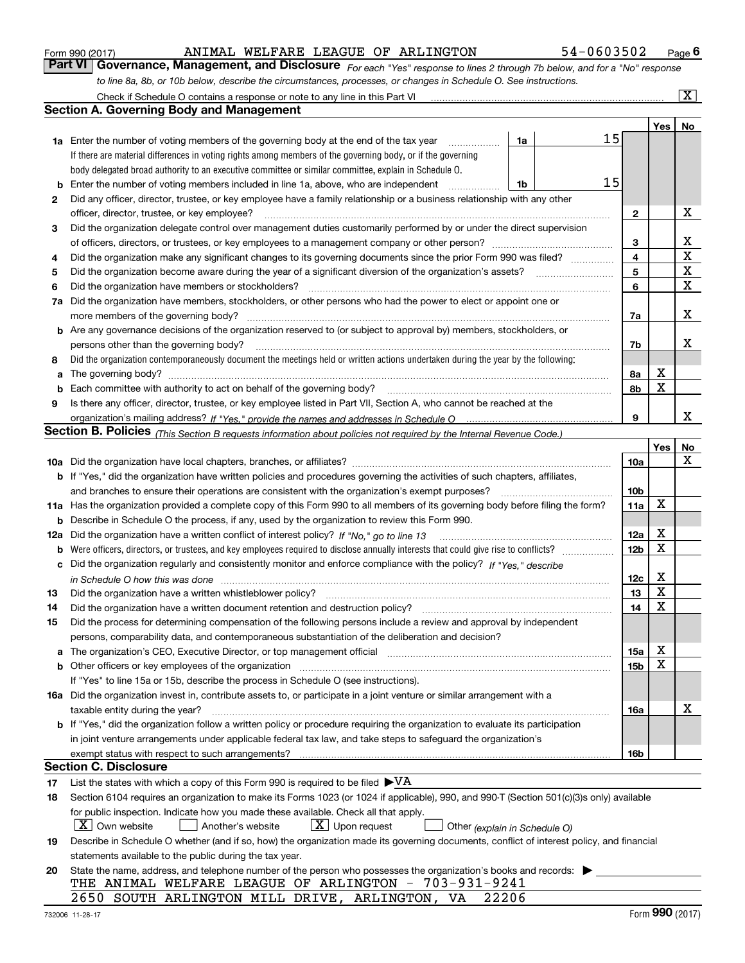|  | Form 990 (2017) |
|--|-----------------|
|  |                 |

### ANIMAL WELFARE LEAGUE OF ARLINGTON 54-0603502

*For each "Yes" response to lines 2 through 7b below, and for a "No" response to line 8a, 8b, or 10b below, describe the circumstances, processes, or changes in Schedule O. See instructions.* Form 990 (2017) **ANIMAL WELFARE LEAGUE OF ARLINGTON** 54-0603502 Page 6<br>**Part VI Governance, Management, and Disclosure** *For each "Yes" response to lines 2 through 7b below, and for a "No" response* 

|    | Check if Schedule O contains a response or note to any line in this Part VI                                                                                           |                               |    |                 |     | $\boxed{\text{X}}$ |
|----|-----------------------------------------------------------------------------------------------------------------------------------------------------------------------|-------------------------------|----|-----------------|-----|--------------------|
|    | Section A. Governing Body and Management                                                                                                                              |                               |    |                 |     |                    |
|    |                                                                                                                                                                       |                               |    |                 | Yes | No                 |
|    | 1a Enter the number of voting members of the governing body at the end of the tax year                                                                                | 1a                            | 15 |                 |     |                    |
|    | If there are material differences in voting rights among members of the governing body, or if the governing                                                           |                               |    |                 |     |                    |
|    | body delegated broad authority to an executive committee or similar committee, explain in Schedule O.                                                                 |                               |    |                 |     |                    |
| b  | Enter the number of voting members included in line 1a, above, who are independent                                                                                    | 1b                            | 15 |                 |     |                    |
| 2  | Did any officer, director, trustee, or key employee have a family relationship or a business relationship with any other                                              |                               |    |                 |     |                    |
|    | officer, director, trustee, or key employee?                                                                                                                          |                               | .  | 2               |     | х                  |
| 3  | Did the organization delegate control over management duties customarily performed by or under the direct supervision                                                 |                               |    |                 |     |                    |
|    |                                                                                                                                                                       |                               |    | 3               |     | х                  |
| 4  | Did the organization make any significant changes to its governing documents since the prior Form 990 was filed?                                                      |                               |    | 4               |     | $\mathbf X$        |
| 5  |                                                                                                                                                                       |                               |    | 5               |     | $\mathbf X$        |
| 6  | Did the organization have members or stockholders?                                                                                                                    |                               |    | 6               |     | $\mathbf X$        |
| 7a | Did the organization have members, stockholders, or other persons who had the power to elect or appoint one or                                                        |                               |    |                 |     |                    |
|    | more members of the governing body?                                                                                                                                   |                               |    | 7a              |     | х                  |
|    | <b>b</b> Are any governance decisions of the organization reserved to (or subject to approval by) members, stockholders, or                                           |                               |    |                 |     |                    |
|    | persons other than the governing body?                                                                                                                                |                               |    | 7b              |     | х                  |
| 8  | Did the organization contemporaneously document the meetings held or written actions undertaken during the year by the following:                                     |                               |    |                 |     |                    |
| a  |                                                                                                                                                                       |                               |    | 8a              | Х   |                    |
| b  |                                                                                                                                                                       |                               |    | 8b              | X   |                    |
| 9  | Is there any officer, director, trustee, or key employee listed in Part VII, Section A, who cannot be reached at the                                                  |                               |    |                 |     |                    |
|    |                                                                                                                                                                       |                               |    | 9               |     | x                  |
|    | <b>Section B. Policies</b> (This Section B requests information about policies not required by the Internal Revenue Code.)                                            |                               |    |                 |     |                    |
|    |                                                                                                                                                                       |                               |    |                 | Yes | No                 |
|    |                                                                                                                                                                       |                               |    | 10a             |     | x                  |
|    | <b>b</b> If "Yes," did the organization have written policies and procedures governing the activities of such chapters, affiliates,                                   |                               |    |                 |     |                    |
|    | and branches to ensure their operations are consistent with the organization's exempt purposes?                                                                       |                               |    | 10 <sub>b</sub> |     |                    |
|    | 11a Has the organization provided a complete copy of this Form 990 to all members of its governing body before filing the form?                                       |                               |    | 11a             | X   |                    |
| b  | Describe in Schedule O the process, if any, used by the organization to review this Form 990.                                                                         |                               |    |                 |     |                    |
|    | 12a Did the organization have a written conflict of interest policy? If "No," go to line 13                                                                           |                               |    | 12a             | х   |                    |
| b  |                                                                                                                                                                       |                               |    | 12 <sub>b</sub> | X   |                    |
|    | c Did the organization regularly and consistently monitor and enforce compliance with the policy? If "Yes," describe                                                  |                               |    |                 |     |                    |
|    | in Schedule O how this was done www.communication.com/www.communications.com/www.communications.com/                                                                  |                               |    | 12c             | х   |                    |
| 13 | Did the organization have a written whistleblower policy?                                                                                                             |                               |    | 13              | X   |                    |
| 14 | Did the organization have a written document retention and destruction policy?                                                                                        |                               |    | 14              | X   |                    |
| 15 | Did the process for determining compensation of the following persons include a review and approval by independent                                                    |                               |    |                 |     |                    |
|    | persons, comparability data, and contemporaneous substantiation of the deliberation and decision?                                                                     |                               |    |                 |     |                    |
|    | The organization's CEO, Executive Director, or top management official manufactured content of the organization's CEO, Executive Director, or top management official |                               |    | 15a             | х   |                    |
| a  | <b>b</b> Other officers or key employees of the organization                                                                                                          |                               |    | 15b             | x   |                    |
|    | If "Yes" to line 15a or 15b, describe the process in Schedule O (see instructions).                                                                                   |                               |    |                 |     |                    |
|    | 16a Did the organization invest in, contribute assets to, or participate in a joint venture or similar arrangement with a                                             |                               |    |                 |     |                    |
|    | taxable entity during the year?                                                                                                                                       |                               |    | 16a             |     | х                  |
|    | b If "Yes," did the organization follow a written policy or procedure requiring the organization to evaluate its participation                                        |                               |    |                 |     |                    |
|    | in joint venture arrangements under applicable federal tax law, and take steps to safeguard the organization's                                                        |                               |    |                 |     |                    |
|    | exempt status with respect to such arrangements?                                                                                                                      |                               |    | 16b             |     |                    |
|    | <b>Section C. Disclosure</b>                                                                                                                                          |                               |    |                 |     |                    |
| 17 | List the states with which a copy of this Form 990 is required to be filed $\blacktriangleright\text{VA}$                                                             |                               |    |                 |     |                    |
| 18 | Section 6104 requires an organization to make its Forms 1023 (or 1024 if applicable), 990, and 990-T (Section 501(c)(3)s only) available                              |                               |    |                 |     |                    |
|    | for public inspection. Indicate how you made these available. Check all that apply.                                                                                   |                               |    |                 |     |                    |
|    | $X$ Own website<br>$X$ Upon request<br>Another's website                                                                                                              | Other (explain in Schedule O) |    |                 |     |                    |
| 19 | Describe in Schedule O whether (and if so, how) the organization made its governing documents, conflict of interest policy, and financial                             |                               |    |                 |     |                    |
|    | statements available to the public during the tax year.                                                                                                               |                               |    |                 |     |                    |
| 20 | State the name, address, and telephone number of the person who possesses the organization's books and records:                                                       |                               |    |                 |     |                    |
|    | THE ANIMAL WELFARE LEAGUE OF ARLINGTON - 703-931-9241                                                                                                                 |                               |    |                 |     |                    |
|    | 2650 SOUTH ARLINGTON MILL DRIVE, ARLINGTON, VA<br>22206                                                                                                               |                               |    |                 |     |                    |
|    |                                                                                                                                                                       |                               |    |                 |     |                    |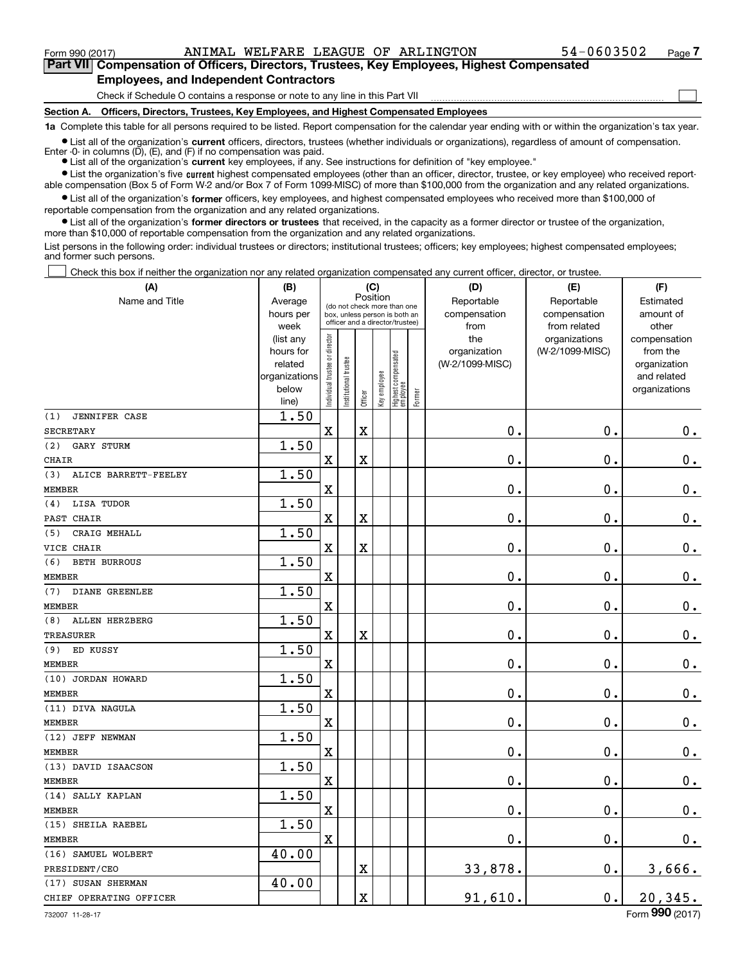$\mathcal{L}^{\text{max}}$ 

**7Part VII Compensation of Officers, Directors, Trustees, Key Employees, Highest Compensated Employees, and Independent Contractors**

Check if Schedule O contains a response or note to any line in this Part VII

**Section A. Officers, Directors, Trustees, Key Employees, and Highest Compensated Employees**

**1a**  Complete this table for all persons required to be listed. Report compensation for the calendar year ending with or within the organization's tax year.

**•** List all of the organization's current officers, directors, trustees (whether individuals or organizations), regardless of amount of compensation. Enter -0- in columns  $(D)$ ,  $(E)$ , and  $(F)$  if no compensation was paid.

● List all of the organization's **current** key employees, if any. See instructions for definition of "key employee."

**•** List the organization's five current highest compensated employees (other than an officer, director, trustee, or key employee) who received reportable compensation (Box 5 of Form W-2 and/or Box 7 of Form 1099-MISC) of more than \$100,000 from the organization and any related organizations.

 $\bullet$  List all of the organization's **former** officers, key employees, and highest compensated employees who received more than \$100,000 of reportable compensation from the organization and any related organizations.

**•** List all of the organization's former directors or trustees that received, in the capacity as a former director or trustee of the organization, more than \$10,000 of reportable compensation from the organization and any related organizations.

List persons in the following order: individual trustees or directors; institutional trustees; officers; key employees; highest compensated employees; and former such persons.

Check this box if neither the organization nor any related organization compensated any current officer, director, or trustee.  $\mathcal{L}^{\text{max}}$ 

| (A)                          | (B)               |                               |                                                                          | (C)                     |              |                                   |        | (D)                  | (E)                          | (F)                |
|------------------------------|-------------------|-------------------------------|--------------------------------------------------------------------------|-------------------------|--------------|-----------------------------------|--------|----------------------|------------------------------|--------------------|
| Name and Title               | Average           |                               | Position<br>(do not check more than one<br>box, unless person is both an |                         |              |                                   |        | Reportable           | Reportable                   | Estimated          |
|                              | hours per<br>week |                               |                                                                          |                         |              | officer and a director/trustee)   |        | compensation<br>from | compensation<br>from related | amount of<br>other |
|                              | (list any         |                               |                                                                          |                         |              |                                   |        | the                  | organizations                | compensation       |
|                              | hours for         |                               |                                                                          |                         |              |                                   |        | organization         | (W-2/1099-MISC)              | from the           |
|                              | related           |                               |                                                                          |                         |              |                                   |        | (W-2/1099-MISC)      |                              | organization       |
|                              | organizations     |                               |                                                                          |                         |              |                                   |        |                      |                              | and related        |
|                              | below             | ndividual trustee or director | nstitutional trustee                                                     | Officer                 | Key employee | Highest compensated<br>  employee | Former |                      |                              | organizations      |
| <b>JENNIFER CASE</b><br>(1)  | line)<br>1.50     |                               |                                                                          |                         |              |                                   |        |                      |                              |                    |
| <b>SECRETARY</b>             |                   | X                             |                                                                          | $\overline{\textbf{X}}$ |              |                                   |        | 0.                   | 0.                           | $0_{.}$            |
| (2)<br><b>GARY STURM</b>     | 1.50              |                               |                                                                          |                         |              |                                   |        |                      |                              |                    |
| <b>CHAIR</b>                 |                   | X                             |                                                                          | $\overline{\textbf{X}}$ |              |                                   |        | 0.                   | 0.                           | $\mathbf 0$ .      |
| ALICE BARRETT-FEELEY<br>(3)  | 1.50              |                               |                                                                          |                         |              |                                   |        |                      |                              |                    |
| <b>MEMBER</b>                |                   | X                             |                                                                          |                         |              |                                   |        | $\mathbf 0$ .        | $\mathbf 0$ .                | $\mathbf 0$ .      |
| LISA TUDOR<br>(4)            | 1.50              |                               |                                                                          |                         |              |                                   |        |                      |                              |                    |
| PAST CHAIR                   |                   | $\mathbf x$                   |                                                                          | $\overline{\text{X}}$   |              |                                   |        | 0.                   | 0.                           | $0_{.}$            |
| (5)<br>CRAIG MEHALL          | 1.50              |                               |                                                                          |                         |              |                                   |        |                      |                              |                    |
| VICE CHAIR                   |                   | $\overline{\text{X}}$         |                                                                          | $\overline{\textbf{X}}$ |              |                                   |        | 0.                   | 0.                           | $0_{.}$            |
| (6)<br><b>BETH BURROUS</b>   | 1.50              |                               |                                                                          |                         |              |                                   |        |                      |                              |                    |
| <b>MEMBER</b>                |                   | X                             |                                                                          |                         |              |                                   |        | 0.                   | 0.                           | $0_{.}$            |
| (7)<br><b>DIANE GREENLEE</b> | 1.50              |                               |                                                                          |                         |              |                                   |        |                      |                              |                    |
| <b>MEMBER</b>                |                   | $\mathbf X$                   |                                                                          |                         |              |                                   |        | 0.                   | 0.                           | $0_{.}$            |
| (8)<br><b>ALLEN HERZBERG</b> | 1.50              |                               |                                                                          |                         |              |                                   |        |                      |                              |                    |
| <b>TREASURER</b>             |                   | $\overline{\textbf{X}}$       |                                                                          | $\overline{\textbf{X}}$ |              |                                   |        | 0.                   | $\mathbf 0$ .                | $\mathbf 0$ .      |
| ED KUSSY<br>(9)              | 1.50              |                               |                                                                          |                         |              |                                   |        |                      |                              |                    |
| <b>MEMBER</b>                |                   | X                             |                                                                          |                         |              |                                   |        | 0.                   | $\mathbf 0$ .                | $0_{.}$            |
| (10) JORDAN HOWARD           | 1.50              |                               |                                                                          |                         |              |                                   |        |                      |                              |                    |
| <b>MEMBER</b>                |                   | $\overline{\textbf{X}}$       |                                                                          |                         |              |                                   |        | 0.                   | $\mathbf 0$ .                | $\mathbf 0$ .      |
| (11) DIVA NAGULA             | 1.50              |                               |                                                                          |                         |              |                                   |        |                      |                              |                    |
| <b>MEMBER</b>                |                   | X                             |                                                                          |                         |              |                                   |        | 0.                   | $\mathbf 0$ .                | $0_{.}$            |
| (12) JEFF NEWMAN             | 1.50              |                               |                                                                          |                         |              |                                   |        |                      |                              |                    |
| <b>MEMBER</b>                |                   | X                             |                                                                          |                         |              |                                   |        | 0.                   | $\mathbf 0$ .                | $\mathbf 0$ .      |
| (13) DAVID ISAACSON          | 1.50              |                               |                                                                          |                         |              |                                   |        |                      |                              |                    |
| <b>MEMBER</b>                |                   | X                             |                                                                          |                         |              |                                   |        | $0$ .                | $\mathbf 0$ .                | $0_{.}$            |
| (14) SALLY KAPLAN            | 1.50              |                               |                                                                          |                         |              |                                   |        |                      |                              |                    |
| <b>MEMBER</b>                |                   | X                             |                                                                          |                         |              |                                   |        | 0.                   | 0.                           | $\mathbf 0$ .      |
| (15) SHEILA RAEBEL           | 1.50              |                               |                                                                          |                         |              |                                   |        |                      |                              |                    |
| <b>MEMBER</b>                |                   | X                             |                                                                          |                         |              |                                   |        | 0.                   | 0.                           | 0.                 |
| (16) SAMUEL WOLBERT          | 40.00             |                               |                                                                          |                         |              |                                   |        |                      |                              |                    |
| PRESIDENT/CEO                |                   |                               |                                                                          | $\overline{\mathbf{X}}$ |              |                                   |        | 33,878.              | 0.                           | 3,666.             |
| (17) SUSAN SHERMAN           | 40.00             |                               |                                                                          |                         |              |                                   |        |                      |                              |                    |
| CHIEF OPERATING OFFICER      |                   |                               |                                                                          | X                       |              |                                   |        | 91,610.              | 0.                           | 20, 345.           |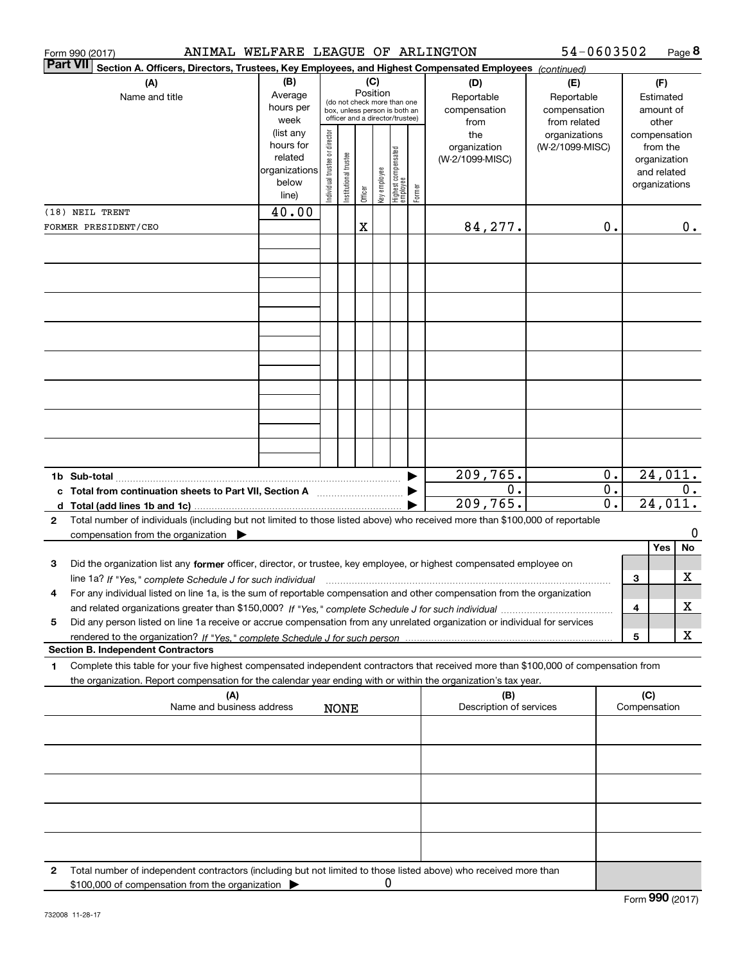|              | Form 990 (2017) |                                                                                                                                                                                          | ANIMAL WELFARE LEAGUE OF ARLINGTON                                   |                                |                       |          |              |                                                                                                 |        |                                           | 54-0603502                                        |                           |                     |                                                                          | Page 8           |
|--------------|-----------------|------------------------------------------------------------------------------------------------------------------------------------------------------------------------------------------|----------------------------------------------------------------------|--------------------------------|-----------------------|----------|--------------|-------------------------------------------------------------------------------------------------|--------|-------------------------------------------|---------------------------------------------------|---------------------------|---------------------|--------------------------------------------------------------------------|------------------|
|              | <b>Part VII</b> | Section A. Officers, Directors, Trustees, Key Employees, and Highest Compensated Employees (continued)                                                                                   |                                                                      |                                |                       |          |              |                                                                                                 |        |                                           |                                                   |                           |                     |                                                                          |                  |
|              |                 | (A)<br>Name and title                                                                                                                                                                    | (B)<br>Average<br>hours per<br>week                                  |                                |                       | Position | (C)          | (do not check more than one<br>box, unless person is both an<br>officer and a director/trustee) |        | (D)<br>Reportable<br>compensation<br>from | (E)<br>Reportable<br>compensation<br>from related |                           |                     | (F)<br>Estimated<br>amount of<br>other                                   |                  |
|              |                 |                                                                                                                                                                                          | (list any<br>hours for<br>related<br>organizations<br>below<br>line) | Individual trustee or director | Institutional trustee | Officer  | key employee | Highest compensated<br> employee                                                                | Former | the<br>organization<br>(W-2/1099-MISC)    | organizations<br>(W-2/1099-MISC)                  |                           |                     | compensation<br>from the<br>organization<br>and related<br>organizations |                  |
|              | (18) NEIL TRENT |                                                                                                                                                                                          | 40.00                                                                |                                |                       |          |              |                                                                                                 |        |                                           |                                                   |                           |                     |                                                                          |                  |
|              |                 | FORMER PRESIDENT/CEO                                                                                                                                                                     |                                                                      |                                |                       | X        |              |                                                                                                 |        | 84, 277.                                  |                                                   | 0.                        |                     |                                                                          | $0$ .            |
|              |                 |                                                                                                                                                                                          |                                                                      |                                |                       |          |              |                                                                                                 |        |                                           |                                                   |                           |                     |                                                                          |                  |
|              |                 |                                                                                                                                                                                          |                                                                      |                                |                       |          |              |                                                                                                 |        |                                           |                                                   |                           |                     |                                                                          |                  |
|              |                 |                                                                                                                                                                                          |                                                                      |                                |                       |          |              |                                                                                                 |        |                                           |                                                   |                           |                     |                                                                          |                  |
|              |                 |                                                                                                                                                                                          |                                                                      |                                |                       |          |              |                                                                                                 |        |                                           |                                                   |                           |                     |                                                                          |                  |
|              |                 | c Total from continuation sheets to Part VII, Section A                                                                                                                                  |                                                                      |                                |                       |          |              |                                                                                                 |        | 209,765.<br>0.                            |                                                   | $0$ .<br>$\overline{0}$ . |                     |                                                                          | 24,011.<br>$0$ . |
|              |                 |                                                                                                                                                                                          |                                                                      |                                |                       |          |              |                                                                                                 |        | 209,765.                                  |                                                   | $\overline{0}$ .          |                     | 24,011.                                                                  |                  |
| $\mathbf{2}$ |                 | Total number of individuals (including but not limited to those listed above) who received more than \$100,000 of reportable<br>compensation from the organization $\blacktriangleright$ |                                                                      |                                |                       |          |              |                                                                                                 |        |                                           |                                                   |                           |                     |                                                                          | 0                |
| 3            |                 | Did the organization list any former officer, director, or trustee, key employee, or highest compensated employee on                                                                     |                                                                      |                                |                       |          |              |                                                                                                 |        |                                           |                                                   |                           |                     | Yes                                                                      | No               |
|              |                 | line 1a? If "Yes," complete Schedule J for such individual manufactured contained and the 1a? If "Yes," complete Schedule J for such individual                                          |                                                                      |                                |                       |          |              |                                                                                                 |        |                                           |                                                   |                           | 3                   |                                                                          | X                |
|              |                 | For any individual listed on line 1a, is the sum of reportable compensation and other compensation from the organization                                                                 |                                                                      |                                |                       |          |              |                                                                                                 |        |                                           |                                                   |                           | 4                   |                                                                          | х                |
| 5            |                 | Did any person listed on line 1a receive or accrue compensation from any unrelated organization or individual for services                                                               |                                                                      |                                |                       |          |              |                                                                                                 |        |                                           |                                                   |                           |                     |                                                                          |                  |
|              |                 |                                                                                                                                                                                          |                                                                      |                                |                       |          |              |                                                                                                 |        |                                           |                                                   |                           | 5                   |                                                                          | х                |
| 1            |                 | <b>Section B. Independent Contractors</b><br>Complete this table for your five highest compensated independent contractors that received more than \$100,000 of compensation from        |                                                                      |                                |                       |          |              |                                                                                                 |        |                                           |                                                   |                           |                     |                                                                          |                  |
|              |                 | the organization. Report compensation for the calendar year ending with or within the organization's tax year.                                                                           |                                                                      |                                |                       |          |              |                                                                                                 |        |                                           |                                                   |                           |                     |                                                                          |                  |
|              |                 | (A)<br>Name and business address                                                                                                                                                         |                                                                      |                                | <b>NONE</b>           |          |              |                                                                                                 |        | (B)<br>Description of services            |                                                   |                           | (C)<br>Compensation |                                                                          |                  |
|              |                 |                                                                                                                                                                                          |                                                                      |                                |                       |          |              |                                                                                                 |        |                                           |                                                   |                           |                     |                                                                          |                  |
|              |                 |                                                                                                                                                                                          |                                                                      |                                |                       |          |              |                                                                                                 |        |                                           |                                                   |                           |                     |                                                                          |                  |
|              |                 |                                                                                                                                                                                          |                                                                      |                                |                       |          |              |                                                                                                 |        |                                           |                                                   |                           |                     |                                                                          |                  |
|              |                 |                                                                                                                                                                                          |                                                                      |                                |                       |          |              |                                                                                                 |        |                                           |                                                   |                           |                     |                                                                          |                  |
|              |                 |                                                                                                                                                                                          |                                                                      |                                |                       |          |              |                                                                                                 |        |                                           |                                                   |                           |                     |                                                                          |                  |
| 2            |                 | Total number of independent contractors (including but not limited to those listed above) who received more than<br>\$100,000 of compensation from the organization                      |                                                                      |                                |                       |          |              | 0                                                                                               |        |                                           |                                                   |                           |                     |                                                                          |                  |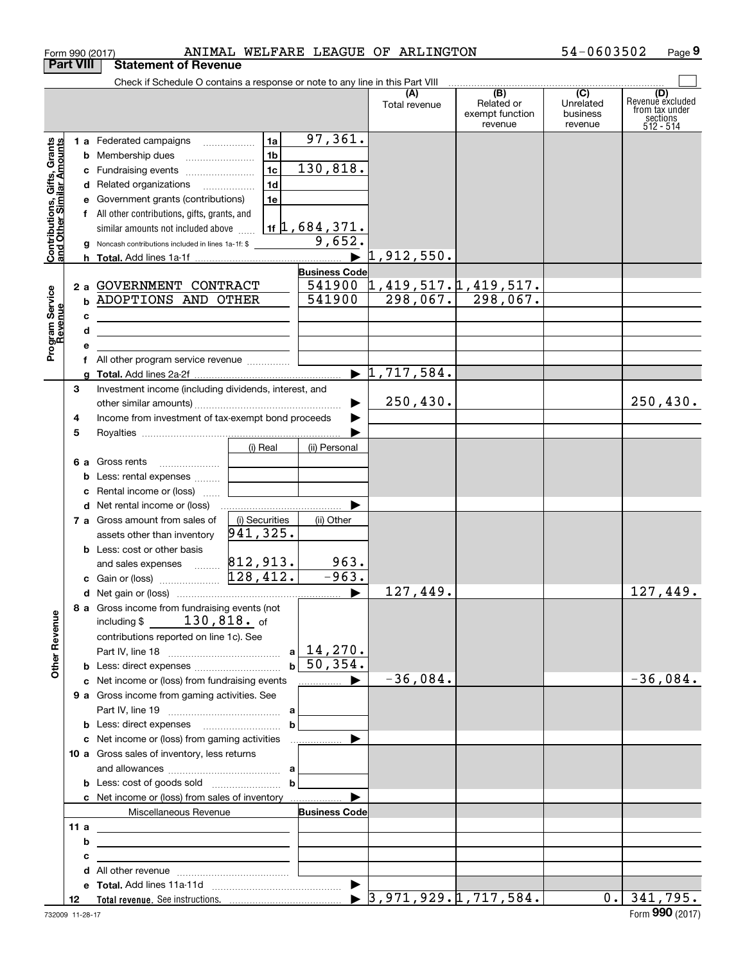|                                                           | Form 990 (2017)  |                                                                                                                                                                                                                                                                                                                                                                                                                      |                                                     |                                                                                             | ANIMAL WELFARE LEAGUE OF ARLINGTON                              |                                                              | 54-0603502                                           | Page 9                                                             |
|-----------------------------------------------------------|------------------|----------------------------------------------------------------------------------------------------------------------------------------------------------------------------------------------------------------------------------------------------------------------------------------------------------------------------------------------------------------------------------------------------------------------|-----------------------------------------------------|---------------------------------------------------------------------------------------------|-----------------------------------------------------------------|--------------------------------------------------------------|------------------------------------------------------|--------------------------------------------------------------------|
|                                                           | <b>Part VIII</b> | <b>Statement of Revenue</b>                                                                                                                                                                                                                                                                                                                                                                                          |                                                     |                                                                                             |                                                                 |                                                              |                                                      |                                                                    |
|                                                           |                  | Check if Schedule O contains a response or note to any line in this Part VIII                                                                                                                                                                                                                                                                                                                                        |                                                     |                                                                                             | (A)<br>Total revenue                                            | $\overline{(B)}$<br>Related or<br>exempt function<br>revenue | $\overline{(C)}$<br>Unrelated<br>business<br>revenue | (D)<br>Revenue excluded<br>from tax under<br>sections<br>512 - 514 |
| Contributions, Gifts, Grants<br>and Other Similar Amounts | g                | 1 a Federated campaigns<br><b>b</b> Membership dues<br>c Fundraising events<br>d Related organizations<br>e Government grants (contributions)<br>f All other contributions, gifts, grants, and<br>similar amounts not included above<br>Noncash contributions included in lines 1a-1f: \$                                                                                                                            | 1a <br>1 <sub>b</sub><br>1c<br>1 <sub>d</sub><br>1e | 97,361.<br>130, 818.<br>$1$ f $\updownarrow$ , 684, 371.<br>9,652.<br>$\blacktriangleright$ | 1,912,550.                                                      |                                                              |                                                      |                                                                    |
| Program Service<br>Revenue                                | с<br>d<br>е      | 2 a GOVERNMENT CONTRACT<br><b>b ADOPTIONS AND OTHER</b><br><u> 1989 - Johann Harry Harry Harry Harry Harry Harry Harry Harry Harry Harry Harry Harry Harry Harry Harry Harry Harry Harry Harry Harry Harry Harry Harry Harry Harry Harry Harry Harry Harry Harry Harry Harry Harry Harry Ha</u><br>the control of the control of the control of the control of the control of<br>f All other program service revenue |                                                     | <b>Business Code</b><br>541900<br>541900                                                    | <u>1,419,517.1,419,517.</u><br>$\blacktriangleright$ 1,717,584. | $298,067.$ 298,067.                                          |                                                      |                                                                    |
|                                                           | a<br>3<br>4<br>5 | Investment income (including dividends, interest, and<br>Income from investment of tax-exempt bond proceeds                                                                                                                                                                                                                                                                                                          | (i) Real                                            | (ii) Personal                                                                               | 250, 430.                                                       |                                                              |                                                      | 250, 430.                                                          |
|                                                           | b<br>с           | 6 a Gross rents<br>Less: rental expenses<br>Rental income or (loss)<br>d Net rental income or (loss)                                                                                                                                                                                                                                                                                                                 |                                                     |                                                                                             |                                                                 |                                                              |                                                      |                                                                    |
|                                                           |                  | 7 a Gross amount from sales of<br>assets other than inventory<br><b>b</b> Less: cost or other basis<br>and sales expenses  812, 913.                                                                                                                                                                                                                                                                                 | (i) Securities<br>941,325.                          | (ii) Other<br>963.                                                                          |                                                                 |                                                              |                                                      |                                                                    |
|                                                           |                  | c Gain or (loss)<br>8 a Gross income from fundraising events (not<br>including $$130,818$ of<br>contributions reported on line 1c). See                                                                                                                                                                                                                                                                              | 128,412.                                            | $-963.$                                                                                     | 127,449.                                                        |                                                              |                                                      | 127,449.                                                           |
| <b>Other Revenue</b>                                      |                  | c Net income or (loss) from fundraising events<br>9 a Gross income from gaming activities. See                                                                                                                                                                                                                                                                                                                       |                                                     | $a \mid 14, 270.$<br>$b \mid 50, 354.$                                                      | $-36,084.$                                                      |                                                              |                                                      | $-36,084.$                                                         |
|                                                           |                  | 10 a Gross sales of inventory, less returns                                                                                                                                                                                                                                                                                                                                                                          | $\mathbf b$                                         |                                                                                             |                                                                 |                                                              |                                                      |                                                                    |
|                                                           |                  | c Net income or (loss) from sales of inventory                                                                                                                                                                                                                                                                                                                                                                       | $\mathbf{b}$                                        |                                                                                             |                                                                 |                                                              |                                                      |                                                                    |
|                                                           | 11a<br>b<br>с    | Miscellaneous Revenue<br><u> 1989 - Johann Stein, mars an deus Amerikaansk kommunister (</u><br><u> 1989 - Johann Barbara, martxa alemaniar arg</u><br>the contract of the contract of the contract of the contract of the contract of                                                                                                                                                                               |                                                     | <b>Business Code</b>                                                                        |                                                                 |                                                              |                                                      |                                                                    |
|                                                           | d<br>12          |                                                                                                                                                                                                                                                                                                                                                                                                                      |                                                     |                                                                                             |                                                                 | $\blacktriangleright$ 3,971,929.1,717,584.                   |                                                      | $0.$ 341,795.                                                      |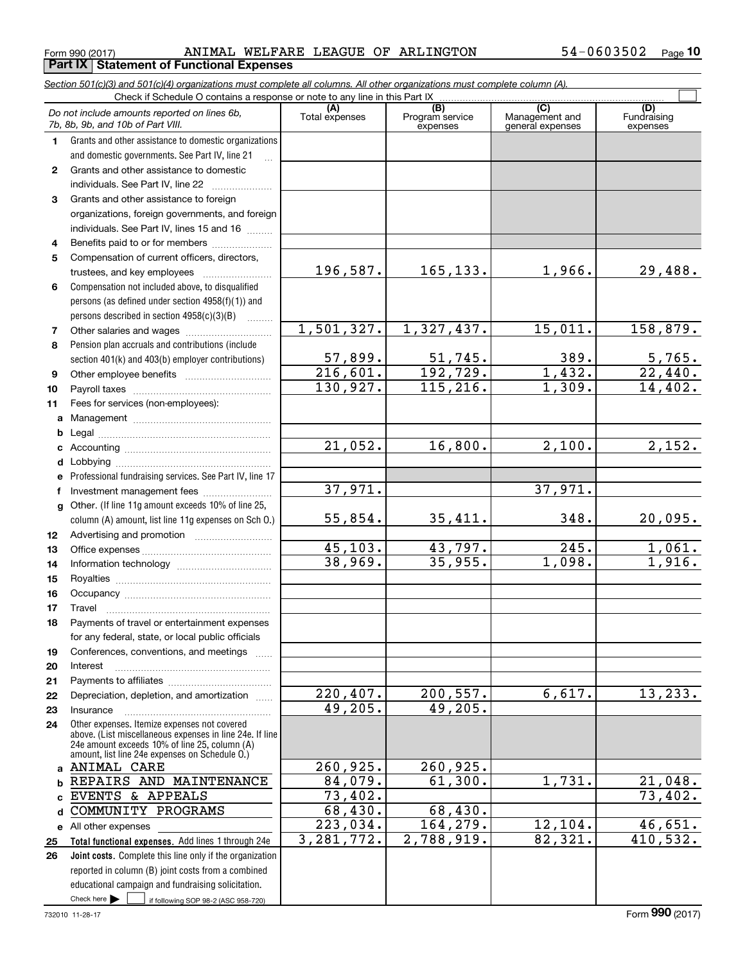$_{\rm Form}$  990 (2017) ANIMAL WELFARE LEAGUE OF ARLINGTON 54-0603502  $_{\rm Page}$ **Part IX Statement of Functional Expenses**

| Check if Schedule O contains a response or note to any line in this Part IX<br>(C)<br>(B)<br>(D)<br>(A)<br>Do not include amounts reported on lines 6b,<br>Program service<br>Total expenses<br>Management and<br>Fundraising<br>7b, 8b, 9b, and 10b of Part VIII.<br>expenses<br>general expenses<br>expenses<br>Grants and other assistance to domestic organizations<br>1.<br>and domestic governments. See Part IV, line 21<br>Grants and other assistance to domestic<br>$\mathbf{2}$<br>individuals. See Part IV, line 22<br>Grants and other assistance to foreign<br>3<br>organizations, foreign governments, and foreign<br>individuals. See Part IV, lines 15 and 16<br>4<br>Compensation of current officers, directors,<br>5<br>196,587.<br>165,133.<br>1,966.<br>trustees, and key employees<br>Compensation not included above, to disqualified<br>6<br>persons (as defined under section 4958(f)(1)) and<br>persons described in section 4958(c)(3)(B)<br>1.1.1.1.1.1.1<br>1,501,327.<br>1,327,437.<br>15,011.<br>7<br>Pension plan accruals and contributions (include<br>8<br>57,899.<br>51,745.<br>389.<br>section 401(k) and 403(b) employer contributions)<br>1,432.<br>216,601.<br>192, 729.<br>9 | 29,488.                |
|------------------------------------------------------------------------------------------------------------------------------------------------------------------------------------------------------------------------------------------------------------------------------------------------------------------------------------------------------------------------------------------------------------------------------------------------------------------------------------------------------------------------------------------------------------------------------------------------------------------------------------------------------------------------------------------------------------------------------------------------------------------------------------------------------------------------------------------------------------------------------------------------------------------------------------------------------------------------------------------------------------------------------------------------------------------------------------------------------------------------------------------------------------------------------------------------------------------------|------------------------|
|                                                                                                                                                                                                                                                                                                                                                                                                                                                                                                                                                                                                                                                                                                                                                                                                                                                                                                                                                                                                                                                                                                                                                                                                                        |                        |
|                                                                                                                                                                                                                                                                                                                                                                                                                                                                                                                                                                                                                                                                                                                                                                                                                                                                                                                                                                                                                                                                                                                                                                                                                        |                        |
|                                                                                                                                                                                                                                                                                                                                                                                                                                                                                                                                                                                                                                                                                                                                                                                                                                                                                                                                                                                                                                                                                                                                                                                                                        |                        |
|                                                                                                                                                                                                                                                                                                                                                                                                                                                                                                                                                                                                                                                                                                                                                                                                                                                                                                                                                                                                                                                                                                                                                                                                                        |                        |
|                                                                                                                                                                                                                                                                                                                                                                                                                                                                                                                                                                                                                                                                                                                                                                                                                                                                                                                                                                                                                                                                                                                                                                                                                        |                        |
|                                                                                                                                                                                                                                                                                                                                                                                                                                                                                                                                                                                                                                                                                                                                                                                                                                                                                                                                                                                                                                                                                                                                                                                                                        |                        |
|                                                                                                                                                                                                                                                                                                                                                                                                                                                                                                                                                                                                                                                                                                                                                                                                                                                                                                                                                                                                                                                                                                                                                                                                                        |                        |
|                                                                                                                                                                                                                                                                                                                                                                                                                                                                                                                                                                                                                                                                                                                                                                                                                                                                                                                                                                                                                                                                                                                                                                                                                        |                        |
|                                                                                                                                                                                                                                                                                                                                                                                                                                                                                                                                                                                                                                                                                                                                                                                                                                                                                                                                                                                                                                                                                                                                                                                                                        |                        |
|                                                                                                                                                                                                                                                                                                                                                                                                                                                                                                                                                                                                                                                                                                                                                                                                                                                                                                                                                                                                                                                                                                                                                                                                                        |                        |
|                                                                                                                                                                                                                                                                                                                                                                                                                                                                                                                                                                                                                                                                                                                                                                                                                                                                                                                                                                                                                                                                                                                                                                                                                        |                        |
|                                                                                                                                                                                                                                                                                                                                                                                                                                                                                                                                                                                                                                                                                                                                                                                                                                                                                                                                                                                                                                                                                                                                                                                                                        |                        |
|                                                                                                                                                                                                                                                                                                                                                                                                                                                                                                                                                                                                                                                                                                                                                                                                                                                                                                                                                                                                                                                                                                                                                                                                                        |                        |
|                                                                                                                                                                                                                                                                                                                                                                                                                                                                                                                                                                                                                                                                                                                                                                                                                                                                                                                                                                                                                                                                                                                                                                                                                        |                        |
|                                                                                                                                                                                                                                                                                                                                                                                                                                                                                                                                                                                                                                                                                                                                                                                                                                                                                                                                                                                                                                                                                                                                                                                                                        |                        |
|                                                                                                                                                                                                                                                                                                                                                                                                                                                                                                                                                                                                                                                                                                                                                                                                                                                                                                                                                                                                                                                                                                                                                                                                                        | 158,879.               |
|                                                                                                                                                                                                                                                                                                                                                                                                                                                                                                                                                                                                                                                                                                                                                                                                                                                                                                                                                                                                                                                                                                                                                                                                                        |                        |
|                                                                                                                                                                                                                                                                                                                                                                                                                                                                                                                                                                                                                                                                                                                                                                                                                                                                                                                                                                                                                                                                                                                                                                                                                        | $\frac{5,765}{22,440}$ |
|                                                                                                                                                                                                                                                                                                                                                                                                                                                                                                                                                                                                                                                                                                                                                                                                                                                                                                                                                                                                                                                                                                                                                                                                                        |                        |
| 1,309.<br>130,927.<br>115, 216.<br>10                                                                                                                                                                                                                                                                                                                                                                                                                                                                                                                                                                                                                                                                                                                                                                                                                                                                                                                                                                                                                                                                                                                                                                                  | 14,402.                |
| 11<br>Fees for services (non-employees):                                                                                                                                                                                                                                                                                                                                                                                                                                                                                                                                                                                                                                                                                                                                                                                                                                                                                                                                                                                                                                                                                                                                                                               |                        |
|                                                                                                                                                                                                                                                                                                                                                                                                                                                                                                                                                                                                                                                                                                                                                                                                                                                                                                                                                                                                                                                                                                                                                                                                                        |                        |
| b<br>$\overline{21,052}$ .<br>16,800.<br>2,100.                                                                                                                                                                                                                                                                                                                                                                                                                                                                                                                                                                                                                                                                                                                                                                                                                                                                                                                                                                                                                                                                                                                                                                        | 2,152.                 |
| c                                                                                                                                                                                                                                                                                                                                                                                                                                                                                                                                                                                                                                                                                                                                                                                                                                                                                                                                                                                                                                                                                                                                                                                                                      |                        |
| d                                                                                                                                                                                                                                                                                                                                                                                                                                                                                                                                                                                                                                                                                                                                                                                                                                                                                                                                                                                                                                                                                                                                                                                                                      |                        |
| Professional fundraising services. See Part IV, line 17<br>е<br>37,971.<br>37,971.                                                                                                                                                                                                                                                                                                                                                                                                                                                                                                                                                                                                                                                                                                                                                                                                                                                                                                                                                                                                                                                                                                                                     |                        |
| Investment management fees<br>f<br>g Other. (If line 11g amount exceeds 10% of line 25,                                                                                                                                                                                                                                                                                                                                                                                                                                                                                                                                                                                                                                                                                                                                                                                                                                                                                                                                                                                                                                                                                                                                |                        |
| 348.<br>35,411.<br>55,854.<br>column (A) amount, list line 11g expenses on Sch O.)                                                                                                                                                                                                                                                                                                                                                                                                                                                                                                                                                                                                                                                                                                                                                                                                                                                                                                                                                                                                                                                                                                                                     | 20,095.                |
| 12                                                                                                                                                                                                                                                                                                                                                                                                                                                                                                                                                                                                                                                                                                                                                                                                                                                                                                                                                                                                                                                                                                                                                                                                                     |                        |
| 45,103.<br>43,797.<br>245.<br>13                                                                                                                                                                                                                                                                                                                                                                                                                                                                                                                                                                                                                                                                                                                                                                                                                                                                                                                                                                                                                                                                                                                                                                                       | 1,061.                 |
| 35,955.<br>38,969.<br>1,098.<br>14                                                                                                                                                                                                                                                                                                                                                                                                                                                                                                                                                                                                                                                                                                                                                                                                                                                                                                                                                                                                                                                                                                                                                                                     | 1,916.                 |
| 15                                                                                                                                                                                                                                                                                                                                                                                                                                                                                                                                                                                                                                                                                                                                                                                                                                                                                                                                                                                                                                                                                                                                                                                                                     |                        |
| 16                                                                                                                                                                                                                                                                                                                                                                                                                                                                                                                                                                                                                                                                                                                                                                                                                                                                                                                                                                                                                                                                                                                                                                                                                     |                        |
| 17                                                                                                                                                                                                                                                                                                                                                                                                                                                                                                                                                                                                                                                                                                                                                                                                                                                                                                                                                                                                                                                                                                                                                                                                                     |                        |
| Payments of travel or entertainment expenses<br>18                                                                                                                                                                                                                                                                                                                                                                                                                                                                                                                                                                                                                                                                                                                                                                                                                                                                                                                                                                                                                                                                                                                                                                     |                        |
| for any federal, state, or local public officials                                                                                                                                                                                                                                                                                                                                                                                                                                                                                                                                                                                                                                                                                                                                                                                                                                                                                                                                                                                                                                                                                                                                                                      |                        |
| Conferences, conventions, and meetings<br>19                                                                                                                                                                                                                                                                                                                                                                                                                                                                                                                                                                                                                                                                                                                                                                                                                                                                                                                                                                                                                                                                                                                                                                           |                        |
| Interest<br>20                                                                                                                                                                                                                                                                                                                                                                                                                                                                                                                                                                                                                                                                                                                                                                                                                                                                                                                                                                                                                                                                                                                                                                                                         |                        |
| 21                                                                                                                                                                                                                                                                                                                                                                                                                                                                                                                                                                                                                                                                                                                                                                                                                                                                                                                                                                                                                                                                                                                                                                                                                     |                        |
| $\overline{220}$ , 407.<br>6,617.<br>200, 557.<br>Depreciation, depletion, and amortization<br>22                                                                                                                                                                                                                                                                                                                                                                                                                                                                                                                                                                                                                                                                                                                                                                                                                                                                                                                                                                                                                                                                                                                      | 13, 233.               |
| 49,205.<br>49,205.<br>Insurance<br>23                                                                                                                                                                                                                                                                                                                                                                                                                                                                                                                                                                                                                                                                                                                                                                                                                                                                                                                                                                                                                                                                                                                                                                                  |                        |
| Other expenses. Itemize expenses not covered<br>24<br>above. (List miscellaneous expenses in line 24e. If line<br>24e amount exceeds 10% of line 25, column (A)                                                                                                                                                                                                                                                                                                                                                                                                                                                                                                                                                                                                                                                                                                                                                                                                                                                                                                                                                                                                                                                        |                        |
| amount, list line 24e expenses on Schedule O.)                                                                                                                                                                                                                                                                                                                                                                                                                                                                                                                                                                                                                                                                                                                                                                                                                                                                                                                                                                                                                                                                                                                                                                         |                        |
| 260,925.<br>260,925.<br><b>ANIMAL CARE</b><br>a                                                                                                                                                                                                                                                                                                                                                                                                                                                                                                                                                                                                                                                                                                                                                                                                                                                                                                                                                                                                                                                                                                                                                                        |                        |
| 1,731.<br>61,300.<br>84,079.<br>REPAIRS AND MAINTENANCE<br>b                                                                                                                                                                                                                                                                                                                                                                                                                                                                                                                                                                                                                                                                                                                                                                                                                                                                                                                                                                                                                                                                                                                                                           | 21,048.                |
| 73,402.<br>EVENTS & APPEALS                                                                                                                                                                                                                                                                                                                                                                                                                                                                                                                                                                                                                                                                                                                                                                                                                                                                                                                                                                                                                                                                                                                                                                                            | 73,402.                |
| 68,430.<br>68,430.<br>COMMUNITY PROGRAMS<br>d<br>223,034.<br>164,279.<br>12,104.                                                                                                                                                                                                                                                                                                                                                                                                                                                                                                                                                                                                                                                                                                                                                                                                                                                                                                                                                                                                                                                                                                                                       | 46,651.                |
| e All other expenses<br>82,321.<br>2,788,919.<br>3, 281, 772.                                                                                                                                                                                                                                                                                                                                                                                                                                                                                                                                                                                                                                                                                                                                                                                                                                                                                                                                                                                                                                                                                                                                                          |                        |
| Total functional expenses. Add lines 1 through 24e<br>25                                                                                                                                                                                                                                                                                                                                                                                                                                                                                                                                                                                                                                                                                                                                                                                                                                                                                                                                                                                                                                                                                                                                                               |                        |
| Joint costs. Complete this line only if the organization<br>26<br>reported in column (B) joint costs from a combined                                                                                                                                                                                                                                                                                                                                                                                                                                                                                                                                                                                                                                                                                                                                                                                                                                                                                                                                                                                                                                                                                                   | 410, 532.              |
| educational campaign and fundraising solicitation.                                                                                                                                                                                                                                                                                                                                                                                                                                                                                                                                                                                                                                                                                                                                                                                                                                                                                                                                                                                                                                                                                                                                                                     |                        |
| Check here<br>if following SOP 98-2 (ASC 958-720)                                                                                                                                                                                                                                                                                                                                                                                                                                                                                                                                                                                                                                                                                                                                                                                                                                                                                                                                                                                                                                                                                                                                                                      |                        |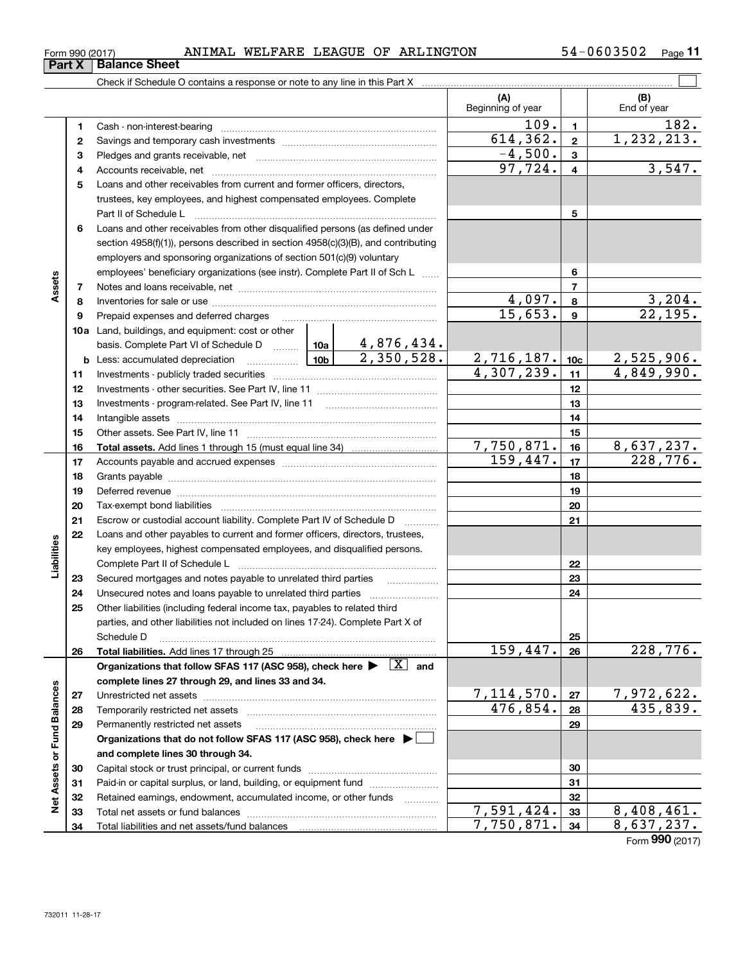| Form 990 (2017) |  | ANIMAL | WELFARE | LEAGUE | OF | ARLINGTON | $54 - 0603502$ | Page |  |
|-----------------|--|--------|---------|--------|----|-----------|----------------|------|--|
|-----------------|--|--------|---------|--------|----|-----------|----------------|------|--|

|                             |    | Check if Schedule O contains a response or note to any line in this Part X [11] Check if Schedule O contains a response or note to any line in this Part X    |  |                           |                                 |                 |                       |
|-----------------------------|----|---------------------------------------------------------------------------------------------------------------------------------------------------------------|--|---------------------------|---------------------------------|-----------------|-----------------------|
|                             |    |                                                                                                                                                               |  |                           | (A)<br>Beginning of year        |                 | (B)<br>End of year    |
|                             | 1  |                                                                                                                                                               |  |                           | 109.                            | $\blacksquare$  | 182.                  |
|                             | 2  |                                                                                                                                                               |  |                           | 614, 362.                       | $\mathbf{2}$    | 1,232,213.            |
|                             | з  |                                                                                                                                                               |  |                           | $-4,500.$                       | $\mathbf{3}$    |                       |
|                             | 4  |                                                                                                                                                               |  |                           | 97,724.                         | $\overline{4}$  | 3,547.                |
|                             | 5  | Loans and other receivables from current and former officers, directors,                                                                                      |  |                           |                                 |                 |                       |
|                             |    | trustees, key employees, and highest compensated employees. Complete                                                                                          |  |                           |                                 |                 |                       |
|                             |    | Part II of Schedule Landscare and Contract in the Schedule Landscare and Contract in the Schedule L                                                           |  |                           |                                 | 5               |                       |
|                             | 6  | Loans and other receivables from other disqualified persons (as defined under                                                                                 |  |                           |                                 |                 |                       |
|                             |    | section 4958(f)(1)), persons described in section 4958(c)(3)(B), and contributing                                                                             |  |                           |                                 |                 |                       |
|                             |    | employers and sponsoring organizations of section 501(c)(9) voluntary                                                                                         |  |                           |                                 |                 |                       |
|                             |    | employees' beneficiary organizations (see instr). Complete Part II of Sch L                                                                                   |  |                           |                                 | 6               |                       |
| Assets                      | 7  |                                                                                                                                                               |  |                           |                                 | $\overline{7}$  |                       |
|                             | 8  |                                                                                                                                                               |  |                           | 4,097.                          | 8               | 3, 204.               |
|                             | 9  | Prepaid expenses and deferred charges                                                                                                                         |  |                           | 15,653.                         | 9               | $\overline{22,195}$ . |
|                             |    | <b>10a</b> Land, buildings, and equipment: cost or other                                                                                                      |  |                           |                                 |                 |                       |
|                             |    | basis. Complete Part VI of Schedule D  10a                                                                                                                    |  | 4,876,434.                |                                 |                 |                       |
|                             | b  | Less: accumulated depreciation                                                                                                                                |  | $\frac{2}{1}$ , 350, 528. | $\frac{2,716,187.}{4,307,239.}$ | 10 <sub>c</sub> | 2,525,906.            |
|                             | 11 |                                                                                                                                                               |  |                           |                                 | 11              | 4,849,990.            |
|                             | 12 |                                                                                                                                                               |  |                           |                                 | 12              |                       |
|                             | 13 |                                                                                                                                                               |  |                           | 13                              |                 |                       |
|                             | 14 |                                                                                                                                                               |  |                           |                                 | 14              |                       |
|                             | 15 |                                                                                                                                                               |  |                           |                                 | 15              |                       |
|                             | 16 |                                                                                                                                                               |  |                           | 7,750,871.                      | 16              | 8,637,237.            |
|                             | 17 |                                                                                                                                                               |  |                           | 159,447.                        | 17              | 228,776.              |
|                             | 18 |                                                                                                                                                               |  |                           |                                 | 18              |                       |
|                             | 19 |                                                                                                                                                               |  |                           | 19                              |                 |                       |
|                             | 20 |                                                                                                                                                               |  |                           | 20                              |                 |                       |
|                             | 21 | Escrow or custodial account liability. Complete Part IV of Schedule D                                                                                         |  |                           |                                 | 21              |                       |
|                             | 22 | Loans and other payables to current and former officers, directors, trustees,                                                                                 |  |                           |                                 |                 |                       |
|                             |    | key employees, highest compensated employees, and disqualified persons.                                                                                       |  |                           |                                 |                 |                       |
| Liabilities                 |    |                                                                                                                                                               |  |                           |                                 | 22              |                       |
|                             | 23 | Secured mortgages and notes payable to unrelated third parties                                                                                                |  |                           |                                 | 23              |                       |
|                             | 24 |                                                                                                                                                               |  |                           |                                 | 24              |                       |
|                             | 25 | Other liabilities (including federal income tax, payables to related third<br>parties, and other liabilities not included on lines 17-24). Complete Part X of |  |                           |                                 |                 |                       |
|                             |    | Schedule D                                                                                                                                                    |  |                           |                                 | 25              |                       |
|                             | 26 | Total liabilities. Add lines 17 through 25                                                                                                                    |  |                           | 159,447.                        | 26              | 228,776.              |
|                             |    | Organizations that follow SFAS 117 (ASC 958), check here $\blacktriangleright \begin{array}{ c } \hline X & \text{and} \end{array}$                           |  |                           |                                 |                 |                       |
|                             |    | complete lines 27 through 29, and lines 33 and 34.                                                                                                            |  |                           |                                 |                 |                       |
|                             | 27 |                                                                                                                                                               |  |                           | 7,114,570.                      | 27              | 7,972,622.            |
|                             | 28 | Temporarily restricted net assets                                                                                                                             |  |                           | 476,854.                        | 28              | 435,839.              |
|                             | 29 | Permanently restricted net assets                                                                                                                             |  |                           |                                 | 29              |                       |
|                             |    | Organizations that do not follow SFAS 117 (ASC 958), check here ▶ □                                                                                           |  |                           |                                 |                 |                       |
|                             |    | and complete lines 30 through 34.                                                                                                                             |  |                           |                                 |                 |                       |
| Net Assets or Fund Balances | 30 |                                                                                                                                                               |  |                           |                                 | 30              |                       |
|                             | 31 | Paid-in or capital surplus, or land, building, or equipment fund                                                                                              |  |                           |                                 | 31              |                       |
|                             | 32 | Retained earnings, endowment, accumulated income, or other funds                                                                                              |  | .                         |                                 | 32              |                       |
|                             | 33 | Total net assets or fund balances                                                                                                                             |  |                           | 7,591,424.                      | 33              | 8,408,461.            |
|                             | 34 |                                                                                                                                                               |  |                           | 7,750,871                       | 34              | 8,637,237.            |
|                             |    |                                                                                                                                                               |  |                           |                                 |                 | Form 990 (2017)       |

## **Part X Balance Sheet**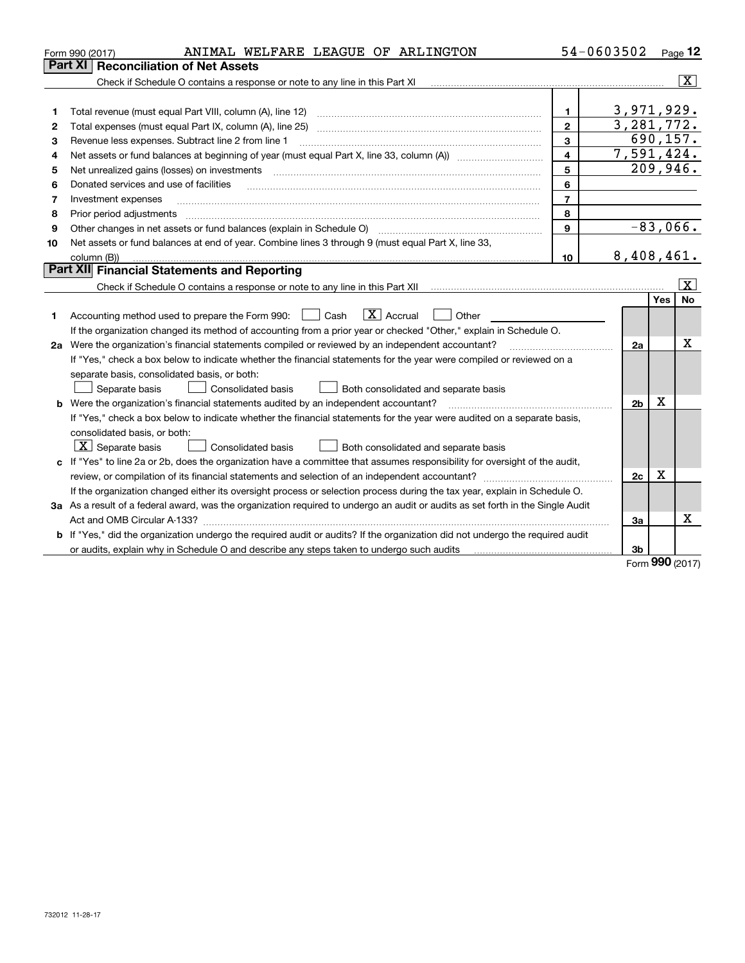|    | ANIMAL WELFARE LEAGUE OF ARLINGTON<br>Form 990 (2017)                                                                           |                         | 54-0603502     |            | Page 12                 |
|----|---------------------------------------------------------------------------------------------------------------------------------|-------------------------|----------------|------------|-------------------------|
|    | <b>Reconciliation of Net Assets</b><br>Part XI                                                                                  |                         |                |            |                         |
|    | Check if Schedule O contains a response or note to any line in this Part XI                                                     |                         |                |            | $\overline{\mathbf{x}}$ |
|    |                                                                                                                                 |                         |                |            |                         |
| 1  | Total revenue (must equal Part VIII, column (A), line 12)                                                                       | $\mathbf{1}$            | 3,971,929.     |            |                         |
| 2  | Total expenses (must equal Part IX, column (A), line 25)                                                                        | $\overline{2}$          | 3,281,772.     |            |                         |
| 3  | Revenue less expenses. Subtract line 2 from line 1                                                                              | 3                       | 690, 157.      |            |                         |
| 4  |                                                                                                                                 | $\overline{\mathbf{4}}$ | 7,591,424.     |            |                         |
| 5  | Net unrealized gains (losses) on investments                                                                                    | 5                       | 209,946.       |            |                         |
| 6  | Donated services and use of facilities                                                                                          | 6                       |                |            |                         |
| 7  | Investment expenses                                                                                                             | $\overline{7}$          |                |            |                         |
| 8  | Prior period adjustments                                                                                                        | 8                       |                |            |                         |
| 9  | Other changes in net assets or fund balances (explain in Schedule O) [11] [2000] [2000] [2000] [2000] [2000] [                  | $\mathbf{Q}$            | $-83,066.$     |            |                         |
| 10 | Net assets or fund balances at end of year. Combine lines 3 through 9 (must equal Part X, line 33,                              |                         |                |            |                         |
|    | column (B))                                                                                                                     | 10 <sup>10</sup>        | 8,408,461.     |            |                         |
|    | Part XII Financial Statements and Reporting                                                                                     |                         |                |            |                         |
|    | Check if Schedule O contains a response or note to any line in this Part XII [11] [11] [11] [11] [11] [11] [11                  |                         |                |            | x                       |
|    |                                                                                                                                 |                         |                | <b>Yes</b> | <b>No</b>               |
| 1  | $\boxed{\mathbf{X}}$ Accrual<br>Accounting method used to prepare the Form 990: <u>I</u> Cash<br>Other                          |                         |                |            |                         |
|    | If the organization changed its method of accounting from a prior year or checked "Other," explain in Schedule O.               |                         |                |            |                         |
|    | 2a Were the organization's financial statements compiled or reviewed by an independent accountant?                              |                         | 2a             |            | х                       |
|    | If "Yes," check a box below to indicate whether the financial statements for the year were compiled or reviewed on a            |                         |                |            |                         |
|    | separate basis, consolidated basis, or both:                                                                                    |                         |                |            |                         |
|    | Separate basis<br>Consolidated basis<br>Both consolidated and separate basis                                                    |                         |                |            |                         |
|    | <b>b</b> Were the organization's financial statements audited by an independent accountant?                                     |                         | 2 <sub>b</sub> | X          |                         |
|    | If "Yes," check a box below to indicate whether the financial statements for the year were audited on a separate basis,         |                         |                |            |                         |
|    | consolidated basis, or both:                                                                                                    |                         |                |            |                         |
|    | $\lfloor x \rfloor$ Separate basis<br><b>Consolidated basis</b><br>Both consolidated and separate basis                         |                         |                |            |                         |
|    | c If "Yes" to line 2a or 2b, does the organization have a committee that assumes responsibility for oversight of the audit,     |                         |                |            |                         |
|    |                                                                                                                                 |                         | 2c             | Χ          |                         |
|    | If the organization changed either its oversight process or selection process during the tax year, explain in Schedule O.       |                         |                |            |                         |
|    | 3a As a result of a federal award, was the organization required to undergo an audit or audits as set forth in the Single Audit |                         |                |            |                         |
|    | Act and OMB Circular A-133?                                                                                                     |                         | За             |            | X                       |
|    | b If "Yes," did the organization undergo the required audit or audits? If the organization did not undergo the required audit   |                         |                |            |                         |
|    | or audits, explain why in Schedule O and describe any steps taken to undergo such audits mature intermal conte                  |                         | 3b             | <b>nnn</b> |                         |

Form (2017) **990**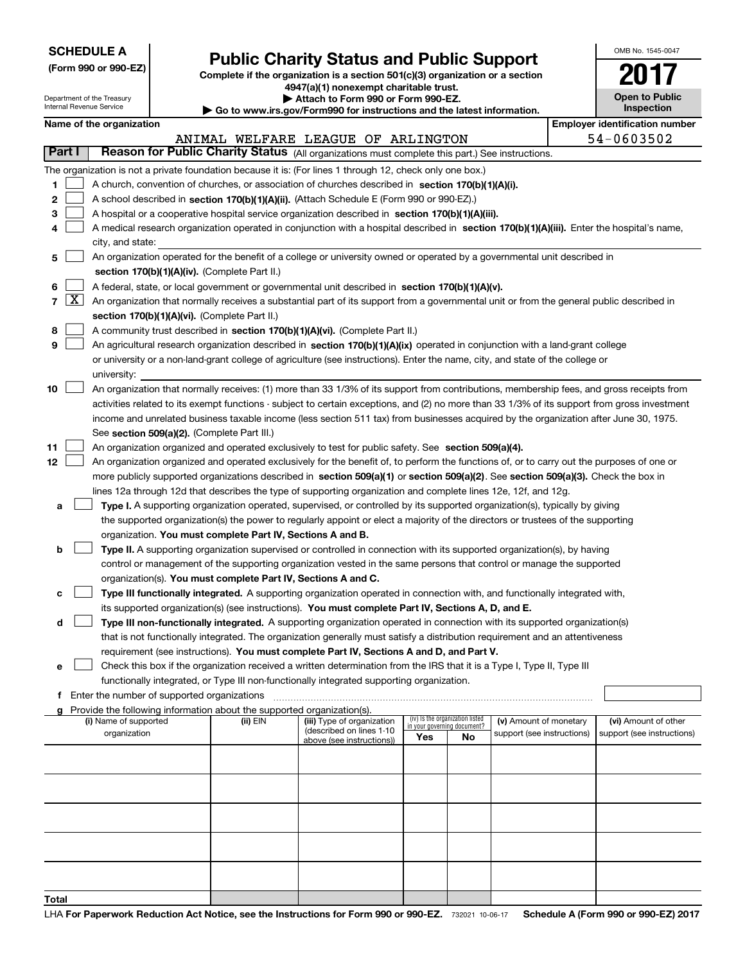| <b>SCHEDULE A</b> |  |  |  |  |  |  |
|-------------------|--|--|--|--|--|--|
|-------------------|--|--|--|--|--|--|

**(Form 990 or 990-EZ)**

### **Public Charity Status and Public Support**

**Complete if the organization is a section 501(c)(3) organization or a section 4947(a)(1) nonexempt charitable trust. | Attach to Form 990 or Form 990-EZ.** 

| OMB No. 1545-0047 |
|-------------------|
| T                 |
| Open to Public    |

|    |                   | Department of the Treasury<br>Internal Revenue Service                                                                                        |  | Attach to Form 990 or Form 990-EZ.<br>$\blacktriangleright$ Go to www.irs.gov/Form990 for instructions and the latest information. | <b>Open to Public</b><br>Inspection                                                                                                        |                             |                                 |                            |  |                                       |  |  |
|----|-------------------|-----------------------------------------------------------------------------------------------------------------------------------------------|--|------------------------------------------------------------------------------------------------------------------------------------|--------------------------------------------------------------------------------------------------------------------------------------------|-----------------------------|---------------------------------|----------------------------|--|---------------------------------------|--|--|
|    |                   | Name of the organization                                                                                                                      |  |                                                                                                                                    |                                                                                                                                            |                             |                                 |                            |  | <b>Employer identification number</b> |  |  |
|    |                   |                                                                                                                                               |  |                                                                                                                                    | ANIMAL WELFARE LEAGUE OF ARLINGTON                                                                                                         |                             |                                 |                            |  | 54-0603502                            |  |  |
|    | Part I            |                                                                                                                                               |  |                                                                                                                                    | Reason for Public Charity Status (All organizations must complete this part.) See instructions.                                            |                             |                                 |                            |  |                                       |  |  |
|    |                   |                                                                                                                                               |  |                                                                                                                                    | The organization is not a private foundation because it is: (For lines 1 through 12, check only one box.)                                  |                             |                                 |                            |  |                                       |  |  |
| 1. |                   |                                                                                                                                               |  |                                                                                                                                    | A church, convention of churches, or association of churches described in section 170(b)(1)(A)(i).                                         |                             |                                 |                            |  |                                       |  |  |
|    |                   |                                                                                                                                               |  |                                                                                                                                    |                                                                                                                                            |                             |                                 |                            |  |                                       |  |  |
| 2  |                   |                                                                                                                                               |  |                                                                                                                                    | A school described in section 170(b)(1)(A)(ii). (Attach Schedule E (Form 990 or 990-EZ).)                                                  |                             |                                 |                            |  |                                       |  |  |
| 3  |                   |                                                                                                                                               |  |                                                                                                                                    | A hospital or a cooperative hospital service organization described in section 170(b)(1)(A)(iii).                                          |                             |                                 |                            |  |                                       |  |  |
| 4  |                   |                                                                                                                                               |  |                                                                                                                                    | A medical research organization operated in conjunction with a hospital described in section 170(b)(1)(A)(iii). Enter the hospital's name, |                             |                                 |                            |  |                                       |  |  |
|    |                   | city, and state:                                                                                                                              |  |                                                                                                                                    |                                                                                                                                            |                             |                                 |                            |  |                                       |  |  |
| 5. |                   |                                                                                                                                               |  |                                                                                                                                    | An organization operated for the benefit of a college or university owned or operated by a governmental unit described in                  |                             |                                 |                            |  |                                       |  |  |
|    |                   |                                                                                                                                               |  | section 170(b)(1)(A)(iv). (Complete Part II.)                                                                                      |                                                                                                                                            |                             |                                 |                            |  |                                       |  |  |
| 6  |                   |                                                                                                                                               |  |                                                                                                                                    | A federal, state, or local government or governmental unit described in section 170(b)(1)(A)(v).                                           |                             |                                 |                            |  |                                       |  |  |
|    | $7 \vert X \vert$ |                                                                                                                                               |  |                                                                                                                                    | An organization that normally receives a substantial part of its support from a governmental unit or from the general public described in  |                             |                                 |                            |  |                                       |  |  |
|    |                   |                                                                                                                                               |  | section 170(b)(1)(A)(vi). (Complete Part II.)                                                                                      |                                                                                                                                            |                             |                                 |                            |  |                                       |  |  |
| 8  |                   |                                                                                                                                               |  |                                                                                                                                    | A community trust described in section 170(b)(1)(A)(vi). (Complete Part II.)                                                               |                             |                                 |                            |  |                                       |  |  |
| 9  |                   |                                                                                                                                               |  |                                                                                                                                    | An agricultural research organization described in section 170(b)(1)(A)(ix) operated in conjunction with a land-grant college              |                             |                                 |                            |  |                                       |  |  |
|    |                   | or university or a non-land-grant college of agriculture (see instructions). Enter the name, city, and state of the college or                |  |                                                                                                                                    |                                                                                                                                            |                             |                                 |                            |  |                                       |  |  |
|    |                   | university:                                                                                                                                   |  |                                                                                                                                    |                                                                                                                                            |                             |                                 |                            |  |                                       |  |  |
| 10 |                   |                                                                                                                                               |  |                                                                                                                                    | An organization that normally receives: (1) more than 33 1/3% of its support from contributions, membership fees, and gross receipts from  |                             |                                 |                            |  |                                       |  |  |
|    |                   | activities related to its exempt functions - subject to certain exceptions, and (2) no more than 33 1/3% of its support from gross investment |  |                                                                                                                                    |                                                                                                                                            |                             |                                 |                            |  |                                       |  |  |
|    |                   | income and unrelated business taxable income (less section 511 tax) from businesses acquired by the organization after June 30, 1975.         |  |                                                                                                                                    |                                                                                                                                            |                             |                                 |                            |  |                                       |  |  |
|    |                   | See section 509(a)(2). (Complete Part III.)                                                                                                   |  |                                                                                                                                    |                                                                                                                                            |                             |                                 |                            |  |                                       |  |  |
| 11 |                   |                                                                                                                                               |  |                                                                                                                                    | An organization organized and operated exclusively to test for public safety. See section 509(a)(4).                                       |                             |                                 |                            |  |                                       |  |  |
| 12 |                   |                                                                                                                                               |  |                                                                                                                                    | An organization organized and operated exclusively for the benefit of, to perform the functions of, or to carry out the purposes of one or |                             |                                 |                            |  |                                       |  |  |
|    |                   |                                                                                                                                               |  |                                                                                                                                    | more publicly supported organizations described in section 509(a)(1) or section 509(a)(2). See section 509(a)(3). Check the box in         |                             |                                 |                            |  |                                       |  |  |
|    |                   |                                                                                                                                               |  |                                                                                                                                    | lines 12a through 12d that describes the type of supporting organization and complete lines 12e, 12f, and 12g.                             |                             |                                 |                            |  |                                       |  |  |
| а  |                   |                                                                                                                                               |  |                                                                                                                                    | Type I. A supporting organization operated, supervised, or controlled by its supported organization(s), typically by giving                |                             |                                 |                            |  |                                       |  |  |
|    |                   |                                                                                                                                               |  |                                                                                                                                    | the supported organization(s) the power to regularly appoint or elect a majority of the directors or trustees of the supporting            |                             |                                 |                            |  |                                       |  |  |
|    |                   |                                                                                                                                               |  | organization. You must complete Part IV, Sections A and B.                                                                         |                                                                                                                                            |                             |                                 |                            |  |                                       |  |  |
| b  |                   |                                                                                                                                               |  |                                                                                                                                    | Type II. A supporting organization supervised or controlled in connection with its supported organization(s), by having                    |                             |                                 |                            |  |                                       |  |  |
|    |                   |                                                                                                                                               |  |                                                                                                                                    | control or management of the supporting organization vested in the same persons that control or manage the supported                       |                             |                                 |                            |  |                                       |  |  |
|    |                   |                                                                                                                                               |  | organization(s). You must complete Part IV, Sections A and C.                                                                      |                                                                                                                                            |                             |                                 |                            |  |                                       |  |  |
| с  |                   |                                                                                                                                               |  |                                                                                                                                    | Type III functionally integrated. A supporting organization operated in connection with, and functionally integrated with,                 |                             |                                 |                            |  |                                       |  |  |
|    |                   |                                                                                                                                               |  |                                                                                                                                    | its supported organization(s) (see instructions). You must complete Part IV, Sections A, D, and E.                                         |                             |                                 |                            |  |                                       |  |  |
| d  |                   |                                                                                                                                               |  |                                                                                                                                    | Type III non-functionally integrated. A supporting organization operated in connection with its supported organization(s)                  |                             |                                 |                            |  |                                       |  |  |
|    |                   |                                                                                                                                               |  |                                                                                                                                    | that is not functionally integrated. The organization generally must satisfy a distribution requirement and an attentiveness               |                             |                                 |                            |  |                                       |  |  |
|    |                   |                                                                                                                                               |  |                                                                                                                                    | requirement (see instructions). You must complete Part IV, Sections A and D, and Part V.                                                   |                             |                                 |                            |  |                                       |  |  |
| е  |                   |                                                                                                                                               |  |                                                                                                                                    | Check this box if the organization received a written determination from the IRS that it is a Type I, Type II, Type III                    |                             |                                 |                            |  |                                       |  |  |
|    |                   |                                                                                                                                               |  |                                                                                                                                    | functionally integrated, or Type III non-functionally integrated supporting organization.                                                  |                             |                                 |                            |  |                                       |  |  |
| f  |                   | Enter the number of supported organizations                                                                                                   |  |                                                                                                                                    |                                                                                                                                            |                             |                                 |                            |  |                                       |  |  |
| a  |                   |                                                                                                                                               |  | Provide the following information about the supported organization(s).                                                             |                                                                                                                                            |                             |                                 |                            |  |                                       |  |  |
|    |                   | (i) Name of supported                                                                                                                         |  | (ii) EIN                                                                                                                           | (iii) Type of organization                                                                                                                 | in your governing document? | (iv) Is the organization listed | (v) Amount of monetary     |  | (vi) Amount of other                  |  |  |
|    |                   | organization                                                                                                                                  |  |                                                                                                                                    | (described on lines 1-10<br>above (see instructions))                                                                                      | Yes                         | No                              | support (see instructions) |  | support (see instructions)            |  |  |
|    |                   |                                                                                                                                               |  |                                                                                                                                    |                                                                                                                                            |                             |                                 |                            |  |                                       |  |  |
|    |                   |                                                                                                                                               |  |                                                                                                                                    |                                                                                                                                            |                             |                                 |                            |  |                                       |  |  |
|    |                   |                                                                                                                                               |  |                                                                                                                                    |                                                                                                                                            |                             |                                 |                            |  |                                       |  |  |
|    |                   |                                                                                                                                               |  |                                                                                                                                    |                                                                                                                                            |                             |                                 |                            |  |                                       |  |  |
|    |                   |                                                                                                                                               |  |                                                                                                                                    |                                                                                                                                            |                             |                                 |                            |  |                                       |  |  |
|    |                   |                                                                                                                                               |  |                                                                                                                                    |                                                                                                                                            |                             |                                 |                            |  |                                       |  |  |
|    |                   |                                                                                                                                               |  |                                                                                                                                    |                                                                                                                                            |                             |                                 |                            |  |                                       |  |  |
|    |                   |                                                                                                                                               |  |                                                                                                                                    |                                                                                                                                            |                             |                                 |                            |  |                                       |  |  |
|    |                   |                                                                                                                                               |  |                                                                                                                                    |                                                                                                                                            |                             |                                 |                            |  |                                       |  |  |
|    |                   |                                                                                                                                               |  |                                                                                                                                    |                                                                                                                                            |                             |                                 |                            |  |                                       |  |  |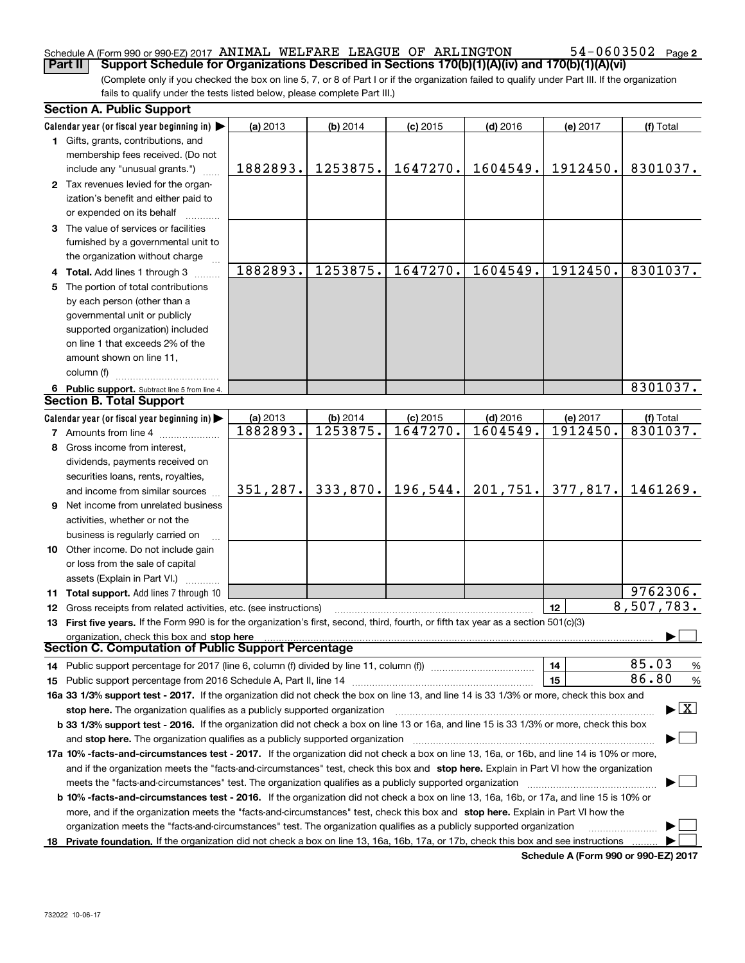### Schedule A (Form 990 or 990-EZ) 2017  $\,$  ANIMAL WELFARE LEAGUE OF  $\,$  ARLINGTON  $\,$   $\,$  54 $-$ 0603502  $\,$  Page

(Complete only if you checked the box on line 5, 7, or 8 of Part I or if the organization failed to qualify under Part III. If the organization **Part II Support Schedule for Organizations Described in Sections 170(b)(1)(A)(iv) and 170(b)(1)(A)(vi)**

fails to qualify under the tests listed below, please complete Part III.)

|   | <b>Section A. Public Support</b>                                                                                                               |           |            |            |            |          |                                          |
|---|------------------------------------------------------------------------------------------------------------------------------------------------|-----------|------------|------------|------------|----------|------------------------------------------|
|   | Calendar year (or fiscal year beginning in) $\blacktriangleright$                                                                              | (a) 2013  | $(b)$ 2014 | $(c)$ 2015 | $(d)$ 2016 | (e) 2017 | (f) Total                                |
|   | <b>1</b> Gifts, grants, contributions, and                                                                                                     |           |            |            |            |          |                                          |
|   | membership fees received. (Do not                                                                                                              |           |            |            |            |          |                                          |
|   | include any "unusual grants.")                                                                                                                 | 1882893.  | 1253875.   | 1647270.   | 1604549.   | 1912450. | 8301037.                                 |
|   | 2 Tax revenues levied for the organ-                                                                                                           |           |            |            |            |          |                                          |
|   | ization's benefit and either paid to                                                                                                           |           |            |            |            |          |                                          |
|   | or expended on its behalf                                                                                                                      |           |            |            |            |          |                                          |
|   | 3 The value of services or facilities                                                                                                          |           |            |            |            |          |                                          |
|   | furnished by a governmental unit to                                                                                                            |           |            |            |            |          |                                          |
|   | the organization without charge                                                                                                                |           |            |            |            |          |                                          |
|   |                                                                                                                                                | 1882893.  | 1253875.   | 1647270.   | 1604549.   | 1912450. | 8301037.                                 |
|   | 4 Total. Add lines 1 through 3                                                                                                                 |           |            |            |            |          |                                          |
| 5 | The portion of total contributions                                                                                                             |           |            |            |            |          |                                          |
|   | by each person (other than a                                                                                                                   |           |            |            |            |          |                                          |
|   | governmental unit or publicly                                                                                                                  |           |            |            |            |          |                                          |
|   | supported organization) included                                                                                                               |           |            |            |            |          |                                          |
|   | on line 1 that exceeds 2% of the                                                                                                               |           |            |            |            |          |                                          |
|   | amount shown on line 11,                                                                                                                       |           |            |            |            |          |                                          |
|   | column (f)                                                                                                                                     |           |            |            |            |          |                                          |
|   | 6 Public support. Subtract line 5 from line 4.                                                                                                 |           |            |            |            |          | 8301037.                                 |
|   | <b>Section B. Total Support</b>                                                                                                                |           |            |            |            |          |                                          |
|   | Calendar year (or fiscal year beginning in) $\blacktriangleright$                                                                              | (a) 2013  | $(b)$ 2014 | $(c)$ 2015 | $(d)$ 2016 | (e) 2017 | (f) Total                                |
|   | <b>7</b> Amounts from line 4                                                                                                                   | 1882893.  | 1253875.   | 1647270.   | 1604549.   | 1912450. | 8301037.                                 |
| 8 | Gross income from interest,                                                                                                                    |           |            |            |            |          |                                          |
|   | dividends, payments received on                                                                                                                |           |            |            |            |          |                                          |
|   | securities loans, rents, royalties,                                                                                                            |           |            |            |            |          |                                          |
|   | and income from similar sources                                                                                                                | 351, 287. | 333,870.   | 196,544.   | 201,751.   | 377,817. | 1461269.                                 |
|   | 9 Net income from unrelated business                                                                                                           |           |            |            |            |          |                                          |
|   | activities, whether or not the                                                                                                                 |           |            |            |            |          |                                          |
|   |                                                                                                                                                |           |            |            |            |          |                                          |
|   | business is regularly carried on                                                                                                               |           |            |            |            |          |                                          |
|   | 10 Other income. Do not include gain                                                                                                           |           |            |            |            |          |                                          |
|   | or loss from the sale of capital                                                                                                               |           |            |            |            |          |                                          |
|   | assets (Explain in Part VI.)                                                                                                                   |           |            |            |            |          | 9762306.                                 |
|   | <b>11 Total support.</b> Add lines 7 through 10                                                                                                |           |            |            |            |          |                                          |
|   | 12 Gross receipts from related activities, etc. (see instructions)                                                                             |           |            |            |            | 12       | 8,507,783.                               |
|   | 13 First five years. If the Form 990 is for the organization's first, second, third, fourth, or fifth tax year as a section 501(c)(3)          |           |            |            |            |          |                                          |
|   | organization, check this box and stop here                                                                                                     |           |            |            |            |          |                                          |
|   | Section C. Computation of Public Support Percentage                                                                                            |           |            |            |            |          |                                          |
|   | 14 Public support percentage for 2017 (line 6, column (f) divided by line 11, column (f) <i>manumanomeron</i> entertain-                       |           |            |            |            | 14       | 85.03<br>%                               |
|   |                                                                                                                                                |           |            |            |            | 15       | 86.80<br>$\%$                            |
|   | 16a 33 1/3% support test - 2017. If the organization did not check the box on line 13, and line 14 is 33 1/3% or more, check this box and      |           |            |            |            |          |                                          |
|   | stop here. The organization qualifies as a publicly supported organization                                                                     |           |            |            |            |          | $\blacktriangleright$ $\boxed{\text{X}}$ |
|   | b 33 1/3% support test - 2016. If the organization did not check a box on line 13 or 16a, and line 15 is 33 1/3% or more, check this box       |           |            |            |            |          |                                          |
|   | and stop here. The organization qualifies as a publicly supported organization                                                                 |           |            |            |            |          |                                          |
|   | 17a 10% -facts-and-circumstances test - 2017. If the organization did not check a box on line 13, 16a, or 16b, and line 14 is 10% or more,     |           |            |            |            |          |                                          |
|   | and if the organization meets the "facts-and-circumstances" test, check this box and stop here. Explain in Part VI how the organization        |           |            |            |            |          |                                          |
|   | meets the "facts-and-circumstances" test. The organization qualifies as a publicly supported organization                                      |           |            |            |            |          |                                          |
|   | <b>b 10% -facts-and-circumstances test - 2016.</b> If the organization did not check a box on line 13, 16a, 16b, or 17a, and line 15 is 10% or |           |            |            |            |          |                                          |
|   | more, and if the organization meets the "facts-and-circumstances" test, check this box and stop here. Explain in Part VI how the               |           |            |            |            |          |                                          |
|   | organization meets the "facts-and-circumstances" test. The organization qualifies as a publicly supported organization                         |           |            |            |            |          |                                          |
|   | 18 Private foundation. If the organization did not check a box on line 13, 16a, 16b, 17a, or 17b, check this box and see instructions          |           |            |            |            |          |                                          |
|   |                                                                                                                                                |           |            |            |            |          |                                          |

**Schedule A (Form 990 or 990-EZ) 2017**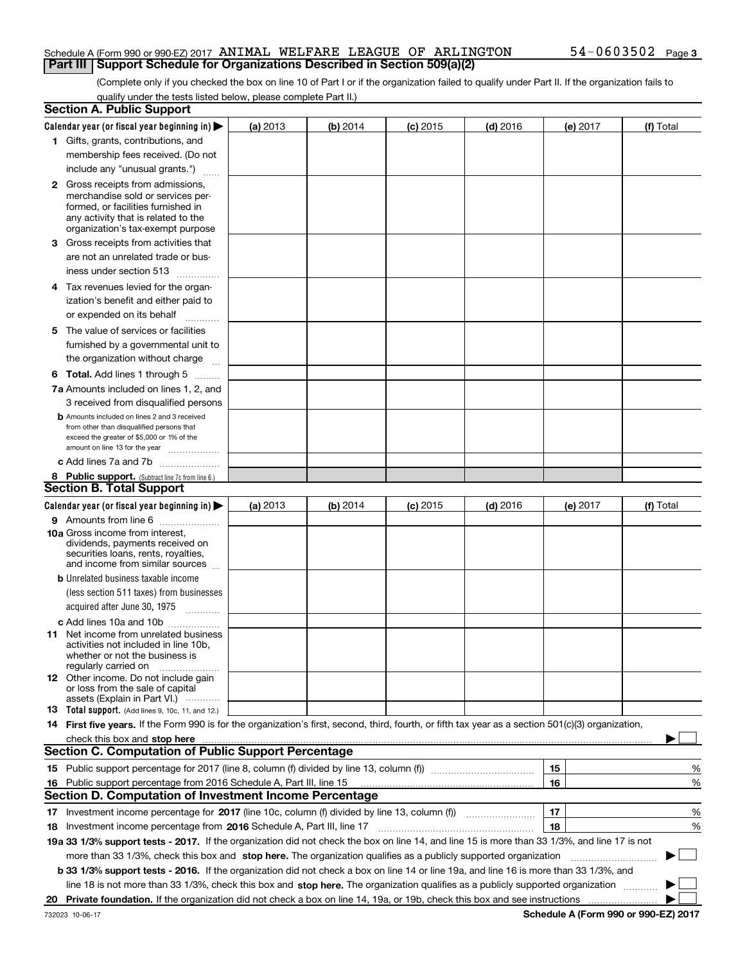### Schedule A (Form 990 or 990-EZ) 2017  $\,$  ANIMAL WELFARE LEAGUE OF  $\,$  ARLINGTON  $\,$   $\,$  54 $-$ 0603502  $\,$  Page **Part III** | Support Schedule for Organizations Described in Section 509(a)(2)

(Complete only if you checked the box on line 10 of Part I or if the organization failed to qualify under Part II. If the organization fails to qualify under the tests listed below, please complete Part II.)

|    | <b>Section A. Public Support</b>                                                                                                                                                                                               |          |          |            |            |    |          |             |   |
|----|--------------------------------------------------------------------------------------------------------------------------------------------------------------------------------------------------------------------------------|----------|----------|------------|------------|----|----------|-------------|---|
|    | Calendar year (or fiscal year beginning in) $\blacktriangleright$                                                                                                                                                              | (a) 2013 | (b) 2014 | $(c)$ 2015 | $(d)$ 2016 |    | (e) 2017 | (f) Total   |   |
|    | 1 Gifts, grants, contributions, and                                                                                                                                                                                            |          |          |            |            |    |          |             |   |
|    | membership fees received. (Do not                                                                                                                                                                                              |          |          |            |            |    |          |             |   |
|    | include any "unusual grants.")                                                                                                                                                                                                 |          |          |            |            |    |          |             |   |
|    | <b>2</b> Gross receipts from admissions,                                                                                                                                                                                       |          |          |            |            |    |          |             |   |
|    | merchandise sold or services per-                                                                                                                                                                                              |          |          |            |            |    |          |             |   |
|    | formed, or facilities furnished in                                                                                                                                                                                             |          |          |            |            |    |          |             |   |
|    | any activity that is related to the<br>organization's tax-exempt purpose                                                                                                                                                       |          |          |            |            |    |          |             |   |
|    | 3 Gross receipts from activities that                                                                                                                                                                                          |          |          |            |            |    |          |             |   |
|    | are not an unrelated trade or bus-                                                                                                                                                                                             |          |          |            |            |    |          |             |   |
|    |                                                                                                                                                                                                                                |          |          |            |            |    |          |             |   |
|    | iness under section 513                                                                                                                                                                                                        |          |          |            |            |    |          |             |   |
|    | 4 Tax revenues levied for the organ-                                                                                                                                                                                           |          |          |            |            |    |          |             |   |
|    | ization's benefit and either paid to                                                                                                                                                                                           |          |          |            |            |    |          |             |   |
|    | or expended on its behalf<br>.                                                                                                                                                                                                 |          |          |            |            |    |          |             |   |
|    | 5 The value of services or facilities                                                                                                                                                                                          |          |          |            |            |    |          |             |   |
|    | furnished by a governmental unit to                                                                                                                                                                                            |          |          |            |            |    |          |             |   |
|    | the organization without charge                                                                                                                                                                                                |          |          |            |            |    |          |             |   |
|    | <b>6 Total.</b> Add lines 1 through 5                                                                                                                                                                                          |          |          |            |            |    |          |             |   |
|    | 7a Amounts included on lines 1, 2, and                                                                                                                                                                                         |          |          |            |            |    |          |             |   |
|    | 3 received from disqualified persons                                                                                                                                                                                           |          |          |            |            |    |          |             |   |
|    | <b>b</b> Amounts included on lines 2 and 3 received                                                                                                                                                                            |          |          |            |            |    |          |             |   |
|    | from other than disqualified persons that                                                                                                                                                                                      |          |          |            |            |    |          |             |   |
|    | exceed the greater of \$5,000 or 1% of the<br>amount on line 13 for the year                                                                                                                                                   |          |          |            |            |    |          |             |   |
|    | c Add lines 7a and 7b                                                                                                                                                                                                          |          |          |            |            |    |          |             |   |
|    | 8 Public support. (Subtract line 7c from line 6.)                                                                                                                                                                              |          |          |            |            |    |          |             |   |
|    | <b>Section B. Total Support</b>                                                                                                                                                                                                |          |          |            |            |    |          |             |   |
|    | Calendar year (or fiscal year beginning in)                                                                                                                                                                                    | (a) 2013 | (b) 2014 | $(c)$ 2015 | $(d)$ 2016 |    | (e) 2017 | (f) Total   |   |
|    | 9 Amounts from line 6                                                                                                                                                                                                          |          |          |            |            |    |          |             |   |
|    | <b>10a</b> Gross income from interest,                                                                                                                                                                                         |          |          |            |            |    |          |             |   |
|    | dividends, payments received on                                                                                                                                                                                                |          |          |            |            |    |          |             |   |
|    | securities loans, rents, royalties,<br>and income from similar sources                                                                                                                                                         |          |          |            |            |    |          |             |   |
|    | <b>b</b> Unrelated business taxable income                                                                                                                                                                                     |          |          |            |            |    |          |             |   |
|    | (less section 511 taxes) from businesses                                                                                                                                                                                       |          |          |            |            |    |          |             |   |
|    |                                                                                                                                                                                                                                |          |          |            |            |    |          |             |   |
|    | acquired after June 30, 1975 [10001]                                                                                                                                                                                           |          |          |            |            |    |          |             |   |
|    | c Add lines 10a and 10b                                                                                                                                                                                                        |          |          |            |            |    |          |             |   |
|    | 11 Net income from unrelated business<br>activities not included in line 10b,                                                                                                                                                  |          |          |            |            |    |          |             |   |
|    | whether or not the business is                                                                                                                                                                                                 |          |          |            |            |    |          |             |   |
|    | regularly carried on                                                                                                                                                                                                           |          |          |            |            |    |          |             |   |
|    | <b>12</b> Other income. Do not include gain<br>or loss from the sale of capital                                                                                                                                                |          |          |            |            |    |          |             |   |
|    | assets (Explain in Part VI.)                                                                                                                                                                                                   |          |          |            |            |    |          |             |   |
|    | <b>13</b> Total support. (Add lines 9, 10c, 11, and 12.)                                                                                                                                                                       |          |          |            |            |    |          |             |   |
|    | 14 First five years. If the Form 990 is for the organization's first, second, third, fourth, or fifth tax year as a section 501(c)(3) organization,                                                                            |          |          |            |            |    |          |             |   |
|    | check this box and stop here manufactured and control to the state of the state of the state of the state of the state of the state of the state of the state of the state of the state of the state of the state of the state |          |          |            |            |    |          |             |   |
|    | <b>Section C. Computation of Public Support Percentage</b>                                                                                                                                                                     |          |          |            |            |    |          |             |   |
|    |                                                                                                                                                                                                                                |          |          |            |            | 15 |          |             | % |
|    | 16 Public support percentage from 2016 Schedule A, Part III, line 15                                                                                                                                                           |          |          |            |            | 16 |          |             | % |
|    | <b>Section D. Computation of Investment Income Percentage</b>                                                                                                                                                                  |          |          |            |            |    |          |             |   |
|    | 17 Investment income percentage for 2017 (line 10c, column (f) divided by line 13, column (f))                                                                                                                                 |          |          |            |            | 17 |          |             | % |
|    | <b>18</b> Investment income percentage from <b>2016</b> Schedule A, Part III, line 17                                                                                                                                          |          |          |            |            | 18 |          |             | % |
|    | 19a 33 1/3% support tests - 2017. If the organization did not check the box on line 14, and line 15 is more than 33 1/3%, and line 17 is not                                                                                   |          |          |            |            |    |          |             |   |
|    | more than 33 1/3%, check this box and stop here. The organization qualifies as a publicly supported organization                                                                                                               |          |          |            |            |    |          | $\sim$<br>▶ |   |
|    | b 33 1/3% support tests - 2016. If the organization did not check a box on line 14 or line 19a, and line 16 is more than 33 1/3%, and                                                                                          |          |          |            |            |    |          |             |   |
|    | line 18 is not more than 33 1/3%, check this box and stop here. The organization qualifies as a publicly supported organization                                                                                                |          |          |            |            |    |          |             |   |
| 20 |                                                                                                                                                                                                                                |          |          |            |            |    |          |             |   |
|    |                                                                                                                                                                                                                                |          |          |            |            |    |          |             |   |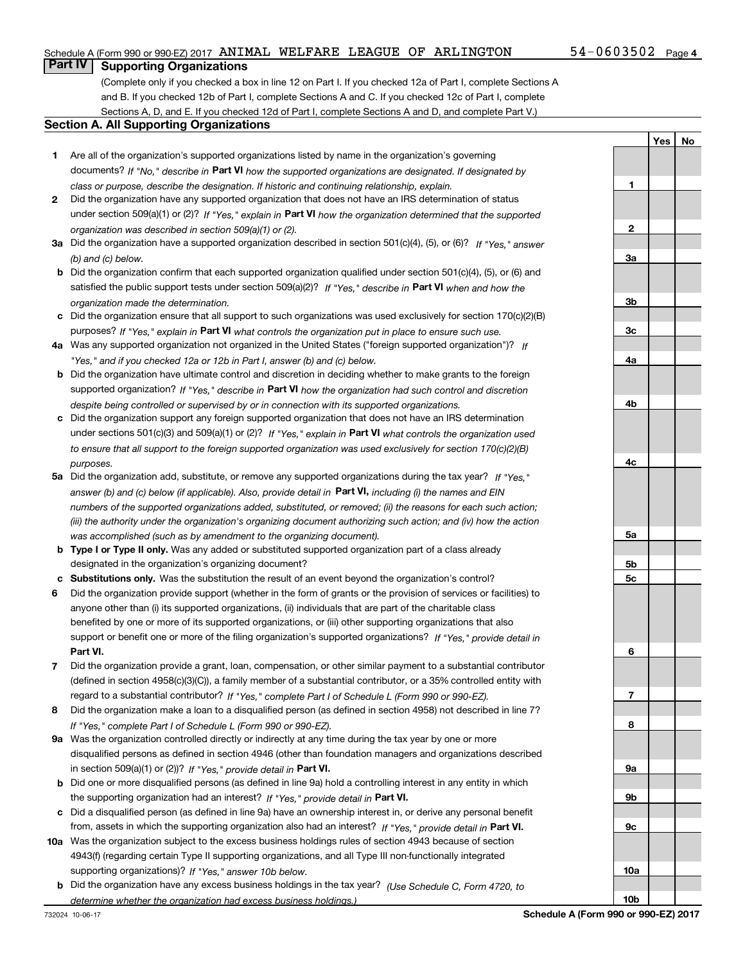### Schedule A (Form 990 or 990-EZ) 2017  $\,$  ANIMAL WELFARE LEAGUE OF  $\,$  ARLINGTON  $\,$   $\,$  54 $-$ 0603502  $\,$  Page

**1**

**YesNo**

### **Part IV Supporting Organizations**

(Complete only if you checked a box in line 12 on Part I. If you checked 12a of Part I, complete Sections A and B. If you checked 12b of Part I, complete Sections A and C. If you checked 12c of Part I, complete Sections A, D, and E. If you checked 12d of Part I, complete Sections A and D, and complete Part V.)

### **Section A. All Supporting Organizations**

- **1** Are all of the organization's supported organizations listed by name in the organization's governing documents? If "No," describe in **Part VI** how the supported organizations are designated. If designated by *class or purpose, describe the designation. If historic and continuing relationship, explain.*
- **2** Did the organization have any supported organization that does not have an IRS determination of status under section 509(a)(1) or (2)? If "Yes," explain in Part VI how the organization determined that the supported *organization was described in section 509(a)(1) or (2).*
- **3a** Did the organization have a supported organization described in section 501(c)(4), (5), or (6)? If "Yes," answer *(b) and (c) below.*
- **b** Did the organization confirm that each supported organization qualified under section 501(c)(4), (5), or (6) and satisfied the public support tests under section 509(a)(2)? If "Yes," describe in **Part VI** when and how the *organization made the determination.*
- **c**Did the organization ensure that all support to such organizations was used exclusively for section 170(c)(2)(B) purposes? If "Yes," explain in **Part VI** what controls the organization put in place to ensure such use.
- **4a***If* Was any supported organization not organized in the United States ("foreign supported organization")? *"Yes," and if you checked 12a or 12b in Part I, answer (b) and (c) below.*
- **b** Did the organization have ultimate control and discretion in deciding whether to make grants to the foreign supported organization? If "Yes," describe in **Part VI** how the organization had such control and discretion *despite being controlled or supervised by or in connection with its supported organizations.*
- **c** Did the organization support any foreign supported organization that does not have an IRS determination under sections 501(c)(3) and 509(a)(1) or (2)? If "Yes," explain in **Part VI** what controls the organization used *to ensure that all support to the foreign supported organization was used exclusively for section 170(c)(2)(B) purposes.*
- **5a***If "Yes,"* Did the organization add, substitute, or remove any supported organizations during the tax year? answer (b) and (c) below (if applicable). Also, provide detail in **Part VI,** including (i) the names and EIN *numbers of the supported organizations added, substituted, or removed; (ii) the reasons for each such action; (iii) the authority under the organization's organizing document authorizing such action; and (iv) how the action was accomplished (such as by amendment to the organizing document).*
- **b** Type I or Type II only. Was any added or substituted supported organization part of a class already designated in the organization's organizing document?
- **cSubstitutions only.**  Was the substitution the result of an event beyond the organization's control?
- **6** Did the organization provide support (whether in the form of grants or the provision of services or facilities) to **Part VI.** *If "Yes," provide detail in* support or benefit one or more of the filing organization's supported organizations? anyone other than (i) its supported organizations, (ii) individuals that are part of the charitable class benefited by one or more of its supported organizations, or (iii) other supporting organizations that also
- **7**Did the organization provide a grant, loan, compensation, or other similar payment to a substantial contributor *If "Yes," complete Part I of Schedule L (Form 990 or 990-EZ).* regard to a substantial contributor? (defined in section 4958(c)(3)(C)), a family member of a substantial contributor, or a 35% controlled entity with
- **8** Did the organization make a loan to a disqualified person (as defined in section 4958) not described in line 7? *If "Yes," complete Part I of Schedule L (Form 990 or 990-EZ).*
- **9a** Was the organization controlled directly or indirectly at any time during the tax year by one or more in section 509(a)(1) or (2))? If "Yes," *provide detail in* <code>Part VI.</code> disqualified persons as defined in section 4946 (other than foundation managers and organizations described
- **b** Did one or more disqualified persons (as defined in line 9a) hold a controlling interest in any entity in which the supporting organization had an interest? If "Yes," provide detail in P**art VI**.
- **c**Did a disqualified person (as defined in line 9a) have an ownership interest in, or derive any personal benefit from, assets in which the supporting organization also had an interest? If "Yes," provide detail in P**art VI.**
- **10a** Was the organization subject to the excess business holdings rules of section 4943 because of section supporting organizations)? If "Yes," answer 10b below. 4943(f) (regarding certain Type II supporting organizations, and all Type III non-functionally integrated
- **b** Did the organization have any excess business holdings in the tax year? (Use Schedule C, Form 4720, to *determine whether the organization had excess business holdings.)*

**10b**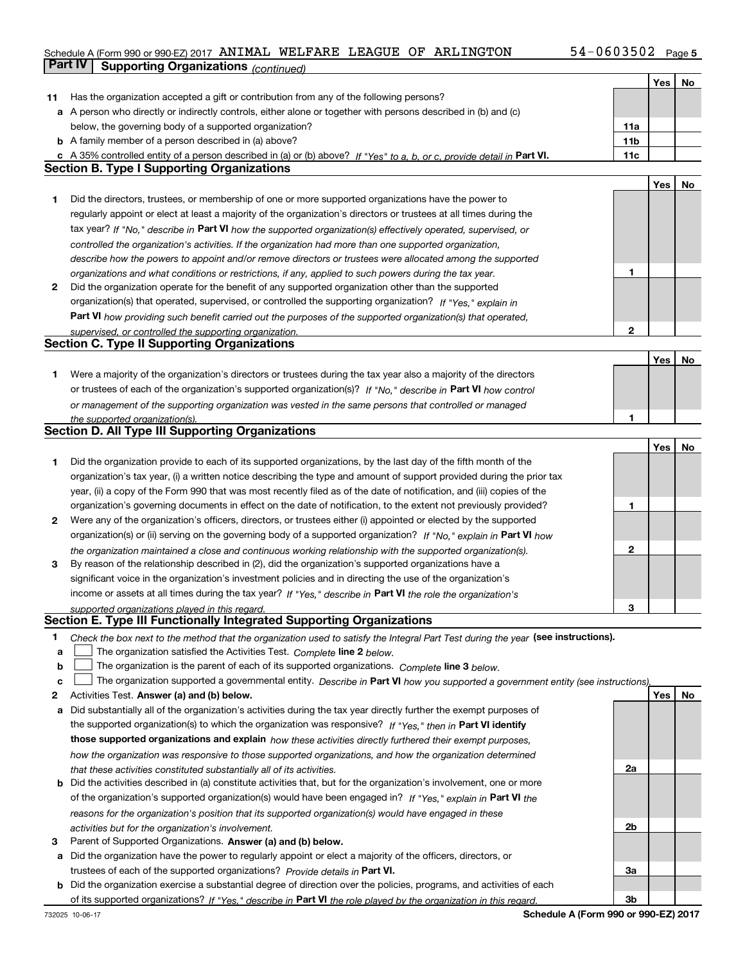### Schedule A (Form 990 or 990-EZ) 2017  $\,$  ANIMAL WELFARE LEAGUE OF  $\,$  ARLINGTON  $\,$   $\,$  54 $-$ 0603502  $\,$  Page **Part IV Supporting Organizations** *(continued)*

|    |                                                                                                                                   |     | Yes | No |
|----|-----------------------------------------------------------------------------------------------------------------------------------|-----|-----|----|
| 11 | Has the organization accepted a gift or contribution from any of the following persons?                                           |     |     |    |
|    | a A person who directly or indirectly controls, either alone or together with persons described in (b) and (c)                    |     |     |    |
|    | below, the governing body of a supported organization?                                                                            | 11a |     |    |
|    | <b>b</b> A family member of a person described in (a) above?                                                                      | 11b |     |    |
|    | c A 35% controlled entity of a person described in (a) or (b) above? If "Yes" to a, b, or c, provide detail in Part VI.           | 11c |     |    |
|    | Section B. Type I Supporting Organizations                                                                                        |     |     |    |
|    |                                                                                                                                   |     | Yes | No |
| 1  | Did the directors, trustees, or membership of one or more supported organizations have the power to                               |     |     |    |
|    | regularly appoint or elect at least a majority of the organization's directors or trustees at all times during the                |     |     |    |
|    | tax year? If "No," describe in Part VI how the supported organization(s) effectively operated, supervised, or                     |     |     |    |
|    | controlled the organization's activities. If the organization had more than one supported organization,                           |     |     |    |
|    | describe how the powers to appoint and/or remove directors or trustees were allocated among the supported                         |     |     |    |
|    | organizations and what conditions or restrictions, if any, applied to such powers during the tax year.                            | 1   |     |    |
| 2  | Did the organization operate for the benefit of any supported organization other than the supported                               |     |     |    |
|    | organization(s) that operated, supervised, or controlled the supporting organization? If "Yes," explain in                        |     |     |    |
|    | Part VI how providing such benefit carried out the purposes of the supported organization(s) that operated,                       |     |     |    |
|    | supervised, or controlled the supporting organization.                                                                            | 2   |     |    |
|    | <b>Section C. Type II Supporting Organizations</b>                                                                                |     |     |    |
|    |                                                                                                                                   |     | Yes | No |
| 1  | Were a majority of the organization's directors or trustees during the tax year also a majority of the directors                  |     |     |    |
|    | or trustees of each of the organization's supported organization(s)? If "No," describe in Part VI how control                     |     |     |    |
|    | or management of the supporting organization was vested in the same persons that controlled or managed                            |     |     |    |
|    | the supported organization(s).                                                                                                    |     |     |    |
|    | <b>Section D. All Type III Supporting Organizations</b>                                                                           |     |     |    |
|    |                                                                                                                                   |     | Yes | No |
| 1  | Did the organization provide to each of its supported organizations, by the last day of the fifth month of the                    |     |     |    |
|    | organization's tax year, (i) a written notice describing the type and amount of support provided during the prior tax             |     |     |    |
|    | year, (ii) a copy of the Form 990 that was most recently filed as of the date of notification, and (iii) copies of the            |     |     |    |
|    | organization's governing documents in effect on the date of notification, to the extent not previously provided?                  | 1   |     |    |
| 2  | Were any of the organization's officers, directors, or trustees either (i) appointed or elected by the supported                  |     |     |    |
|    | organization(s) or (ii) serving on the governing body of a supported organization? If "No," explain in Part VI how                |     |     |    |
|    | the organization maintained a close and continuous working relationship with the supported organization(s).                       | 2   |     |    |
| 3  | By reason of the relationship described in (2), did the organization's supported organizations have a                             |     |     |    |
|    | significant voice in the organization's investment policies and in directing the use of the organization's                        |     |     |    |
|    | income or assets at all times during the tax year? If "Yes," describe in Part VI the role the organization's                      |     |     |    |
|    | supported organizations played in this regard.                                                                                    | з   |     |    |
|    | Section E. Type III Functionally Integrated Supporting Organizations                                                              |     |     |    |
| 1  | Check the box next to the method that the organization used to satisfy the Integral Part Test during the year (see instructions). |     |     |    |
| a  | The organization satisfied the Activities Test. Complete line 2 below.                                                            |     |     |    |
| b  | The organization is the parent of each of its supported organizations. Complete line 3 below.                                     |     |     |    |
| c  | The organization supported a governmental entity. Describe in Part VI how you supported a government entity (see instructions).   |     |     |    |
| 2  | Activities Test. Answer (a) and (b) below.                                                                                        |     | Yes | No |
| а  | Did substantially all of the organization's activities during the tax year directly further the exempt purposes of                |     |     |    |
|    | the supported organization(s) to which the organization was responsive? If "Yes," then in Part VI identify                        |     |     |    |
|    | those supported organizations and explain how these activities directly furthered their exempt purposes,                          |     |     |    |
|    | how the organization was responsive to those supported organizations, and how the organization determined                         |     |     |    |
|    | that these activities constituted substantially all of its activities.                                                            | 2a  |     |    |
|    | <b>b</b> Did the activities described in (a) constitute activities that, but for the organization's involvement, one or more      |     |     |    |
|    | of the organization's supported organization(s) would have been engaged in? If "Yes," explain in Part VI the                      |     |     |    |
|    | reasons for the organization's position that its supported organization(s) would have engaged in these                            |     |     |    |
|    | activities but for the organization's involvement.                                                                                | 2b  |     |    |
| з  | Parent of Supported Organizations. Answer (a) and (b) below.                                                                      |     |     |    |
| a  | Did the organization have the power to regularly appoint or elect a majority of the officers, directors, or                       |     |     |    |
|    | trustees of each of the supported organizations? Provide details in Part VI.                                                      | За  |     |    |
|    | <b>b</b> Did the organization exercise a substantial degree of direction over the policies, programs, and activities of each      |     |     |    |
|    | of its supported organizations? If "Yes," describe in Part VI the role played by the organization in this regard.                 | 3b  |     |    |
|    |                                                                                                                                   |     |     |    |

**Schedule A (Form 990 or 990-EZ) 2017**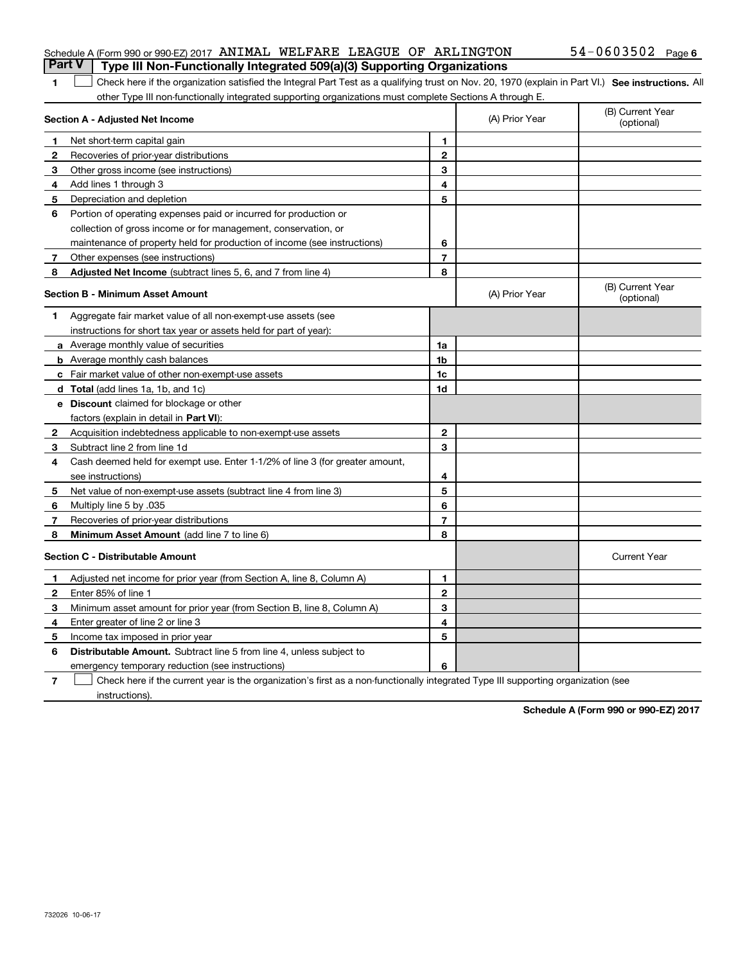### Schedule A (Form 990 or 990-EZ) 2017  $\,$  ANIMAL WELFARE LEAGUE OF  $\,$  ARLINGTON  $\,$   $\,$  54 $-$ 0603502  $\,$  Page **Part V Type III Non-Functionally Integrated 509(a)(3) Supporting Organizations**

| 1 Check here if the organization satisfied the Integral Part Test as a qualifying trust on Nov. 20, 1970 (explain in Part VI.) See instructions. All |  |
|------------------------------------------------------------------------------------------------------------------------------------------------------|--|
| other Type III non-functionally integrated supporting organizations must complete Sections A through E.                                              |  |

| Section A - Adjusted Net Income |                                                                              |                | (A) Prior Year | (B) Current Year<br>(optional) |
|---------------------------------|------------------------------------------------------------------------------|----------------|----------------|--------------------------------|
| 1.                              | Net short-term capital gain                                                  | 1              |                |                                |
| 2                               | Recoveries of prior-year distributions                                       | $\overline{2}$ |                |                                |
| 3                               | Other gross income (see instructions)                                        | 3              |                |                                |
| 4                               | Add lines 1 through 3                                                        | 4              |                |                                |
| 5                               | Depreciation and depletion                                                   | 5              |                |                                |
| 6                               | Portion of operating expenses paid or incurred for production or             |                |                |                                |
|                                 | collection of gross income or for management, conservation, or               |                |                |                                |
|                                 | maintenance of property held for production of income (see instructions)     | 6              |                |                                |
| 7                               | Other expenses (see instructions)                                            | $\overline{7}$ |                |                                |
| 8                               | Adjusted Net Income (subtract lines 5, 6, and 7 from line 4)                 | 8              |                |                                |
|                                 | <b>Section B - Minimum Asset Amount</b>                                      |                | (A) Prior Year | (B) Current Year<br>(optional) |
| 1                               | Aggregate fair market value of all non-exempt-use assets (see                |                |                |                                |
|                                 | instructions for short tax year or assets held for part of year):            |                |                |                                |
|                                 | <b>a</b> Average monthly value of securities                                 | 1a             |                |                                |
|                                 | <b>b</b> Average monthly cash balances                                       | 1b             |                |                                |
|                                 | c Fair market value of other non-exempt-use assets                           | 1c             |                |                                |
|                                 | <b>d</b> Total (add lines 1a, 1b, and 1c)                                    | 1d             |                |                                |
|                                 | e Discount claimed for blockage or other                                     |                |                |                                |
|                                 | factors (explain in detail in Part VI):                                      |                |                |                                |
| 2                               | Acquisition indebtedness applicable to non-exempt-use assets                 | $\mathbf{2}$   |                |                                |
| 3                               | Subtract line 2 from line 1d                                                 | 3              |                |                                |
| 4                               | Cash deemed held for exempt use. Enter 1-1/2% of line 3 (for greater amount, |                |                |                                |
|                                 | see instructions)                                                            | 4              |                |                                |
| 5                               | Net value of non-exempt-use assets (subtract line 4 from line 3)             | 5              |                |                                |
| 6                               | Multiply line 5 by .035                                                      | 6              |                |                                |
| 7                               | Recoveries of prior-year distributions                                       | $\overline{7}$ |                |                                |
| 8                               | Minimum Asset Amount (add line 7 to line 6)                                  | 8              |                |                                |
|                                 | <b>Section C - Distributable Amount</b>                                      |                |                | <b>Current Year</b>            |
| $\mathbf{1}$                    | Adjusted net income for prior year (from Section A, line 8, Column A)        | 1              |                |                                |
| 2                               | Enter 85% of line 1                                                          | $\mathbf{2}$   |                |                                |
| 3                               | Minimum asset amount for prior year (from Section B, line 8, Column A)       | 3              |                |                                |
| 4                               | Enter greater of line 2 or line 3                                            | 4              |                |                                |
| 5                               | Income tax imposed in prior year                                             | 5              |                |                                |
| 6                               | <b>Distributable Amount.</b> Subtract line 5 from line 4, unless subject to  |                |                |                                |
|                                 | emergency temporary reduction (see instructions)                             | 6              |                |                                |

**7**Check here if the current year is the organization's first as a non-functionally integrated Type III supporting organization (see instructions).

**Schedule A (Form 990 or 990-EZ) 2017**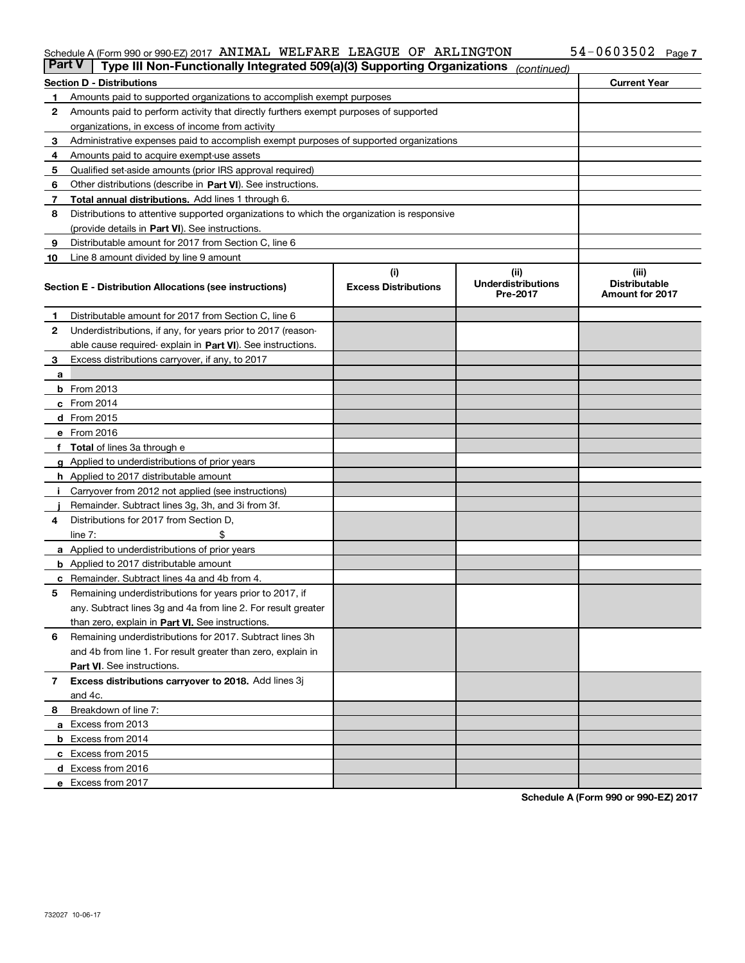#### Schedule A (Form 990 or 990-EZ) 2017 AN IMAL WELFARE LEAGUE OF ARLINGTON 54-U6U35UZ Page ANIMAL WELFARE LEAGUE OF ARLINGTON 54-0603502

| <b>Part V</b> | Type III Non-Functionally Integrated 509(a)(3) Supporting Organizations                    |                             | (continued)                           |                                                |  |  |  |
|---------------|--------------------------------------------------------------------------------------------|-----------------------------|---------------------------------------|------------------------------------------------|--|--|--|
|               | <b>Section D - Distributions</b>                                                           |                             |                                       | <b>Current Year</b>                            |  |  |  |
| 1             | Amounts paid to supported organizations to accomplish exempt purposes                      |                             |                                       |                                                |  |  |  |
| 2             | Amounts paid to perform activity that directly furthers exempt purposes of supported       |                             |                                       |                                                |  |  |  |
|               | organizations, in excess of income from activity                                           |                             |                                       |                                                |  |  |  |
| з             | Administrative expenses paid to accomplish exempt purposes of supported organizations      |                             |                                       |                                                |  |  |  |
| 4             | Amounts paid to acquire exempt-use assets                                                  |                             |                                       |                                                |  |  |  |
| 5             | Qualified set-aside amounts (prior IRS approval required)                                  |                             |                                       |                                                |  |  |  |
| 6             | Other distributions (describe in Part VI). See instructions.                               |                             |                                       |                                                |  |  |  |
| 7             | Total annual distributions. Add lines 1 through 6.                                         |                             |                                       |                                                |  |  |  |
| 8             | Distributions to attentive supported organizations to which the organization is responsive |                             |                                       |                                                |  |  |  |
|               | (provide details in Part VI). See instructions.                                            |                             |                                       |                                                |  |  |  |
| 9             | Distributable amount for 2017 from Section C, line 6                                       |                             |                                       |                                                |  |  |  |
| 10            | Line 8 amount divided by line 9 amount                                                     |                             |                                       |                                                |  |  |  |
|               |                                                                                            | (i)                         | (ii)                                  | (iii)                                          |  |  |  |
|               | <b>Section E - Distribution Allocations (see instructions)</b>                             | <b>Excess Distributions</b> | <b>Underdistributions</b><br>Pre-2017 | <b>Distributable</b><br><b>Amount for 2017</b> |  |  |  |
| 1             | Distributable amount for 2017 from Section C, line 6                                       |                             |                                       |                                                |  |  |  |
| 2             | Underdistributions, if any, for years prior to 2017 (reason-                               |                             |                                       |                                                |  |  |  |
|               | able cause required- explain in Part VI). See instructions.                                |                             |                                       |                                                |  |  |  |
| 3             | Excess distributions carryover, if any, to 2017                                            |                             |                                       |                                                |  |  |  |
| а             |                                                                                            |                             |                                       |                                                |  |  |  |
|               | <b>b</b> From 2013                                                                         |                             |                                       |                                                |  |  |  |
|               | $c$ From 2014                                                                              |                             |                                       |                                                |  |  |  |
|               | d From 2015                                                                                |                             |                                       |                                                |  |  |  |
|               | e From 2016                                                                                |                             |                                       |                                                |  |  |  |
|               | Total of lines 3a through e                                                                |                             |                                       |                                                |  |  |  |
|               | <b>g</b> Applied to underdistributions of prior years                                      |                             |                                       |                                                |  |  |  |
|               | <b>h</b> Applied to 2017 distributable amount                                              |                             |                                       |                                                |  |  |  |
|               | Carryover from 2012 not applied (see instructions)                                         |                             |                                       |                                                |  |  |  |
|               | Remainder. Subtract lines 3g, 3h, and 3i from 3f.                                          |                             |                                       |                                                |  |  |  |
| 4             | Distributions for 2017 from Section D,                                                     |                             |                                       |                                                |  |  |  |
|               | line $7:$                                                                                  |                             |                                       |                                                |  |  |  |
|               | <b>a</b> Applied to underdistributions of prior years                                      |                             |                                       |                                                |  |  |  |
|               | <b>b</b> Applied to 2017 distributable amount                                              |                             |                                       |                                                |  |  |  |
| с             | Remainder. Subtract lines 4a and 4b from 4.                                                |                             |                                       |                                                |  |  |  |
| 5             | Remaining underdistributions for years prior to 2017, if                                   |                             |                                       |                                                |  |  |  |
|               | any. Subtract lines 3g and 4a from line 2. For result greater                              |                             |                                       |                                                |  |  |  |
|               | than zero, explain in Part VI. See instructions.                                           |                             |                                       |                                                |  |  |  |
| 6             | Remaining underdistributions for 2017. Subtract lines 3h                                   |                             |                                       |                                                |  |  |  |
|               | and 4b from line 1. For result greater than zero, explain in                               |                             |                                       |                                                |  |  |  |
|               | Part VI. See instructions.                                                                 |                             |                                       |                                                |  |  |  |
| 7             | Excess distributions carryover to 2018. Add lines 3j                                       |                             |                                       |                                                |  |  |  |
|               | and 4c.                                                                                    |                             |                                       |                                                |  |  |  |
| 8             | Breakdown of line 7:                                                                       |                             |                                       |                                                |  |  |  |
|               | a Excess from 2013                                                                         |                             |                                       |                                                |  |  |  |
|               | <b>b</b> Excess from 2014                                                                  |                             |                                       |                                                |  |  |  |
|               | c Excess from 2015                                                                         |                             |                                       |                                                |  |  |  |
|               | d Excess from 2016                                                                         |                             |                                       |                                                |  |  |  |
|               |                                                                                            |                             |                                       |                                                |  |  |  |
|               | e Excess from 2017                                                                         |                             |                                       |                                                |  |  |  |

**Schedule A (Form 990 or 990-EZ) 2017**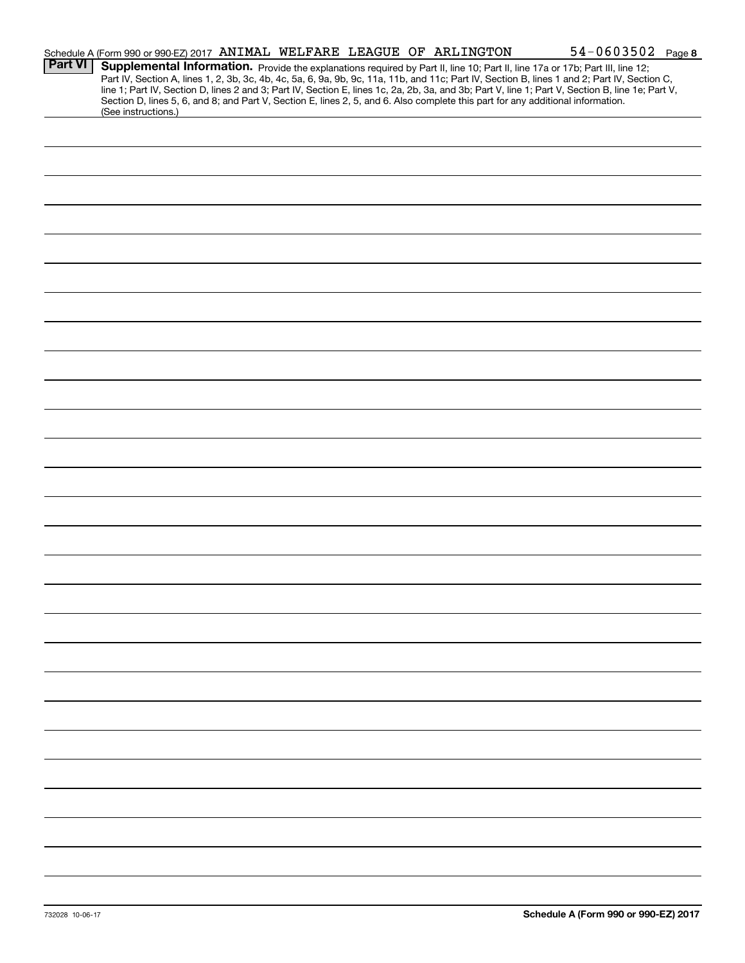|                | Schedule A (Form 990 or 990-EZ) 2017 ANIMAL WELFARE LEAGUE OF ARLINGTON                                                                                |  |  | 54-0603502 Page 8                                                                                                                                                                                                                                                                                                                                                                                                                 |  |
|----------------|--------------------------------------------------------------------------------------------------------------------------------------------------------|--|--|-----------------------------------------------------------------------------------------------------------------------------------------------------------------------------------------------------------------------------------------------------------------------------------------------------------------------------------------------------------------------------------------------------------------------------------|--|
| <b>Part VI</b> | Section D, lines 5, 6, and 8; and Part V, Section E, lines 2, 5, and 6. Also complete this part for any additional information.<br>(See instructions.) |  |  | Supplemental Information. Provide the explanations required by Part II, line 10; Part II, line 17a or 17b; Part III, line 12;<br>Part IV, Section A, lines 1, 2, 3b, 3c, 4b, 4c, 5a, 6, 9a, 9b, 9c, 11a, 11b, and 11c; Part IV, Section B, lines 1 and 2; Part IV, Section C,<br>line 1; Part IV, Section D, lines 2 and 3; Part IV, Section E, lines 1c, 2a, 2b, 3a, and 3b; Part V, line 1; Part V, Section B, line 1e; Part V, |  |
|                |                                                                                                                                                        |  |  |                                                                                                                                                                                                                                                                                                                                                                                                                                   |  |
|                |                                                                                                                                                        |  |  |                                                                                                                                                                                                                                                                                                                                                                                                                                   |  |
|                |                                                                                                                                                        |  |  |                                                                                                                                                                                                                                                                                                                                                                                                                                   |  |
|                |                                                                                                                                                        |  |  |                                                                                                                                                                                                                                                                                                                                                                                                                                   |  |
|                |                                                                                                                                                        |  |  |                                                                                                                                                                                                                                                                                                                                                                                                                                   |  |
|                |                                                                                                                                                        |  |  |                                                                                                                                                                                                                                                                                                                                                                                                                                   |  |
|                |                                                                                                                                                        |  |  |                                                                                                                                                                                                                                                                                                                                                                                                                                   |  |
|                |                                                                                                                                                        |  |  |                                                                                                                                                                                                                                                                                                                                                                                                                                   |  |
|                |                                                                                                                                                        |  |  |                                                                                                                                                                                                                                                                                                                                                                                                                                   |  |
|                |                                                                                                                                                        |  |  |                                                                                                                                                                                                                                                                                                                                                                                                                                   |  |
|                |                                                                                                                                                        |  |  |                                                                                                                                                                                                                                                                                                                                                                                                                                   |  |
|                |                                                                                                                                                        |  |  |                                                                                                                                                                                                                                                                                                                                                                                                                                   |  |
|                |                                                                                                                                                        |  |  |                                                                                                                                                                                                                                                                                                                                                                                                                                   |  |
|                |                                                                                                                                                        |  |  |                                                                                                                                                                                                                                                                                                                                                                                                                                   |  |
|                |                                                                                                                                                        |  |  |                                                                                                                                                                                                                                                                                                                                                                                                                                   |  |
|                |                                                                                                                                                        |  |  |                                                                                                                                                                                                                                                                                                                                                                                                                                   |  |
|                |                                                                                                                                                        |  |  |                                                                                                                                                                                                                                                                                                                                                                                                                                   |  |
|                |                                                                                                                                                        |  |  |                                                                                                                                                                                                                                                                                                                                                                                                                                   |  |
|                |                                                                                                                                                        |  |  |                                                                                                                                                                                                                                                                                                                                                                                                                                   |  |
|                |                                                                                                                                                        |  |  |                                                                                                                                                                                                                                                                                                                                                                                                                                   |  |
|                |                                                                                                                                                        |  |  |                                                                                                                                                                                                                                                                                                                                                                                                                                   |  |
|                |                                                                                                                                                        |  |  |                                                                                                                                                                                                                                                                                                                                                                                                                                   |  |
|                |                                                                                                                                                        |  |  |                                                                                                                                                                                                                                                                                                                                                                                                                                   |  |
|                |                                                                                                                                                        |  |  |                                                                                                                                                                                                                                                                                                                                                                                                                                   |  |
|                |                                                                                                                                                        |  |  |                                                                                                                                                                                                                                                                                                                                                                                                                                   |  |
|                |                                                                                                                                                        |  |  |                                                                                                                                                                                                                                                                                                                                                                                                                                   |  |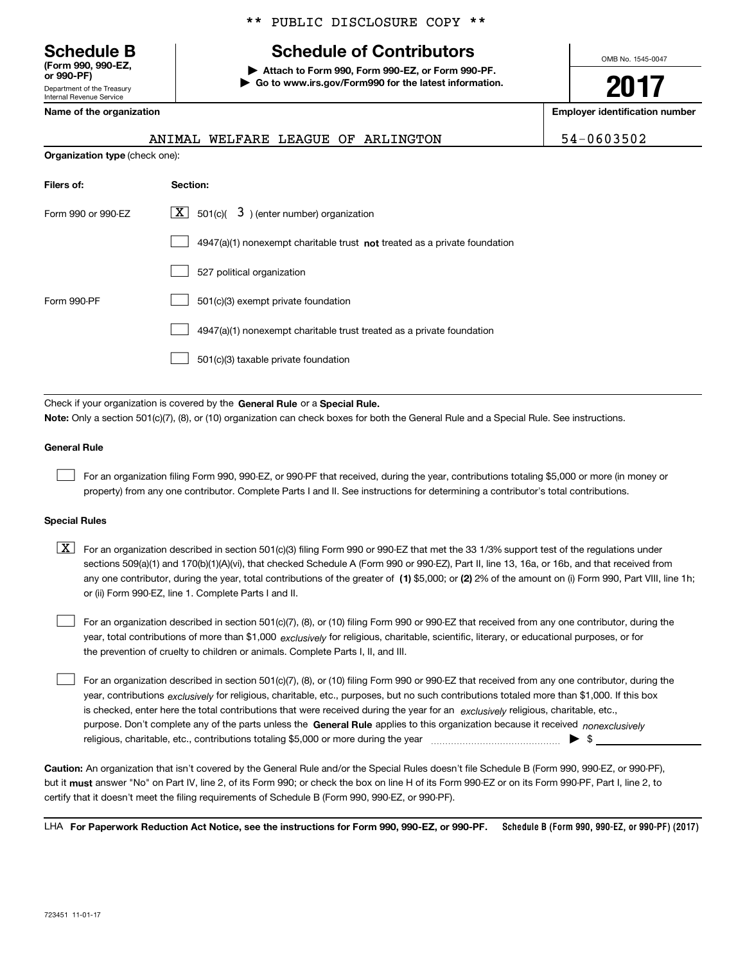Department of the Treasury Internal Revenue Service **(Form 990, 990-EZ, or 990-PF)**

### \*\* PUBLIC DISCLOSURE COPY \*\*

### **Schedule B Schedule of Contributors**

**| Attach to Form 990, Form 990-EZ, or Form 990-PF. | Go to www.irs.gov/Form990 for the latest information.** OMB No. 1545-0047

**2017**

**Name of the organization Employer identification number**

|                                       | ANIMAL WELFARE LEAGUE OF ARLINGTON                                          | 54-0603502 |
|---------------------------------------|-----------------------------------------------------------------------------|------------|
| <b>Organization type (check one):</b> |                                                                             |            |
| Filers of:                            | Section:                                                                    |            |
| Form 990 or 990-EZ                    | $\lfloor x \rfloor$ 501(c)( 3) (enter number) organization                  |            |
|                                       | $4947(a)(1)$ nonexempt charitable trust not treated as a private foundation |            |
|                                       | 527 political organization                                                  |            |
| Form 990-PF                           | 501(c)(3) exempt private foundation                                         |            |
|                                       | 4947(a)(1) nonexempt charitable trust treated as a private foundation       |            |
|                                       | 501(c)(3) taxable private foundation                                        |            |
|                                       |                                                                             |            |

Check if your organization is covered by the **General Rule** or a **Special Rule. Note:**  Only a section 501(c)(7), (8), or (10) organization can check boxes for both the General Rule and a Special Rule. See instructions.

#### **General Rule**

 $\mathcal{L}^{\text{max}}$ 

For an organization filing Form 990, 990-EZ, or 990-PF that received, during the year, contributions totaling \$5,000 or more (in money or property) from any one contributor. Complete Parts I and II. See instructions for determining a contributor's total contributions.

#### **Special Rules**

 $\mathcal{L}^{\text{max}}$ 

any one contributor, during the year, total contributions of the greater of  $\,$  (1) \$5,000; or **(2)** 2% of the amount on (i) Form 990, Part VIII, line 1h;  $\boxed{\textbf{X}}$  For an organization described in section 501(c)(3) filing Form 990 or 990-EZ that met the 33 1/3% support test of the regulations under sections 509(a)(1) and 170(b)(1)(A)(vi), that checked Schedule A (Form 990 or 990-EZ), Part II, line 13, 16a, or 16b, and that received from or (ii) Form 990-EZ, line 1. Complete Parts I and II.

year, total contributions of more than \$1,000 *exclusively* for religious, charitable, scientific, literary, or educational purposes, or for For an organization described in section 501(c)(7), (8), or (10) filing Form 990 or 990-EZ that received from any one contributor, during the the prevention of cruelty to children or animals. Complete Parts I, II, and III.  $\mathcal{L}^{\text{max}}$ 

purpose. Don't complete any of the parts unless the **General Rule** applies to this organization because it received *nonexclusively* year, contributions <sub>exclusively</sub> for religious, charitable, etc., purposes, but no such contributions totaled more than \$1,000. If this box is checked, enter here the total contributions that were received during the year for an  $\;$ exclusively religious, charitable, etc., For an organization described in section 501(c)(7), (8), or (10) filing Form 990 or 990-EZ that received from any one contributor, during the religious, charitable, etc., contributions totaling \$5,000 or more during the year  $\Box$ — $\Box$   $\Box$ 

**Caution:**  An organization that isn't covered by the General Rule and/or the Special Rules doesn't file Schedule B (Form 990, 990-EZ, or 990-PF),  **must** but it answer "No" on Part IV, line 2, of its Form 990; or check the box on line H of its Form 990-EZ or on its Form 990-PF, Part I, line 2, to certify that it doesn't meet the filing requirements of Schedule B (Form 990, 990-EZ, or 990-PF).

**Schedule B (Form 990, 990-EZ, or 990-PF) (2017) For Paperwork Reduction Act Notice, see the instructions for Form 990, 990-EZ, or 990-PF.** LHA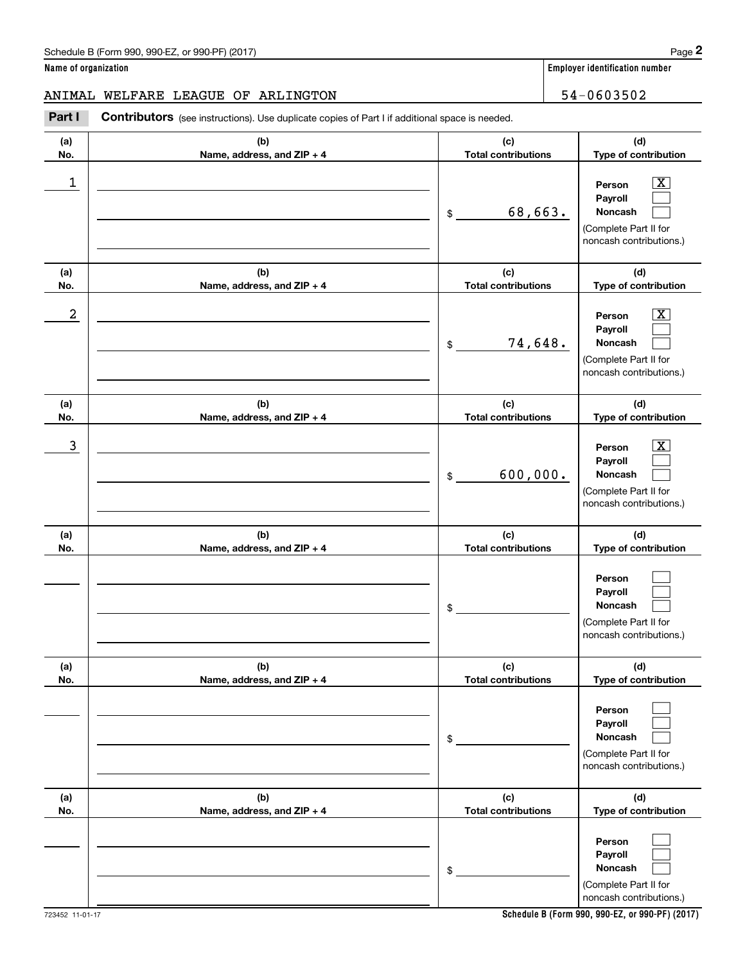**Name of organization Employer identification number**

### ANIMAL WELFARE LEAGUE OF ARLINGTON 54-0603502

(schedule B (Form 990, 990-EZ, or 990-PF) (2017)<br> **2 ame of organization**<br> **2 ATIME INTIME INTIME INTIME INTIME OF ARLINGTON 54-0603502**<br> **2 Part I Contributors** (see instructions). Use duplicate copies of Part I if addi

| (a)<br>No. | (b)<br>Name, address, and ZIP + 4 | (c)<br><b>Total contributions</b> | (d)<br>Type of contribution                                                           |
|------------|-----------------------------------|-----------------------------------|---------------------------------------------------------------------------------------|
| 1          |                                   | 68,663.<br>\$                     | X<br>Person<br>Payroll<br>Noncash<br>(Complete Part II for<br>noncash contributions.) |
| (a)<br>No. | (b)<br>Name, address, and ZIP + 4 | (c)<br><b>Total contributions</b> | (d)<br>Type of contribution                                                           |
| 2          |                                   | 74,648.<br>$\,$                   | х<br>Person<br>Payroll<br>Noncash<br>(Complete Part II for<br>noncash contributions.) |
| (a)<br>No. | (b)<br>Name, address, and ZIP + 4 | (c)<br><b>Total contributions</b> | (d)<br>Type of contribution                                                           |
| 3          |                                   | 600,000.<br>$\$$                  | x<br>Person<br>Payroll<br>Noncash<br>(Complete Part II for<br>noncash contributions.) |
| (a)<br>No. | (b)<br>Name, address, and ZIP + 4 | (c)<br><b>Total contributions</b> | (d)<br>Type of contribution                                                           |
|            |                                   | \$                                | Person<br>Payroll<br>Noncash<br>(Complete Part II for<br>noncash contributions.)      |
| (a)<br>No. | (b)<br>Name, address, and ZIP + 4 | (c)<br><b>Total contributions</b> | (d)<br>Type of contribution                                                           |
|            |                                   | \$                                | Person<br>Payroll<br>Noncash<br>(Complete Part II for<br>noncash contributions.)      |
| (a)<br>No. | (b)<br>Name, address, and ZIP + 4 | (c)<br><b>Total contributions</b> | (d)<br>Type of contribution                                                           |
|            |                                   | \$                                | Person<br>Payroll<br>Noncash<br>(Complete Part II for<br>noncash contributions.)      |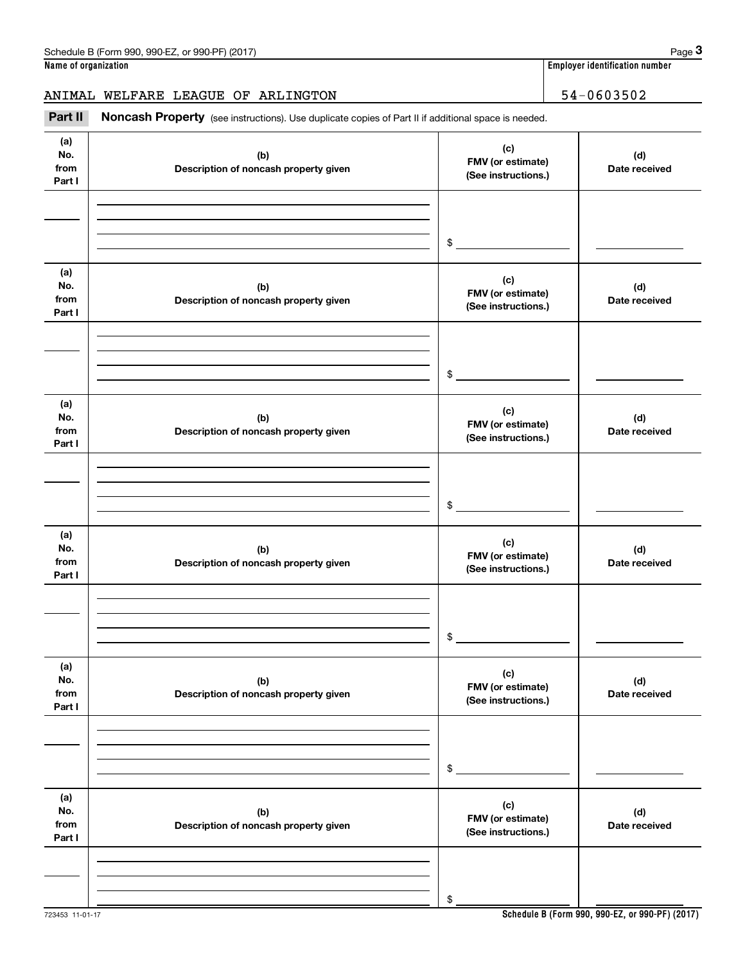**Name of organization Employer identification number**

ANIMAL WELFARE LEAGUE OF ARLINGTON 54-0603502

(see instructions). Use duplicate copies of Part II if additional space is needed.<br>**3Part II Noncash Property** (see instructions). Use duplicate copies of Part II if additional space is needed.<br>**3Part II Noncash Proper** 

| (a)<br>No.<br>from<br>Part I | (b)<br>Description of noncash property given | (c)<br>FMV (or estimate)<br>(See instructions.) | (d)<br>Date received |
|------------------------------|----------------------------------------------|-------------------------------------------------|----------------------|
|                              |                                              |                                                 |                      |
|                              |                                              | $\frac{1}{2}$                                   |                      |
| (a)<br>No.<br>from<br>Part I | (b)<br>Description of noncash property given | (c)<br>FMV (or estimate)<br>(See instructions.) | (d)<br>Date received |
|                              |                                              |                                                 |                      |
|                              |                                              | $\frac{1}{2}$                                   |                      |
| (a)<br>No.<br>from<br>Part I | (b)<br>Description of noncash property given | (c)<br>FMV (or estimate)<br>(See instructions.) | (d)<br>Date received |
|                              |                                              |                                                 |                      |
|                              |                                              | $\frac{1}{2}$                                   |                      |
| (a)<br>No.<br>from<br>Part I | (b)<br>Description of noncash property given | (c)<br>FMV (or estimate)<br>(See instructions.) | (d)<br>Date received |
|                              |                                              |                                                 |                      |
|                              |                                              | \$                                              |                      |
| (a)<br>No.<br>from<br>Part I | (b)<br>Description of noncash property given | (c)<br>FMV (or estimate)<br>(See instructions.) | (d)<br>Date received |
|                              |                                              |                                                 |                      |
|                              |                                              | \$                                              |                      |
| (a)<br>No.<br>from<br>Part I | (b)<br>Description of noncash property given | (c)<br>FMV (or estimate)<br>(See instructions.) | (d)<br>Date received |
|                              |                                              |                                                 |                      |
|                              |                                              | \$                                              |                      |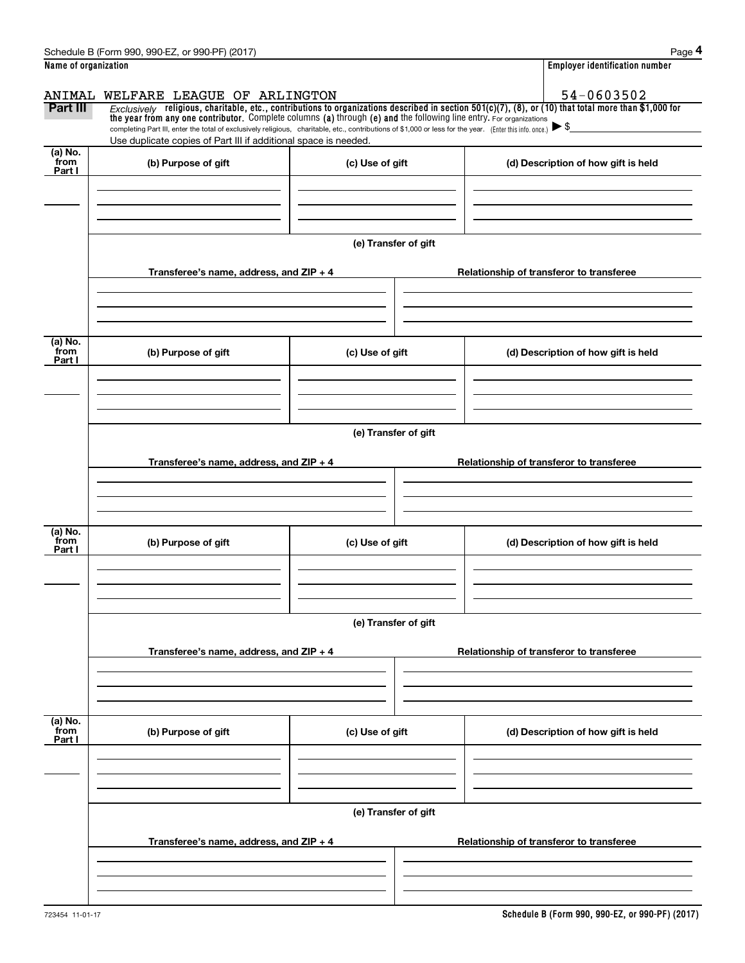|                      | Schedule B (Form 990, 990-EZ, or 990-PF) (2017)                                                                                                                                   |                      | Page 4                                                                                                                                                |  |  |  |
|----------------------|-----------------------------------------------------------------------------------------------------------------------------------------------------------------------------------|----------------------|-------------------------------------------------------------------------------------------------------------------------------------------------------|--|--|--|
| Name of organization |                                                                                                                                                                                   |                      | <b>Employer identification number</b>                                                                                                                 |  |  |  |
| ANIMAL               | WELFARE LEAGUE OF ARLINGTON                                                                                                                                                       |                      | 54-0603502                                                                                                                                            |  |  |  |
| Part III             | the year from any one contributor. Complete columns (a) through (e) and the following line entry. For organizations                                                               |                      | Exclusively religious, charitable, etc., contributions to organizations described in section 501(c)(7), (8), or (10) that total more than \$1,000 for |  |  |  |
|                      | completing Part III, enter the total of exclusively religious, charitable, etc., contributions of \$1,000 or less for the year. (Enter this info. once.) $\blacktriangleright$ \$ |                      |                                                                                                                                                       |  |  |  |
| (a) No.              | Use duplicate copies of Part III if additional space is needed.                                                                                                                   |                      |                                                                                                                                                       |  |  |  |
| from<br>Part I       | (b) Purpose of gift                                                                                                                                                               | (c) Use of gift      | (d) Description of how gift is held                                                                                                                   |  |  |  |
|                      |                                                                                                                                                                                   |                      |                                                                                                                                                       |  |  |  |
|                      |                                                                                                                                                                                   |                      |                                                                                                                                                       |  |  |  |
|                      |                                                                                                                                                                                   |                      |                                                                                                                                                       |  |  |  |
|                      |                                                                                                                                                                                   | (e) Transfer of gift |                                                                                                                                                       |  |  |  |
|                      | Transferee's name, address, and $ZIP + 4$                                                                                                                                         |                      | Relationship of transferor to transferee                                                                                                              |  |  |  |
|                      |                                                                                                                                                                                   |                      |                                                                                                                                                       |  |  |  |
|                      |                                                                                                                                                                                   |                      |                                                                                                                                                       |  |  |  |
|                      |                                                                                                                                                                                   |                      |                                                                                                                                                       |  |  |  |
| (a) No.<br>from      | (b) Purpose of gift                                                                                                                                                               | (c) Use of gift      | (d) Description of how gift is held                                                                                                                   |  |  |  |
| Part I               |                                                                                                                                                                                   |                      |                                                                                                                                                       |  |  |  |
|                      |                                                                                                                                                                                   |                      |                                                                                                                                                       |  |  |  |
|                      |                                                                                                                                                                                   |                      |                                                                                                                                                       |  |  |  |
|                      | (e) Transfer of gift                                                                                                                                                              |                      |                                                                                                                                                       |  |  |  |
|                      |                                                                                                                                                                                   |                      |                                                                                                                                                       |  |  |  |
|                      | Transferee's name, address, and $ZIP + 4$                                                                                                                                         |                      | Relationship of transferor to transferee                                                                                                              |  |  |  |
|                      |                                                                                                                                                                                   |                      |                                                                                                                                                       |  |  |  |
|                      |                                                                                                                                                                                   |                      |                                                                                                                                                       |  |  |  |
| (a) No.              |                                                                                                                                                                                   |                      |                                                                                                                                                       |  |  |  |
| from<br>Part I       | (b) Purpose of gift                                                                                                                                                               | (c) Use of gift      | (d) Description of how gift is held                                                                                                                   |  |  |  |
|                      |                                                                                                                                                                                   |                      |                                                                                                                                                       |  |  |  |
|                      |                                                                                                                                                                                   |                      |                                                                                                                                                       |  |  |  |
|                      |                                                                                                                                                                                   |                      |                                                                                                                                                       |  |  |  |
|                      |                                                                                                                                                                                   | (e) Transfer of gift |                                                                                                                                                       |  |  |  |
|                      | Transferee's name, address, and $ZIP + 4$                                                                                                                                         |                      | Relationship of transferor to transferee                                                                                                              |  |  |  |
|                      |                                                                                                                                                                                   |                      |                                                                                                                                                       |  |  |  |
|                      |                                                                                                                                                                                   |                      |                                                                                                                                                       |  |  |  |
|                      |                                                                                                                                                                                   |                      |                                                                                                                                                       |  |  |  |
| (a) No.<br>from      | (b) Purpose of gift                                                                                                                                                               | (c) Use of gift      | (d) Description of how gift is held                                                                                                                   |  |  |  |
| Part I               |                                                                                                                                                                                   |                      |                                                                                                                                                       |  |  |  |
|                      |                                                                                                                                                                                   |                      |                                                                                                                                                       |  |  |  |
|                      |                                                                                                                                                                                   |                      |                                                                                                                                                       |  |  |  |
|                      | (e) Transfer of gift                                                                                                                                                              |                      |                                                                                                                                                       |  |  |  |
|                      |                                                                                                                                                                                   |                      |                                                                                                                                                       |  |  |  |
|                      | Transferee's name, address, and $ZIP + 4$                                                                                                                                         |                      | Relationship of transferor to transferee                                                                                                              |  |  |  |
|                      |                                                                                                                                                                                   |                      |                                                                                                                                                       |  |  |  |
|                      |                                                                                                                                                                                   |                      |                                                                                                                                                       |  |  |  |
|                      |                                                                                                                                                                                   |                      |                                                                                                                                                       |  |  |  |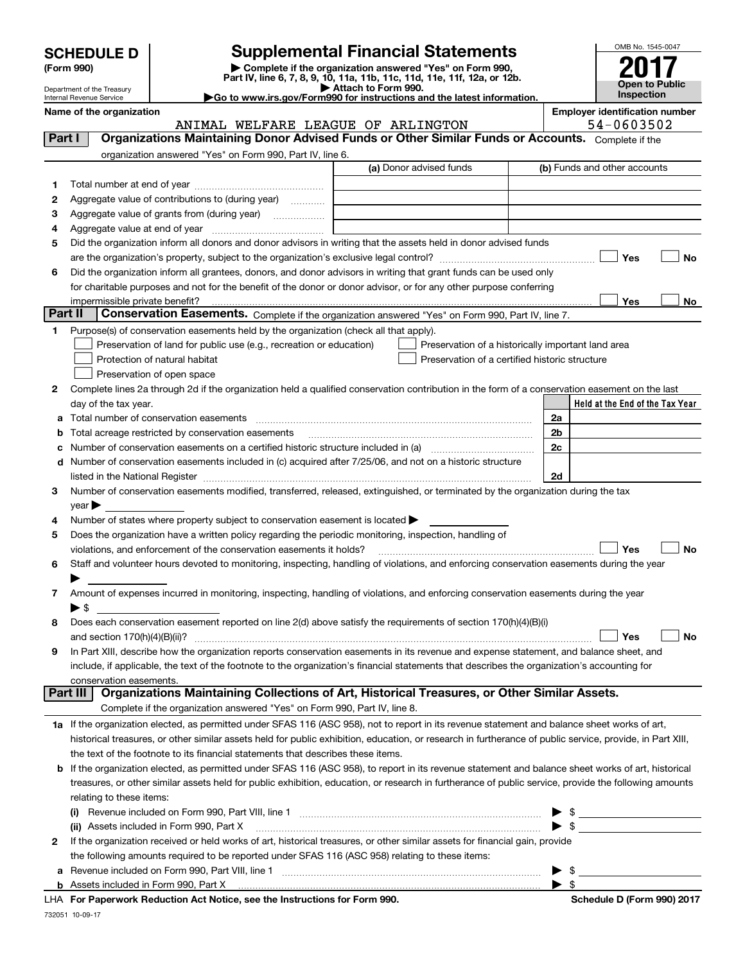| <b>SCHEDULE D</b> |  |
|-------------------|--|
|-------------------|--|

| (Form 990) |  |
|------------|--|
|------------|--|

### **Supplemental Financial Statements**

(Form 990)<br>
Pepartment of the Treasury<br>
Department of the Treasury<br>
Department of the Treasury<br>
Department of the Treasury<br> **Co to www.irs.gov/Form990 for instructions and the latest information.**<br> **Co to www.irs.gov/Form9** 



Department of the Treasury Internal Revenue Service

**Name of the organization Employer identification number**

ANIMAL WELFARE LEAGUE OF ARLINGTON 54-0603502

| Part I       | <b>Organizations Maintaining Donor Advised Funds or Other Similar Funds or Accounts.</b> Complete if the                                                  |                         |                                                    |
|--------------|-----------------------------------------------------------------------------------------------------------------------------------------------------------|-------------------------|----------------------------------------------------|
|              | organization answered "Yes" on Form 990, Part IV, line 6.                                                                                                 |                         |                                                    |
|              |                                                                                                                                                           | (a) Donor advised funds | (b) Funds and other accounts                       |
| 1.           |                                                                                                                                                           |                         |                                                    |
| 2            | Aggregate value of contributions to (during year)                                                                                                         |                         |                                                    |
| з            |                                                                                                                                                           |                         |                                                    |
| 4            |                                                                                                                                                           |                         |                                                    |
| 5            | Did the organization inform all donors and donor advisors in writing that the assets held in donor advised funds                                          |                         |                                                    |
|              |                                                                                                                                                           |                         | Yes<br>No                                          |
| 6            | Did the organization inform all grantees, donors, and donor advisors in writing that grant funds can be used only                                         |                         |                                                    |
|              | for charitable purposes and not for the benefit of the donor or donor advisor, or for any other purpose conferring                                        |                         |                                                    |
| Part II      | Conservation Easements. Complete if the organization answered "Yes" on Form 990, Part IV, line 7.                                                         |                         | Yes<br>No                                          |
| 1            | Purpose(s) of conservation easements held by the organization (check all that apply).                                                                     |                         |                                                    |
|              | Preservation of land for public use (e.g., recreation or education)                                                                                       |                         | Preservation of a historically important land area |
|              | Protection of natural habitat                                                                                                                             |                         | Preservation of a certified historic structure     |
|              | Preservation of open space                                                                                                                                |                         |                                                    |
| 2            | Complete lines 2a through 2d if the organization held a qualified conservation contribution in the form of a conservation easement on the last            |                         |                                                    |
|              | day of the tax year.                                                                                                                                      |                         | Held at the End of the Tax Year                    |
| а            | Total number of conservation easements                                                                                                                    |                         | 2a                                                 |
| b            | Total acreage restricted by conservation easements                                                                                                        |                         | 2b                                                 |
| c            |                                                                                                                                                           |                         | 2c                                                 |
| d            | Number of conservation easements included in (c) acquired after 7/25/06, and not on a historic structure                                                  |                         |                                                    |
|              |                                                                                                                                                           |                         | 2d                                                 |
| 3            | Number of conservation easements modified, transferred, released, extinguished, or terminated by the organization during the tax                          |                         |                                                    |
|              | $year \blacktriangleright$                                                                                                                                |                         |                                                    |
| 4            | Number of states where property subject to conservation easement is located $\blacktriangleright$                                                         |                         |                                                    |
| 5            | Does the organization have a written policy regarding the periodic monitoring, inspection, handling of                                                    |                         |                                                    |
|              | violations, and enforcement of the conservation easements it holds?                                                                                       |                         | Yes<br><b>No</b>                                   |
| 6            | Staff and volunteer hours devoted to monitoring, inspecting, handling of violations, and enforcing conservation easements during the year                 |                         |                                                    |
|              |                                                                                                                                                           |                         |                                                    |
| 7            | Amount of expenses incurred in monitoring, inspecting, handling of violations, and enforcing conservation easements during the year                       |                         |                                                    |
|              | $\blacktriangleright$ \$                                                                                                                                  |                         |                                                    |
| 8            | Does each conservation easement reported on line 2(d) above satisfy the requirements of section 170(h)(4)(B)(i)                                           |                         |                                                    |
|              |                                                                                                                                                           |                         | <b>No</b><br>Yes                                   |
| 9            | In Part XIII, describe how the organization reports conservation easements in its revenue and expense statement, and balance sheet, and                   |                         |                                                    |
|              | include, if applicable, the text of the footnote to the organization's financial statements that describes the organization's accounting for              |                         |                                                    |
|              | conservation easements.<br>Organizations Maintaining Collections of Art, Historical Treasures, or Other Similar Assets.<br>Part III                       |                         |                                                    |
|              | Complete if the organization answered "Yes" on Form 990, Part IV, line 8.                                                                                 |                         |                                                    |
|              | 1a If the organization elected, as permitted under SFAS 116 (ASC 958), not to report in its revenue statement and balance sheet works of art,             |                         |                                                    |
|              | historical treasures, or other similar assets held for public exhibition, education, or research in furtherance of public service, provide, in Part XIII, |                         |                                                    |
|              | the text of the footnote to its financial statements that describes these items.                                                                          |                         |                                                    |
| b            | If the organization elected, as permitted under SFAS 116 (ASC 958), to report in its revenue statement and balance sheet works of art, historical         |                         |                                                    |
|              | treasures, or other similar assets held for public exhibition, education, or research in furtherance of public service, provide the following amounts     |                         |                                                    |
|              | relating to these items:                                                                                                                                  |                         |                                                    |
|              |                                                                                                                                                           |                         | $\blacktriangleright$ \$                           |
|              | (ii) Assets included in Form 990, Part X                                                                                                                  |                         |                                                    |
| $\mathbf{2}$ | If the organization received or held works of art, historical treasures, or other similar assets for financial gain, provide                              |                         |                                                    |
|              | the following amounts required to be reported under SFAS 116 (ASC 958) relating to these items:                                                           |                         |                                                    |
| а            | Revenue included on Form 990, Part VIII, line 1 [1] [2000] [2000] [2000] [2000] [3000] [3000] [3000] [3000] [3000] [                                      |                         | $\triangleright$ \$                                |
|              |                                                                                                                                                           |                         | $\blacktriangleright$ \$                           |

**For Paperwork Reduction Act Notice, see the Instructions for Form 990. Schedule D (Form 990) 2017** LHA

732051 10-09-17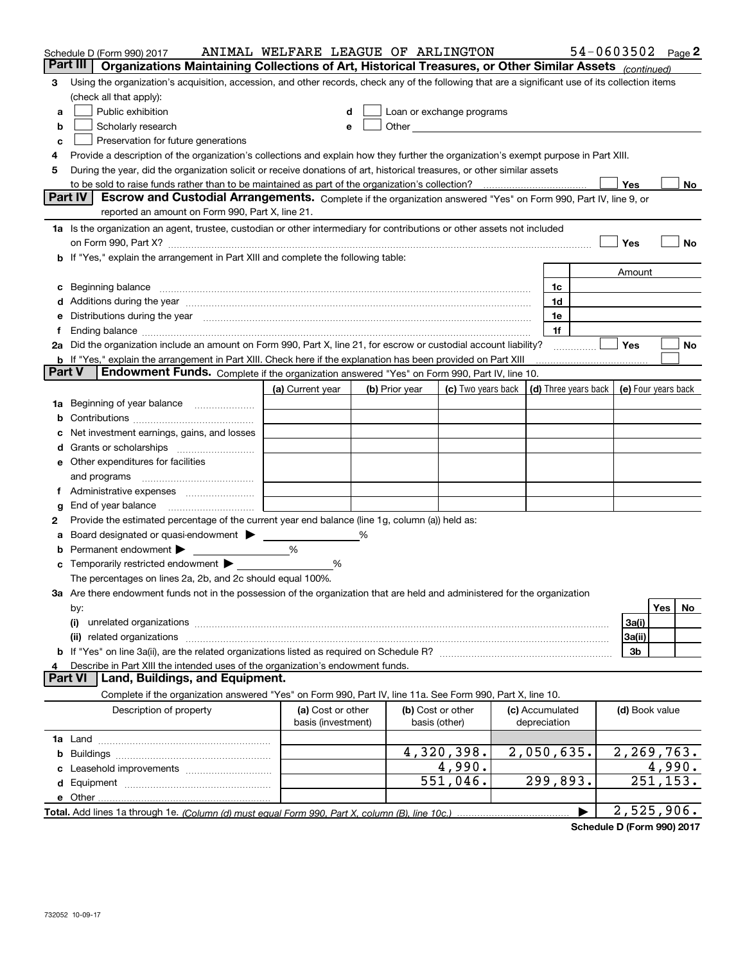|                | Schedule D (Form 990) 2017                                                                                                                                                                                                     | ANIMAL WELFARE LEAGUE OF ARLINGTON |   |                |                                                                                                                                                                                                                               |                 |                | $54 - 0603502$ Page 2                      |
|----------------|--------------------------------------------------------------------------------------------------------------------------------------------------------------------------------------------------------------------------------|------------------------------------|---|----------------|-------------------------------------------------------------------------------------------------------------------------------------------------------------------------------------------------------------------------------|-----------------|----------------|--------------------------------------------|
| Part III       | Organizations Maintaining Collections of Art, Historical Treasures, or Other Similar Assets (continued)                                                                                                                        |                                    |   |                |                                                                                                                                                                                                                               |                 |                |                                            |
| 3              | Using the organization's acquisition, accession, and other records, check any of the following that are a significant use of its collection items                                                                              |                                    |   |                |                                                                                                                                                                                                                               |                 |                |                                            |
|                | (check all that apply):                                                                                                                                                                                                        |                                    |   |                |                                                                                                                                                                                                                               |                 |                |                                            |
| a              | Public exhibition                                                                                                                                                                                                              |                                    |   |                | Loan or exchange programs                                                                                                                                                                                                     |                 |                |                                            |
| b              | Scholarly research                                                                                                                                                                                                             |                                    |   |                | Other and the contract of the contract of the contract of the contract of the contract of the contract of the contract of the contract of the contract of the contract of the contract of the contract of the contract of the |                 |                |                                            |
| c              | Preservation for future generations                                                                                                                                                                                            |                                    |   |                |                                                                                                                                                                                                                               |                 |                |                                            |
|                | Provide a description of the organization's collections and explain how they further the organization's exempt purpose in Part XIII.                                                                                           |                                    |   |                |                                                                                                                                                                                                                               |                 |                |                                            |
| 5              | During the year, did the organization solicit or receive donations of art, historical treasures, or other similar assets                                                                                                       |                                    |   |                |                                                                                                                                                                                                                               |                 |                |                                            |
|                | to be sold to raise funds rather than to be maintained as part of the organization's collection?                                                                                                                               |                                    |   |                |                                                                                                                                                                                                                               |                 | Yes            | No                                         |
|                | <b>Part IV</b><br>Escrow and Custodial Arrangements. Complete if the organization answered "Yes" on Form 990, Part IV, line 9, or                                                                                              |                                    |   |                |                                                                                                                                                                                                                               |                 |                |                                            |
|                | reported an amount on Form 990, Part X, line 21.                                                                                                                                                                               |                                    |   |                |                                                                                                                                                                                                                               |                 |                |                                            |
|                | 1a Is the organization an agent, trustee, custodian or other intermediary for contributions or other assets not included                                                                                                       |                                    |   |                |                                                                                                                                                                                                                               |                 |                |                                            |
|                |                                                                                                                                                                                                                                |                                    |   |                |                                                                                                                                                                                                                               |                 | Yes            | No                                         |
|                | b If "Yes," explain the arrangement in Part XIII and complete the following table:                                                                                                                                             |                                    |   |                |                                                                                                                                                                                                                               |                 |                |                                            |
|                |                                                                                                                                                                                                                                |                                    |   |                |                                                                                                                                                                                                                               |                 | Amount         |                                            |
| c              | Beginning balance                                                                                                                                                                                                              |                                    |   |                |                                                                                                                                                                                                                               | 1c              |                |                                            |
|                | Additions during the year manufactured and an experimental contract to the year manufactured and a set of the year manufactured and a set of the year manufactured and a set of the year manufactured and set of the year manu |                                    |   |                |                                                                                                                                                                                                                               | 1d              |                |                                            |
|                | Distributions during the year manufactured and continuum control of the year manufactured and control of the year manufactured and control of the year manufactured and control of the year manufactured and control of the ye |                                    |   |                |                                                                                                                                                                                                                               | 1e              |                |                                            |
|                |                                                                                                                                                                                                                                |                                    |   |                |                                                                                                                                                                                                                               | 1f              |                |                                            |
|                | 2a Did the organization include an amount on Form 990, Part X, line 21, for escrow or custodial account liability?                                                                                                             |                                    |   |                |                                                                                                                                                                                                                               |                 | Yes            | No                                         |
| <b>Part V</b>  | <b>b</b> If "Yes," explain the arrangement in Part XIII. Check here if the explanation has been provided on Part XIII<br>Endowment Funds. Complete if the organization answered "Yes" on Form 990, Part IV, line 10.           |                                    |   |                |                                                                                                                                                                                                                               |                 |                |                                            |
|                |                                                                                                                                                                                                                                |                                    |   |                |                                                                                                                                                                                                                               |                 |                |                                            |
|                |                                                                                                                                                                                                                                | (a) Current year                   |   | (b) Prior year | (c) Two years back                                                                                                                                                                                                            |                 |                | (d) Three years back   (e) Four years back |
| 1a             | Beginning of year balance                                                                                                                                                                                                      |                                    |   |                |                                                                                                                                                                                                                               |                 |                |                                            |
|                | Net investment earnings, gains, and losses                                                                                                                                                                                     |                                    |   |                |                                                                                                                                                                                                                               |                 |                |                                            |
|                |                                                                                                                                                                                                                                |                                    |   |                |                                                                                                                                                                                                                               |                 |                |                                            |
|                | e Other expenditures for facilities                                                                                                                                                                                            |                                    |   |                |                                                                                                                                                                                                                               |                 |                |                                            |
|                | and programs                                                                                                                                                                                                                   |                                    |   |                |                                                                                                                                                                                                                               |                 |                |                                            |
|                |                                                                                                                                                                                                                                |                                    |   |                |                                                                                                                                                                                                                               |                 |                |                                            |
| g              | End of year balance                                                                                                                                                                                                            |                                    |   |                |                                                                                                                                                                                                                               |                 |                |                                            |
| 2              | Provide the estimated percentage of the current year end balance (line 1g, column (a)) held as:                                                                                                                                |                                    |   |                |                                                                                                                                                                                                                               |                 |                |                                            |
|                | Board designated or quasi-endowment >                                                                                                                                                                                          |                                    | % |                |                                                                                                                                                                                                                               |                 |                |                                            |
| b              | Permanent endowment >                                                                                                                                                                                                          | %                                  |   |                |                                                                                                                                                                                                                               |                 |                |                                            |
| c              | Temporarily restricted endowment                                                                                                                                                                                               | %                                  |   |                |                                                                                                                                                                                                                               |                 |                |                                            |
|                | The percentages on lines 2a, 2b, and 2c should equal 100%.                                                                                                                                                                     |                                    |   |                |                                                                                                                                                                                                                               |                 |                |                                            |
|                | <b>3a</b> Are there endowment funds not in the possession of the organization that are held and administered for the organization                                                                                              |                                    |   |                |                                                                                                                                                                                                                               |                 |                |                                            |
|                | by:                                                                                                                                                                                                                            |                                    |   |                |                                                                                                                                                                                                                               |                 |                | Yes<br>No                                  |
|                | (i)<br>unrelated organizations measurements are all an according to the contract of the contract or the contract or t                                                                                                          |                                    |   |                |                                                                                                                                                                                                                               |                 | 3a(i)          |                                            |
|                | related organizations<br>(ii)                                                                                                                                                                                                  |                                    |   |                |                                                                                                                                                                                                                               |                 | 3a(ii)         |                                            |
|                |                                                                                                                                                                                                                                |                                    |   |                |                                                                                                                                                                                                                               |                 | 3b             |                                            |
|                | Describe in Part XIII the intended uses of the organization's endowment funds.                                                                                                                                                 |                                    |   |                |                                                                                                                                                                                                                               |                 |                |                                            |
| <b>Part VI</b> | Land, Buildings, and Equipment.                                                                                                                                                                                                |                                    |   |                |                                                                                                                                                                                                                               |                 |                |                                            |
|                | Complete if the organization answered "Yes" on Form 990, Part IV, line 11a. See Form 990, Part X, line 10.                                                                                                                     |                                    |   |                |                                                                                                                                                                                                                               |                 |                |                                            |
|                | Description of property                                                                                                                                                                                                        | (a) Cost or other                  |   |                | (b) Cost or other                                                                                                                                                                                                             | (c) Accumulated | (d) Book value |                                            |
|                |                                                                                                                                                                                                                                | basis (investment)                 |   |                | basis (other)                                                                                                                                                                                                                 | depreciation    |                |                                            |
|                |                                                                                                                                                                                                                                |                                    |   |                |                                                                                                                                                                                                                               |                 |                |                                            |
| b              |                                                                                                                                                                                                                                |                                    |   |                | 4,320,398.                                                                                                                                                                                                                    | 2,050,635.      |                | 2,269,763.                                 |
|                |                                                                                                                                                                                                                                |                                    |   |                | 4,990.                                                                                                                                                                                                                        |                 |                | 4,990.                                     |
|                |                                                                                                                                                                                                                                |                                    |   |                | 551,046.                                                                                                                                                                                                                      | 299,893.        |                | 251, 153.                                  |
|                |                                                                                                                                                                                                                                |                                    |   |                |                                                                                                                                                                                                                               |                 |                |                                            |
|                |                                                                                                                                                                                                                                |                                    |   |                |                                                                                                                                                                                                                               |                 |                | 2,525,906.                                 |

**Schedule D (Form 990) 2017**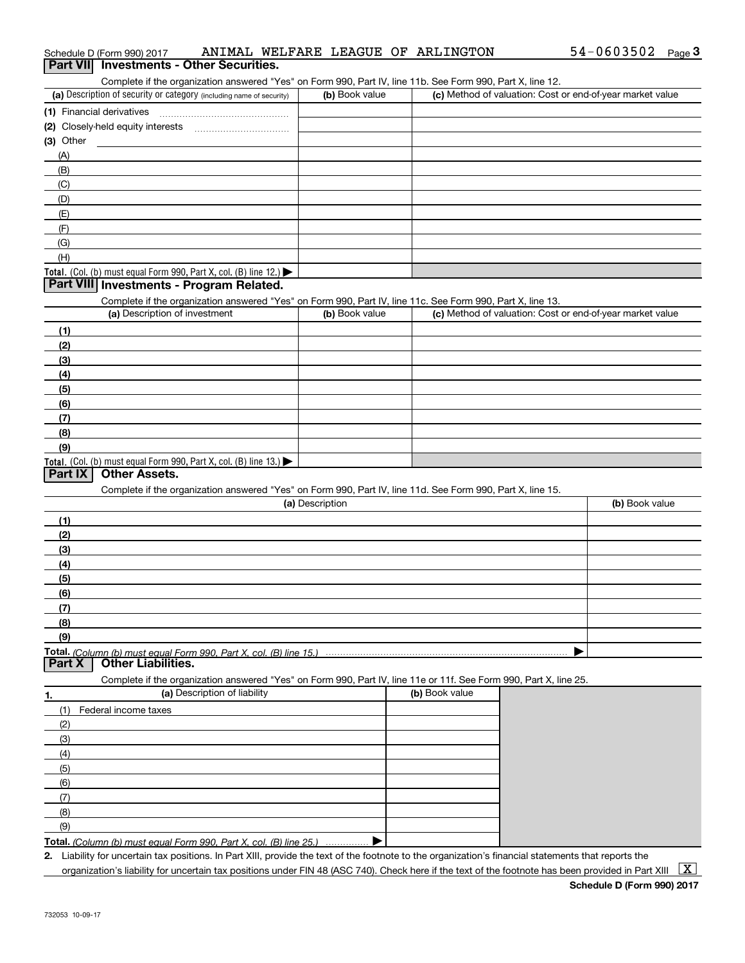|                | Part VII Investments - Other Securities.<br>Complete if the organization answered "Yes" on Form 990, Part IV, line 11b. See Form 990, Part X, line 12. |                 |                |                                                           |
|----------------|--------------------------------------------------------------------------------------------------------------------------------------------------------|-----------------|----------------|-----------------------------------------------------------|
|                | (a) Description of security or category (including name of security)                                                                                   | (b) Book value  |                | (c) Method of valuation: Cost or end-of-year market value |
|                |                                                                                                                                                        |                 |                |                                                           |
|                |                                                                                                                                                        |                 |                |                                                           |
| $(3)$ Other    |                                                                                                                                                        |                 |                |                                                           |
| (A)            |                                                                                                                                                        |                 |                |                                                           |
| (B)            |                                                                                                                                                        |                 |                |                                                           |
| (C)            |                                                                                                                                                        |                 |                |                                                           |
| (D)            |                                                                                                                                                        |                 |                |                                                           |
| (E)            |                                                                                                                                                        |                 |                |                                                           |
| (F)            |                                                                                                                                                        |                 |                |                                                           |
| (G)            |                                                                                                                                                        |                 |                |                                                           |
| (H)            |                                                                                                                                                        |                 |                |                                                           |
|                | Total. (Col. (b) must equal Form 990, Part X, col. (B) line 12.)                                                                                       |                 |                |                                                           |
|                | Part VIII Investments - Program Related.                                                                                                               |                 |                |                                                           |
|                | Complete if the organization answered "Yes" on Form 990, Part IV, line 11c. See Form 990, Part X, line 13.                                             |                 |                |                                                           |
|                | (a) Description of investment                                                                                                                          | (b) Book value  |                | (c) Method of valuation: Cost or end-of-year market value |
| (1)            |                                                                                                                                                        |                 |                |                                                           |
| (2)            |                                                                                                                                                        |                 |                |                                                           |
| (3)            |                                                                                                                                                        |                 |                |                                                           |
| (4)            |                                                                                                                                                        |                 |                |                                                           |
| (5)            |                                                                                                                                                        |                 |                |                                                           |
| (6)            |                                                                                                                                                        |                 |                |                                                           |
| (7)            |                                                                                                                                                        |                 |                |                                                           |
| (8)            |                                                                                                                                                        |                 |                |                                                           |
| (9)            |                                                                                                                                                        |                 |                |                                                           |
|                | Total. (Col. (b) must equal Form 990, Part X, col. (B) line 13.)                                                                                       |                 |                |                                                           |
| <b>Part IX</b> | <b>Other Assets.</b>                                                                                                                                   |                 |                |                                                           |
|                | Complete if the organization answered "Yes" on Form 990, Part IV, line 11d. See Form 990, Part X, line 15.                                             |                 |                |                                                           |
|                |                                                                                                                                                        | (a) Description |                | (b) Book value                                            |
| (1)            |                                                                                                                                                        |                 |                |                                                           |
| (2)            |                                                                                                                                                        |                 |                |                                                           |
| (3)            |                                                                                                                                                        |                 |                |                                                           |
| (4)            |                                                                                                                                                        |                 |                |                                                           |
| (5)            |                                                                                                                                                        |                 |                |                                                           |
| (6)            |                                                                                                                                                        |                 |                |                                                           |
| (7)            |                                                                                                                                                        |                 |                |                                                           |
| (8)            |                                                                                                                                                        |                 |                |                                                           |
| (9)            |                                                                                                                                                        |                 |                |                                                           |
| <b>Part X</b>  | <b>Other Liabilities.</b>                                                                                                                              |                 |                |                                                           |
|                | Complete if the organization answered "Yes" on Form 990, Part IV, line 11e or 11f. See Form 990, Part X, line 25.                                      |                 |                |                                                           |
| 1.             | (a) Description of liability                                                                                                                           |                 | (b) Book value |                                                           |
| (1)            | Federal income taxes                                                                                                                                   |                 |                |                                                           |
| (2)            |                                                                                                                                                        |                 |                |                                                           |
| (3)            |                                                                                                                                                        |                 |                |                                                           |
| (4)            |                                                                                                                                                        |                 |                |                                                           |
| (5)            |                                                                                                                                                        |                 |                |                                                           |
|                |                                                                                                                                                        |                 |                |                                                           |
| (6)            |                                                                                                                                                        |                 |                |                                                           |
| (7)            |                                                                                                                                                        |                 |                |                                                           |
| (8)            |                                                                                                                                                        |                 |                |                                                           |
| (9)            |                                                                                                                                                        |                 |                |                                                           |

**2.** Liability for uncertain tax positions. In Part XIII, provide the text of the footnote to the organization's financial statements that reports the organization's liability for uncertain tax positions under FIN 48 (ASC 740). Check here if the text of the footnote has been provided in Part XIII  $~\boxed{\rm X}$ 

# Schedule D (Form 990) 2017 ANIMAL WELFARE LEAGUE OF ARLINGTON 54-0603502 <sub>Page</sub> 3<br>| **Part VII** | Investments - Other Securities.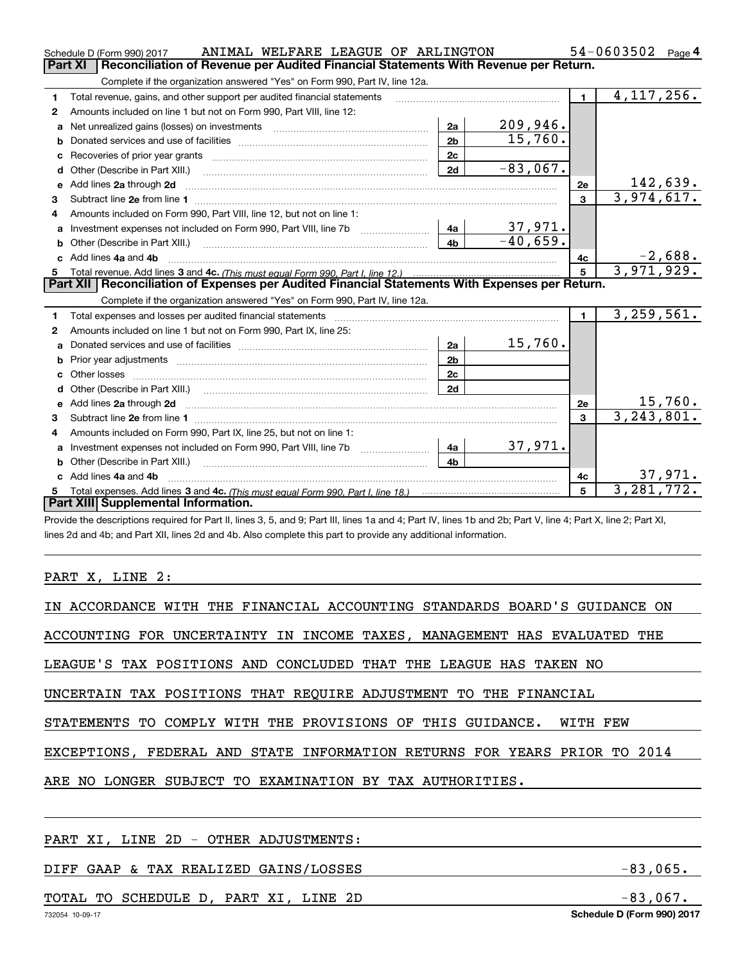| 54-0603502<br>ANIMAL WELFARE LEAGUE OF ARLINGTON<br>Schedule D (Form 990) 2017<br>Page 4       |                                                                                                                                                                                                                                     |                |                |                |                  |  |  |  |  |
|------------------------------------------------------------------------------------------------|-------------------------------------------------------------------------------------------------------------------------------------------------------------------------------------------------------------------------------------|----------------|----------------|----------------|------------------|--|--|--|--|
| Reconciliation of Revenue per Audited Financial Statements With Revenue per Return.<br>Part XI |                                                                                                                                                                                                                                     |                |                |                |                  |  |  |  |  |
| Complete if the organization answered "Yes" on Form 990, Part IV, line 12a.                    |                                                                                                                                                                                                                                     |                |                |                |                  |  |  |  |  |
| 1                                                                                              | Total revenue, gains, and other support per audited financial statements                                                                                                                                                            |                |                | $\blacksquare$ | 4, 117, 256.     |  |  |  |  |
| 2                                                                                              | Amounts included on line 1 but not on Form 990, Part VIII, line 12:                                                                                                                                                                 |                |                |                |                  |  |  |  |  |
| a                                                                                              |                                                                                                                                                                                                                                     | 2a             | 209,946.       |                |                  |  |  |  |  |
| b                                                                                              |                                                                                                                                                                                                                                     | 2 <sub>b</sub> | 15,760.        |                |                  |  |  |  |  |
|                                                                                                |                                                                                                                                                                                                                                     | 2c             |                |                |                  |  |  |  |  |
| d                                                                                              | Other (Describe in Part XIII.) <b>2006</b> 2007 2010 2010 2010 2010 2011 2012 2013 2014 2015 2016 2017 2018 2019 2016 2016 2017 2018 2019 2016 2017 2018 2019 2016 2017 2018 2019 2018 2019 2016 2017 2018 2019 2019 2018 2019 2018 | 2d             | $-83,067.$     |                |                  |  |  |  |  |
| e                                                                                              | Add lines 2a through 2d                                                                                                                                                                                                             |                |                | 2e             | <u> 142,639.</u> |  |  |  |  |
| З                                                                                              |                                                                                                                                                                                                                                     |                |                | $\mathbf{3}$   | 3,974,617.       |  |  |  |  |
| 4                                                                                              | Amounts included on Form 990, Part VIII, line 12, but not on line 1:                                                                                                                                                                |                |                |                |                  |  |  |  |  |
| a                                                                                              |                                                                                                                                                                                                                                     | 4a             | <u>37,971.</u> |                |                  |  |  |  |  |
|                                                                                                |                                                                                                                                                                                                                                     | 4 <sub>b</sub> | $-40,659.$     |                |                  |  |  |  |  |
| c.                                                                                             | Add lines 4a and 4b                                                                                                                                                                                                                 |                |                | 4с             | $-2,688.$        |  |  |  |  |
|                                                                                                |                                                                                                                                                                                                                                     | $\overline{5}$ | 3,971,929.     |                |                  |  |  |  |  |
|                                                                                                |                                                                                                                                                                                                                                     |                |                |                |                  |  |  |  |  |
|                                                                                                | Part XII   Reconciliation of Expenses per Audited Financial Statements With Expenses per Return.                                                                                                                                    |                |                |                |                  |  |  |  |  |
|                                                                                                | Complete if the organization answered "Yes" on Form 990, Part IV, line 12a.                                                                                                                                                         |                |                |                |                  |  |  |  |  |
| 1                                                                                              | Total expenses and losses per audited financial statements                                                                                                                                                                          |                |                | $\mathbf{1}$   | 3,259,561.       |  |  |  |  |
| 2                                                                                              | Amounts included on line 1 but not on Form 990, Part IX, line 25:                                                                                                                                                                   |                |                |                |                  |  |  |  |  |
| a                                                                                              |                                                                                                                                                                                                                                     | 2a             | 15,760.        |                |                  |  |  |  |  |
| b                                                                                              |                                                                                                                                                                                                                                     | 2 <sub>b</sub> |                |                |                  |  |  |  |  |
|                                                                                                | Other losses                                                                                                                                                                                                                        | 2c             |                |                |                  |  |  |  |  |
| d                                                                                              | Other (Describe in Part XIII.) (2000) (2000) (2000) (2000) (2000) (2000) (2000) (2000) (2000) (2000) (2000) (2000) (2000) (2000) (2000) (2000) (2000) (2000) (2000) (2000) (2000) (2000) (2000) (2000) (2000) (2000) (2000) (2      | 2d             |                |                |                  |  |  |  |  |
| е                                                                                              | Add lines 2a through 2d <b>contained a contained a contained a contained a</b> contained a contained a contained a contained a contained a contained a contained a contained a contained a contained a contained a contained a cont |                |                | 2e             | 15,760.          |  |  |  |  |
| 3                                                                                              |                                                                                                                                                                                                                                     |                |                | 3              | 3, 243, 801.     |  |  |  |  |
| 4                                                                                              | Amounts included on Form 990, Part IX, line 25, but not on line 1:                                                                                                                                                                  |                |                |                |                  |  |  |  |  |
| a                                                                                              | Investment expenses not included on Form 990, Part VIII, line 7b [1000000000000000000000000000000000                                                                                                                                | 4a             | 37,971.        |                |                  |  |  |  |  |
| b                                                                                              | Other (Describe in Part XIII.)                                                                                                                                                                                                      | 4 <sub>b</sub> |                |                |                  |  |  |  |  |
| c.                                                                                             | Add lines 4a and 4b                                                                                                                                                                                                                 |                |                | 4c             | 37,971.          |  |  |  |  |
|                                                                                                | Part XIII Supplemental Information.                                                                                                                                                                                                 |                |                | 5              | 3,281,772.       |  |  |  |  |

Provide the descriptions required for Part II, lines 3, 5, and 9; Part III, lines 1a and 4; Part IV, lines 1b and 2b; Part V, line 4; Part X, line 2; Part XI, lines 2d and 4b; and Part XII, lines 2d and 4b. Also complete this part to provide any additional information.

### PART X, LINE 2:

| IN ACCORDANCE WITH THE FINANCIAL ACCOUNTING STANDARDS BOARD'S GUIDANCE ON |  |  |  |  |  |  |  |
|---------------------------------------------------------------------------|--|--|--|--|--|--|--|
| ACCOUNTING FOR UNCERTAINTY IN INCOME TAXES, MANAGEMENT HAS EVALUATED THE  |  |  |  |  |  |  |  |
| LEAGUE'S TAX POSITIONS AND CONCLUDED THAT THE LEAGUE HAS TAKEN NO         |  |  |  |  |  |  |  |
| UNCERTAIN TAX POSITIONS THAT REOUIRE ADJUSTMENT TO THE FINANCIAL          |  |  |  |  |  |  |  |
| STATEMENTS TO COMPLY WITH THE PROVISIONS OF THIS GUIDANCE. WITH FEW       |  |  |  |  |  |  |  |
| EXCEPTIONS, FEDERAL AND STATE INFORMATION RETURNS FOR YEARS PRIOR TO 2014 |  |  |  |  |  |  |  |
| ARE NO LONGER SUBJECT TO EXAMINATION BY TAX AUTHORITIES.                  |  |  |  |  |  |  |  |
|                                                                           |  |  |  |  |  |  |  |
|                                                                           |  |  |  |  |  |  |  |

PART XI, LINE 2D - OTHER ADJUSTMENTS:

### DIFF GAAP & TAX REALIZED GAINS/LOSSES -83,065.

### TOTAL TO SCHEDULE D, PART XI, LINE 2D -83,067.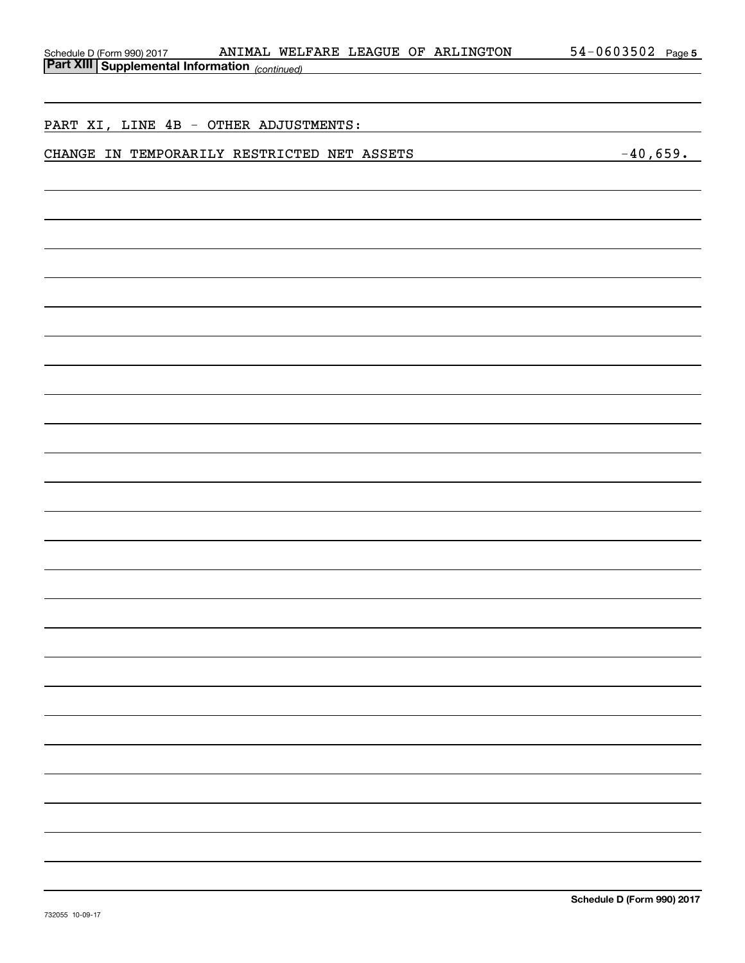| ANIMAL WELFARE LEAGUE OF ARLINGTON                                                       | $54 - 0603502$ Page 5 |
|------------------------------------------------------------------------------------------|-----------------------|
| Schedule D (Form 990) 2017 ANIMAL WELDING Part XIII Supplemental Information (continued) |                       |
|                                                                                          |                       |
|                                                                                          |                       |
| PART XI, LINE 4B - OTHER ADJUSTMENTS:                                                    |                       |
| CHANGE IN TEMPORARILY RESTRICTED NET ASSETS                                              | $-40,659.$            |
|                                                                                          |                       |
|                                                                                          |                       |
|                                                                                          |                       |
|                                                                                          |                       |
|                                                                                          |                       |
|                                                                                          |                       |
|                                                                                          |                       |
|                                                                                          |                       |
|                                                                                          |                       |
|                                                                                          |                       |
|                                                                                          |                       |
|                                                                                          |                       |
|                                                                                          |                       |
|                                                                                          |                       |
|                                                                                          |                       |
|                                                                                          |                       |
|                                                                                          |                       |
|                                                                                          |                       |
|                                                                                          |                       |
|                                                                                          |                       |
|                                                                                          |                       |
|                                                                                          |                       |
|                                                                                          |                       |
|                                                                                          |                       |
|                                                                                          |                       |
|                                                                                          |                       |
|                                                                                          |                       |
|                                                                                          |                       |
|                                                                                          |                       |
|                                                                                          |                       |
|                                                                                          |                       |
|                                                                                          |                       |
|                                                                                          |                       |
|                                                                                          |                       |
|                                                                                          |                       |
|                                                                                          |                       |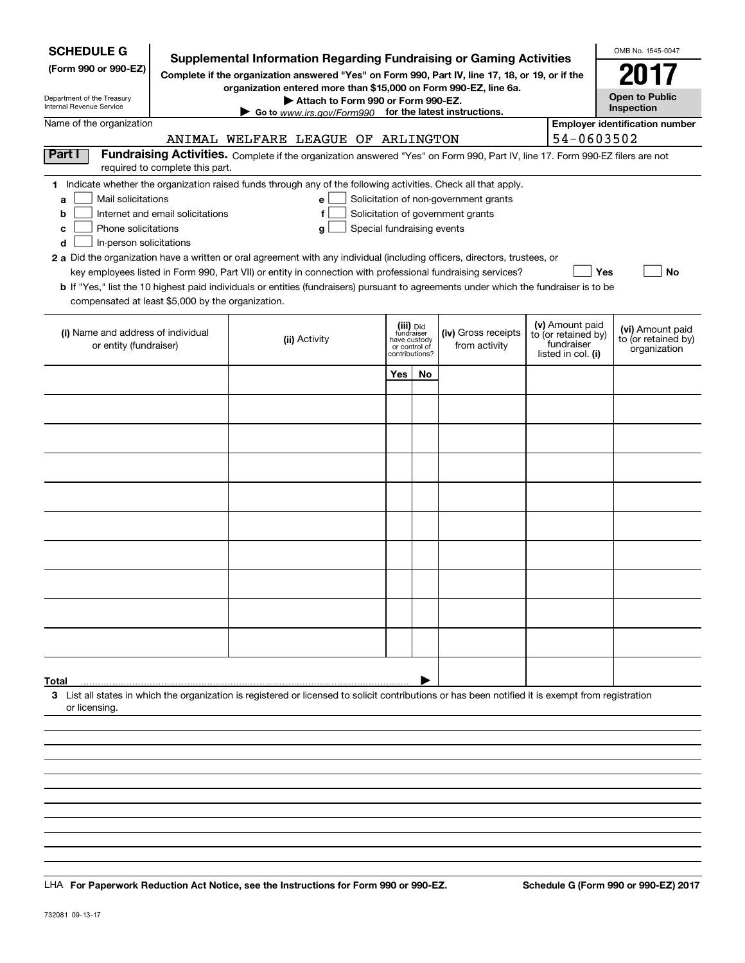| <b>SCHEDULE G</b><br>(Form 990 or 990-EZ)<br>Department of the Treasury<br>Internal Revenue Service                                           |                                  | <b>Supplemental Information Regarding Fundraising or Gaming Activities</b><br>Complete if the organization answered "Yes" on Form 990, Part IV, line 17, 18, or 19, or if the<br>organization entered more than \$15,000 on Form 990-EZ, line 6a.<br>Attach to Form 990 or Form 990-EZ.<br>Go to www.irs.gov/Form990 for the latest instructions.                                                                                                                                                                                                    |                                                                            |    |                                                                            |                                                                            | OMB No. 1545-0047<br><b>Open to Public</b><br>Inspection |
|-----------------------------------------------------------------------------------------------------------------------------------------------|----------------------------------|------------------------------------------------------------------------------------------------------------------------------------------------------------------------------------------------------------------------------------------------------------------------------------------------------------------------------------------------------------------------------------------------------------------------------------------------------------------------------------------------------------------------------------------------------|----------------------------------------------------------------------------|----|----------------------------------------------------------------------------|----------------------------------------------------------------------------|----------------------------------------------------------|
| Name of the organization                                                                                                                      |                                  | ANIMAL WELFARE LEAGUE OF ARLINGTON                                                                                                                                                                                                                                                                                                                                                                                                                                                                                                                   |                                                                            |    |                                                                            | 54-0603502                                                                 | <b>Employer identification number</b>                    |
| Part I                                                                                                                                        | required to complete this part.  | Fundraising Activities. Complete if the organization answered "Yes" on Form 990, Part IV, line 17. Form 990-EZ filers are not                                                                                                                                                                                                                                                                                                                                                                                                                        |                                                                            |    |                                                                            |                                                                            |                                                          |
| Mail solicitations<br>a<br>b<br>Phone solicitations<br>c<br>In-person solicitations<br>d<br>compensated at least \$5,000 by the organization. | Internet and email solicitations | 1 Indicate whether the organization raised funds through any of the following activities. Check all that apply.<br>е<br>Special fundraising events<br>a<br>2 a Did the organization have a written or oral agreement with any individual (including officers, directors, trustees, or<br>key employees listed in Form 990, Part VII) or entity in connection with professional fundraising services?<br><b>b</b> If "Yes," list the 10 highest paid individuals or entities (fundraisers) pursuant to agreements under which the fundraiser is to be |                                                                            |    | Solicitation of non-government grants<br>Solicitation of government grants | Yes                                                                        | No                                                       |
| (i) Name and address of individual<br>or entity (fundraiser)                                                                                  |                                  | (ii) Activity                                                                                                                                                                                                                                                                                                                                                                                                                                                                                                                                        | (iii) Did<br>fundraiser<br>have custody<br>or control of<br>contributions? |    | (iv) Gross receipts<br>from activity                                       | (v) Amount paid<br>to (or retained by)<br>fundraiser<br>listed in col. (i) | (vi) Amount paid<br>to (or retained by)<br>organization  |
|                                                                                                                                               |                                  |                                                                                                                                                                                                                                                                                                                                                                                                                                                                                                                                                      | Yes                                                                        | No |                                                                            |                                                                            |                                                          |
|                                                                                                                                               |                                  |                                                                                                                                                                                                                                                                                                                                                                                                                                                                                                                                                      |                                                                            |    |                                                                            |                                                                            |                                                          |
|                                                                                                                                               |                                  |                                                                                                                                                                                                                                                                                                                                                                                                                                                                                                                                                      |                                                                            |    |                                                                            |                                                                            |                                                          |
|                                                                                                                                               |                                  |                                                                                                                                                                                                                                                                                                                                                                                                                                                                                                                                                      |                                                                            |    |                                                                            |                                                                            |                                                          |
|                                                                                                                                               |                                  |                                                                                                                                                                                                                                                                                                                                                                                                                                                                                                                                                      |                                                                            |    |                                                                            |                                                                            |                                                          |
|                                                                                                                                               |                                  |                                                                                                                                                                                                                                                                                                                                                                                                                                                                                                                                                      |                                                                            |    |                                                                            |                                                                            |                                                          |
|                                                                                                                                               |                                  |                                                                                                                                                                                                                                                                                                                                                                                                                                                                                                                                                      |                                                                            |    |                                                                            |                                                                            |                                                          |
|                                                                                                                                               |                                  |                                                                                                                                                                                                                                                                                                                                                                                                                                                                                                                                                      |                                                                            |    |                                                                            |                                                                            |                                                          |
|                                                                                                                                               |                                  |                                                                                                                                                                                                                                                                                                                                                                                                                                                                                                                                                      |                                                                            |    |                                                                            |                                                                            |                                                          |
|                                                                                                                                               |                                  |                                                                                                                                                                                                                                                                                                                                                                                                                                                                                                                                                      |                                                                            |    |                                                                            |                                                                            |                                                          |
|                                                                                                                                               |                                  |                                                                                                                                                                                                                                                                                                                                                                                                                                                                                                                                                      |                                                                            |    |                                                                            |                                                                            |                                                          |
| Total                                                                                                                                         |                                  |                                                                                                                                                                                                                                                                                                                                                                                                                                                                                                                                                      |                                                                            |    |                                                                            |                                                                            |                                                          |
| or licensing.                                                                                                                                 |                                  | 3 List all states in which the organization is registered or licensed to solicit contributions or has been notified it is exempt from registration                                                                                                                                                                                                                                                                                                                                                                                                   |                                                                            |    |                                                                            |                                                                            |                                                          |
|                                                                                                                                               |                                  |                                                                                                                                                                                                                                                                                                                                                                                                                                                                                                                                                      |                                                                            |    |                                                                            |                                                                            |                                                          |
|                                                                                                                                               |                                  |                                                                                                                                                                                                                                                                                                                                                                                                                                                                                                                                                      |                                                                            |    |                                                                            |                                                                            |                                                          |
|                                                                                                                                               |                                  |                                                                                                                                                                                                                                                                                                                                                                                                                                                                                                                                                      |                                                                            |    |                                                                            |                                                                            |                                                          |
|                                                                                                                                               |                                  |                                                                                                                                                                                                                                                                                                                                                                                                                                                                                                                                                      |                                                                            |    |                                                                            |                                                                            |                                                          |

LHA For Paperwork Reduction Act Notice, see the Instructions for Form 990 or 990-EZ. Schedule G (Form 990 or 990-EZ) 2017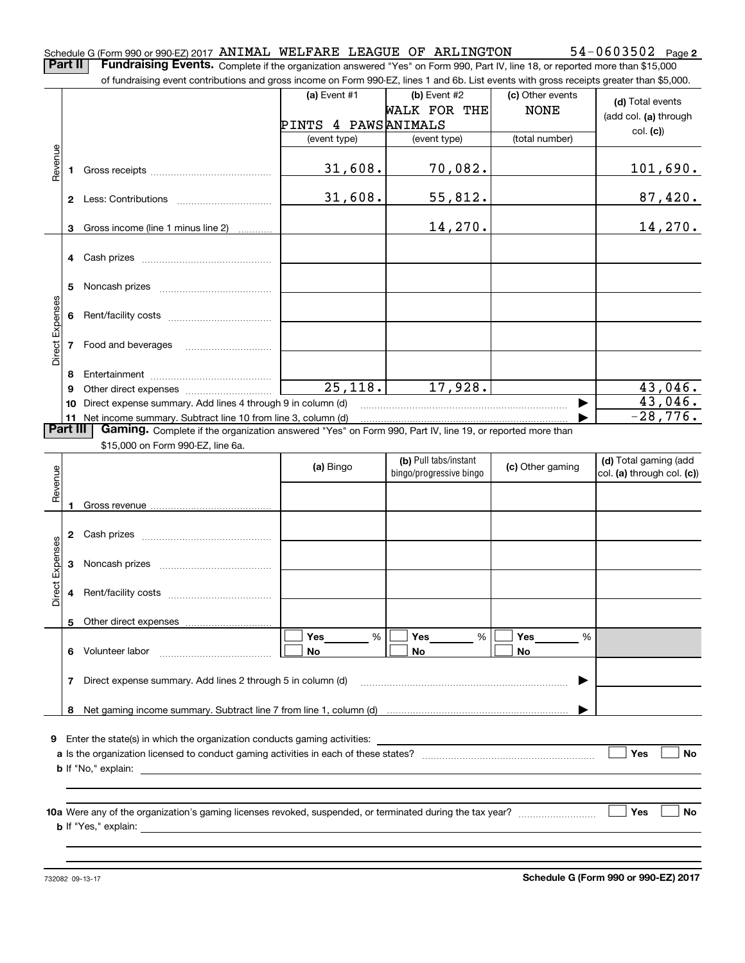of fundraising event contributions and gross income on Form 990-EZ, lines 1 and 6b. List events with gross receipts greater than \$5,000.

|                 |    | ו ושופוטוווץ כיכות טטותווסמתטוט מות קוטטט וווטטוווט טו דיטווויטטט בב, ווווטט דימות טט. בוטג כיכותט אומו קוטטט וטטטוסט קוטמטו מומוז קט,טטט. |                      |                                                  |                  |                                                     |
|-----------------|----|--------------------------------------------------------------------------------------------------------------------------------------------|----------------------|--------------------------------------------------|------------------|-----------------------------------------------------|
|                 |    |                                                                                                                                            | (a) Event $#1$       | (b) Event $#2$                                   | (c) Other events | (d) Total events                                    |
|                 |    |                                                                                                                                            |                      | <b>WALK FOR THE</b>                              | <b>NONE</b>      | (add col. (a) through                               |
|                 |    |                                                                                                                                            | PINTS 4 PAWSANIMALS  |                                                  |                  | col. (c)                                            |
|                 |    |                                                                                                                                            | (event type)         | (event type)                                     | (total number)   |                                                     |
|                 |    |                                                                                                                                            |                      |                                                  |                  |                                                     |
| Revenue         |    |                                                                                                                                            | 31,608.              | 70,082.                                          |                  | 101,690.                                            |
|                 |    |                                                                                                                                            |                      |                                                  |                  |                                                     |
|                 |    |                                                                                                                                            | 31,608.              | 55,812.                                          |                  | 87,420.                                             |
|                 |    |                                                                                                                                            |                      |                                                  |                  |                                                     |
|                 |    | 3 Gross income (line 1 minus line 2)                                                                                                       |                      | 14,270.                                          |                  | 14,270.                                             |
|                 |    |                                                                                                                                            |                      |                                                  |                  |                                                     |
|                 |    |                                                                                                                                            |                      |                                                  |                  |                                                     |
|                 | 5. |                                                                                                                                            |                      |                                                  |                  |                                                     |
|                 |    |                                                                                                                                            |                      |                                                  |                  |                                                     |
| Direct Expenses |    |                                                                                                                                            |                      |                                                  |                  |                                                     |
|                 |    |                                                                                                                                            |                      |                                                  |                  |                                                     |
|                 |    | 7 Food and beverages                                                                                                                       |                      |                                                  |                  |                                                     |
|                 |    |                                                                                                                                            |                      |                                                  |                  |                                                     |
|                 | 8  |                                                                                                                                            |                      |                                                  |                  |                                                     |
|                 | 9  |                                                                                                                                            | $\overline{25,118.}$ | 17,928.                                          |                  | 43,046.                                             |
|                 |    | 10 Direct expense summary. Add lines 4 through 9 in column (d)                                                                             |                      |                                                  |                  | 43,046.                                             |
|                 |    | 11 Net income summary. Subtract line 10 from line 3, column (d)                                                                            |                      |                                                  |                  | $-28,776.$                                          |
| <b>Part III</b> |    | Gaming. Complete if the organization answered "Yes" on Form 990, Part IV, line 19, or reported more than                                   |                      |                                                  |                  |                                                     |
|                 |    | \$15,000 on Form 990-EZ, line 6a.                                                                                                          |                      |                                                  |                  |                                                     |
|                 |    |                                                                                                                                            | (a) Bingo            | (b) Pull tabs/instant<br>bingo/progressive bingo | (c) Other gaming | (d) Total gaming (add<br>col. (a) through col. (c)) |
| Revenue         |    |                                                                                                                                            |                      |                                                  |                  |                                                     |
|                 |    |                                                                                                                                            |                      |                                                  |                  |                                                     |
|                 |    |                                                                                                                                            |                      |                                                  |                  |                                                     |
|                 |    |                                                                                                                                            |                      |                                                  |                  |                                                     |
| Direct Expenses |    |                                                                                                                                            |                      |                                                  |                  |                                                     |
|                 | 3  |                                                                                                                                            |                      |                                                  |                  |                                                     |
|                 |    |                                                                                                                                            |                      |                                                  |                  |                                                     |
|                 | 4  |                                                                                                                                            |                      |                                                  |                  |                                                     |
|                 |    |                                                                                                                                            |                      |                                                  |                  |                                                     |
|                 |    |                                                                                                                                            |                      |                                                  |                  |                                                     |
|                 |    |                                                                                                                                            | Yes<br>%             | <b>Yes</b><br>%                                  | Yes<br>%         |                                                     |
|                 | 6. | Volunteer labor                                                                                                                            | No                   | No                                               | No               |                                                     |
|                 |    |                                                                                                                                            |                      |                                                  |                  |                                                     |
|                 |    |                                                                                                                                            |                      |                                                  |                  |                                                     |
|                 | 7  | Direct expense summary. Add lines 2 through 5 in column (d)                                                                                |                      |                                                  |                  |                                                     |
|                 |    |                                                                                                                                            |                      |                                                  |                  |                                                     |
|                 | 8  |                                                                                                                                            |                      |                                                  |                  |                                                     |
|                 |    |                                                                                                                                            |                      |                                                  |                  |                                                     |
| 9               |    | Enter the state(s) in which the organization conducts gaming activities:                                                                   |                      |                                                  |                  |                                                     |
|                 |    | <b>b</b> If "No," explain:                                                                                                                 |                      |                                                  |                  | Yes<br>No                                           |
|                 |    |                                                                                                                                            |                      |                                                  |                  |                                                     |
|                 |    |                                                                                                                                            |                      |                                                  |                  |                                                     |
|                 |    |                                                                                                                                            |                      |                                                  |                  | Yes<br>No                                           |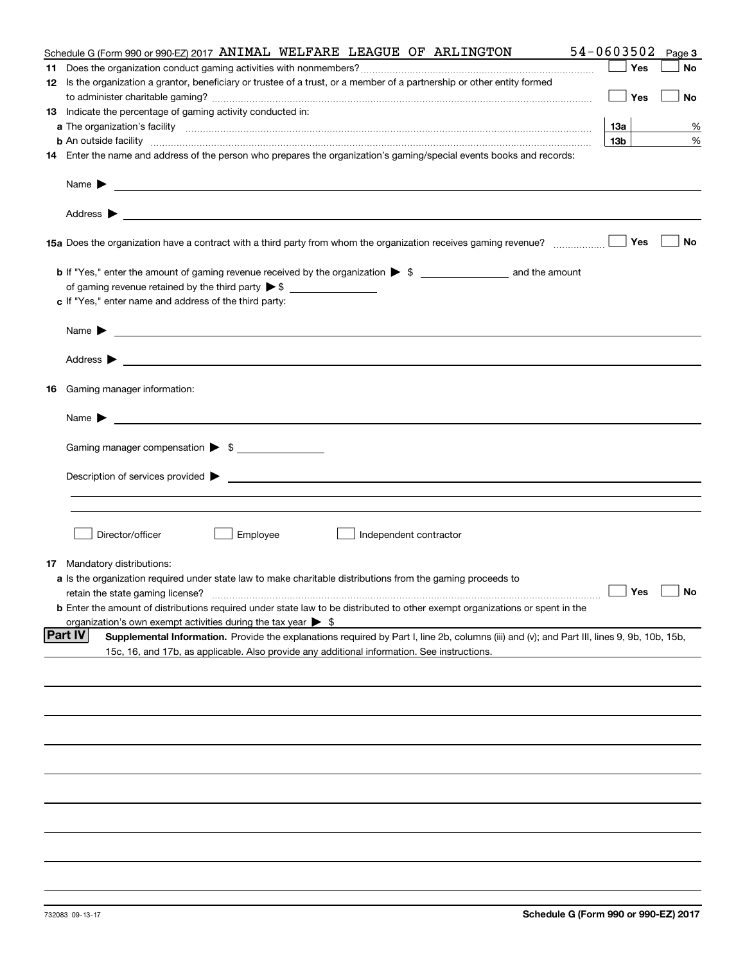| Schedule G (Form 990 or 990-EZ) 2017 ANIMAL WELFARE LEAGUE OF ARLINGTON                                                                                                                                                                                            | 54-0603502      | Page 3 |
|--------------------------------------------------------------------------------------------------------------------------------------------------------------------------------------------------------------------------------------------------------------------|-----------------|--------|
|                                                                                                                                                                                                                                                                    | Yes             | No     |
| 12 Is the organization a grantor, beneficiary or trustee of a trust, or a member of a partnership or other entity formed                                                                                                                                           |                 |        |
|                                                                                                                                                                                                                                                                    | Yes             | No     |
| 13 Indicate the percentage of gaming activity conducted in:                                                                                                                                                                                                        |                 |        |
|                                                                                                                                                                                                                                                                    | 13а             | %      |
| <b>b</b> An outside facility <b>contained and the contract of the contract of the contract of the contract of the contract of the contract of the contract of the contract of the contract of the contract of the contract of the con</b>                          | 13 <sub>b</sub> | %      |
| 14 Enter the name and address of the person who prepares the organization's gaming/special events books and records:                                                                                                                                               |                 |        |
| Name $\blacktriangleright$<br><u>state and the state of the state of the state of the state of the state of the state of the state of the state of the state of the state of the state of the state of the state of the state of the state of the state of the</u> |                 |        |
| <u> 1989 - Johann Harry Harry Harry Harry Harry Harry Harry Harry Harry Harry Harry Harry Harry Harry Harry Harry</u><br>Address $\blacktriangleright$                                                                                                             | Yes             | No     |
| 15a Does the organization have a contract with a third party from whom the organization receives gaming revenue?                                                                                                                                                   |                 |        |
| of gaming revenue retained by the third party $\triangleright$ \$<br>c If "Yes," enter name and address of the third party:                                                                                                                                        |                 |        |
| Name $\blacktriangleright$                                                                                                                                                                                                                                         |                 |        |
| Address $\blacktriangleright$                                                                                                                                                                                                                                      |                 |        |
| <b>16</b> Gaming manager information:                                                                                                                                                                                                                              |                 |        |
| Name $\blacktriangleright$                                                                                                                                                                                                                                         |                 |        |
|                                                                                                                                                                                                                                                                    |                 |        |
| Gaming manager compensation > \$                                                                                                                                                                                                                                   |                 |        |
| Description of services provided $\blacktriangleright$ $\bot$                                                                                                                                                                                                      |                 |        |
|                                                                                                                                                                                                                                                                    |                 |        |
| Director/officer<br>Employee<br>Independent contractor                                                                                                                                                                                                             |                 |        |
| <b>17</b> Mandatory distributions:                                                                                                                                                                                                                                 |                 |        |
| a Is the organization required under state law to make charitable distributions from the gaming proceeds to<br><b>b</b> Enter the amount of distributions required under state law to be distributed to other exempt organizations or spent in the                 |                 | No     |
| organization's own exempt activities during the tax year $\triangleright$ \$                                                                                                                                                                                       |                 |        |
| Part IV<br>Supplemental Information. Provide the explanations required by Part I, line 2b, columns (iii) and (v); and Part III, lines 9, 9b, 10b, 15b,<br>15c, 16, and 17b, as applicable. Also provide any additional information. See instructions.              |                 |        |
|                                                                                                                                                                                                                                                                    |                 |        |
|                                                                                                                                                                                                                                                                    |                 |        |
|                                                                                                                                                                                                                                                                    |                 |        |
|                                                                                                                                                                                                                                                                    |                 |        |
|                                                                                                                                                                                                                                                                    |                 |        |
|                                                                                                                                                                                                                                                                    |                 |        |
|                                                                                                                                                                                                                                                                    |                 |        |
|                                                                                                                                                                                                                                                                    |                 |        |
|                                                                                                                                                                                                                                                                    |                 |        |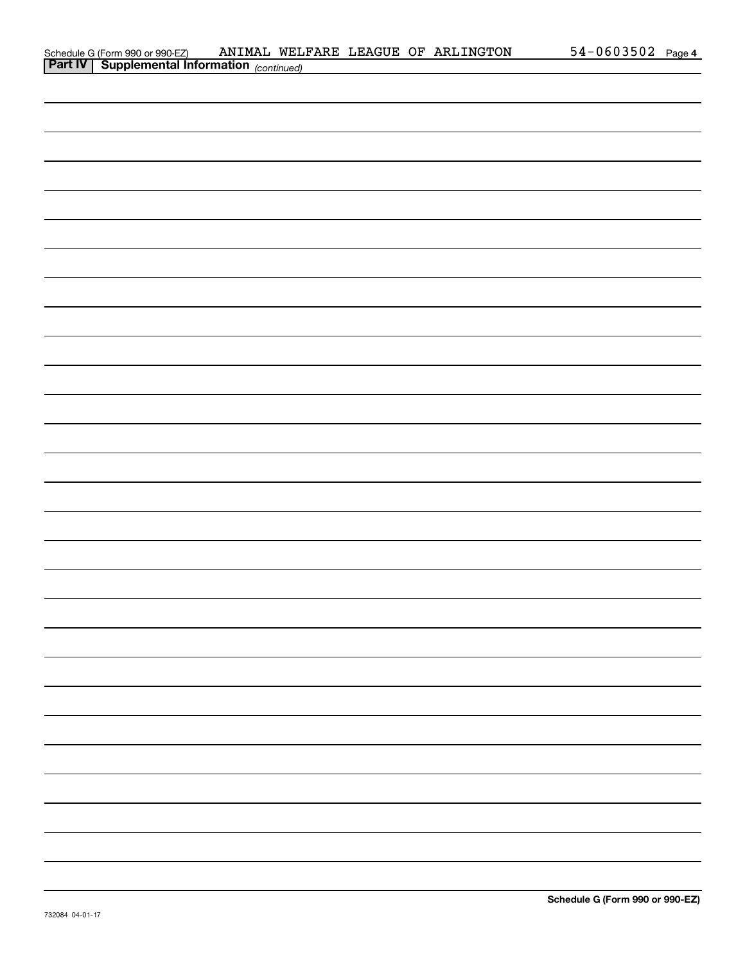| Schedule G (Form 990 or 990-EZ)                       |  |  | ANIMAL WELFARE LEAGUE OF ARLINGTON | $54 - 0603502$ Page 4 |  |
|-------------------------------------------------------|--|--|------------------------------------|-----------------------|--|
| <b>Part IV   Supplemental Information</b> (continued) |  |  |                                    |                       |  |

| <b>Part IV   Supplemental Information</b> (continued)                                                             |
|-------------------------------------------------------------------------------------------------------------------|
|                                                                                                                   |
|                                                                                                                   |
|                                                                                                                   |
|                                                                                                                   |
|                                                                                                                   |
|                                                                                                                   |
|                                                                                                                   |
|                                                                                                                   |
|                                                                                                                   |
|                                                                                                                   |
|                                                                                                                   |
|                                                                                                                   |
|                                                                                                                   |
|                                                                                                                   |
|                                                                                                                   |
|                                                                                                                   |
|                                                                                                                   |
|                                                                                                                   |
| <u> 1989 - Andrea Andrew Maria (h. 1989).</u><br>1905 - Johann Barn, fransk politik amerikansk politik (h. 1986). |
|                                                                                                                   |
|                                                                                                                   |
|                                                                                                                   |
|                                                                                                                   |
|                                                                                                                   |
|                                                                                                                   |
| <u> 1989 - Andrea Andrew Maria (h. 1989).</u>                                                                     |
|                                                                                                                   |
|                                                                                                                   |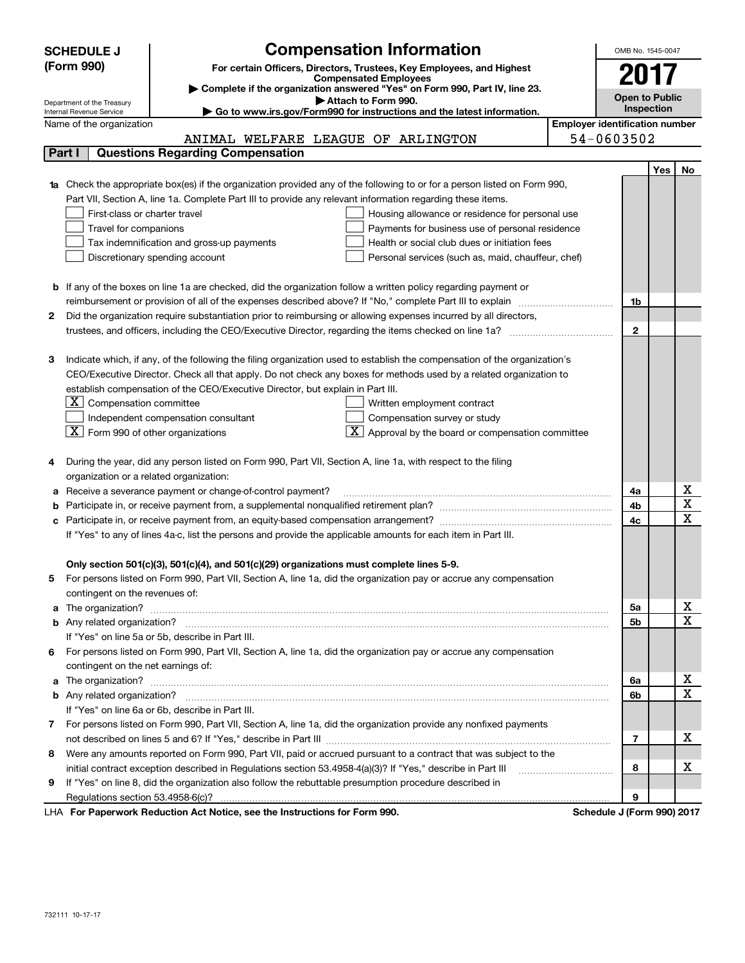|              | <b>SCHEDULE J</b>                                      | <b>Compensation Information</b>                                                                                                  | OMB No. 1545-0047                     |            |                   |
|--------------|--------------------------------------------------------|----------------------------------------------------------------------------------------------------------------------------------|---------------------------------------|------------|-------------------|
|              | (Form 990)                                             | For certain Officers, Directors, Trustees, Key Employees, and Highest                                                            |                                       |            |                   |
|              |                                                        | <b>Compensated Employees</b>                                                                                                     | 2017                                  |            |                   |
|              |                                                        | Complete if the organization answered "Yes" on Form 990, Part IV, line 23.<br>Attach to Form 990.                                | <b>Open to Public</b>                 |            |                   |
|              | Department of the Treasury<br>Internal Revenue Service | ► Go to www.irs.gov/Form990 for instructions and the latest information.                                                         |                                       | Inspection |                   |
|              | Name of the organization                               |                                                                                                                                  | <b>Employer identification number</b> |            |                   |
|              |                                                        | ANIMAL WELFARE LEAGUE OF ARLINGTON                                                                                               | 54-0603502                            |            |                   |
|              | Part I                                                 | <b>Questions Regarding Compensation</b>                                                                                          |                                       |            |                   |
|              |                                                        |                                                                                                                                  |                                       | Yes        | No.               |
|              |                                                        | <b>1a</b> Check the appropriate box(es) if the organization provided any of the following to or for a person listed on Form 990, |                                       |            |                   |
|              |                                                        | Part VII, Section A, line 1a. Complete Part III to provide any relevant information regarding these items.                       |                                       |            |                   |
|              | First-class or charter travel                          | Housing allowance or residence for personal use                                                                                  |                                       |            |                   |
|              | Travel for companions                                  | Payments for business use of personal residence                                                                                  |                                       |            |                   |
|              |                                                        | Health or social club dues or initiation fees<br>Tax indemnification and gross-up payments                                       |                                       |            |                   |
|              |                                                        | Discretionary spending account<br>Personal services (such as, maid, chauffeur, chef)                                             |                                       |            |                   |
|              |                                                        |                                                                                                                                  |                                       |            |                   |
|              |                                                        | <b>b</b> If any of the boxes on line 1a are checked, did the organization follow a written policy regarding payment or           |                                       |            |                   |
|              |                                                        |                                                                                                                                  | 1b                                    |            |                   |
| 2            |                                                        | Did the organization require substantiation prior to reimbursing or allowing expenses incurred by all directors,                 |                                       |            |                   |
|              |                                                        |                                                                                                                                  | $\mathbf{2}$                          |            |                   |
|              |                                                        |                                                                                                                                  |                                       |            |                   |
| З            |                                                        | Indicate which, if any, of the following the filing organization used to establish the compensation of the organization's        |                                       |            |                   |
|              |                                                        | CEO/Executive Director. Check all that apply. Do not check any boxes for methods used by a related organization to               |                                       |            |                   |
|              |                                                        | establish compensation of the CEO/Executive Director, but explain in Part III.                                                   |                                       |            |                   |
|              | $ \mathbf{X} $ Compensation committee                  | Written employment contract                                                                                                      |                                       |            |                   |
|              |                                                        | Independent compensation consultant<br>Compensation survey or study                                                              |                                       |            |                   |
|              | $ \mathbf{X} $ Form 990 of other organizations         | $\mathbf{X}$ Approval by the board or compensation committee                                                                     |                                       |            |                   |
|              |                                                        |                                                                                                                                  |                                       |            |                   |
| 4            |                                                        | During the year, did any person listed on Form 990, Part VII, Section A, line 1a, with respect to the filing                     |                                       |            |                   |
|              | organization or a related organization:                |                                                                                                                                  |                                       |            |                   |
| а            |                                                        | Receive a severance payment or change-of-control payment?                                                                        | 4a                                    |            | х                 |
| b            |                                                        |                                                                                                                                  | 4b                                    |            | X                 |
| с            |                                                        |                                                                                                                                  | 4c                                    |            | $\mathbf x$       |
|              |                                                        | If "Yes" to any of lines 4a-c, list the persons and provide the applicable amounts for each item in Part III.                    |                                       |            |                   |
|              |                                                        |                                                                                                                                  |                                       |            |                   |
|              |                                                        | Only section 501(c)(3), 501(c)(4), and 501(c)(29) organizations must complete lines 5-9.                                         |                                       |            |                   |
|              |                                                        | For persons listed on Form 990, Part VII, Section A, line 1a, did the organization pay or accrue any compensation                |                                       |            |                   |
|              | contingent on the revenues of:                         |                                                                                                                                  |                                       |            |                   |
|              |                                                        | a The organization? <b>Constitution</b> and the organization?                                                                    | 5a                                    |            | х<br>$\mathbf{x}$ |
|              |                                                        |                                                                                                                                  | 5b                                    |            |                   |
|              |                                                        | If "Yes" on line 5a or 5b, describe in Part III.                                                                                 |                                       |            |                   |
| 6            |                                                        | For persons listed on Form 990, Part VII, Section A, line 1a, did the organization pay or accrue any compensation                |                                       |            |                   |
|              | contingent on the net earnings of:                     |                                                                                                                                  |                                       |            |                   |
| a            |                                                        |                                                                                                                                  | 6a                                    |            | х                 |
|              |                                                        |                                                                                                                                  | 6b                                    |            | $\mathbf X$       |
|              |                                                        | If "Yes" on line 6a or 6b, describe in Part III.                                                                                 |                                       |            |                   |
| $\mathbf{7}$ |                                                        | For persons listed on Form 990, Part VII, Section A, line 1a, did the organization provide any nonfixed payments                 |                                       |            |                   |
|              |                                                        |                                                                                                                                  | 7                                     |            | х                 |
| 8            |                                                        | Were any amounts reported on Form 990, Part VII, paid or accrued pursuant to a contract that was subject to the                  |                                       |            |                   |
|              |                                                        | initial contract exception described in Regulations section 53.4958-4(a)(3)? If "Yes," describe in Part III                      | 8                                     |            | х                 |
| 9            |                                                        | If "Yes" on line 8, did the organization also follow the rebuttable presumption procedure described in                           |                                       |            |                   |
|              |                                                        |                                                                                                                                  | 9                                     |            |                   |

LHA For Paperwork Reduction Act Notice, see the Instructions for Form 990. Schedule J (Form 990) 2017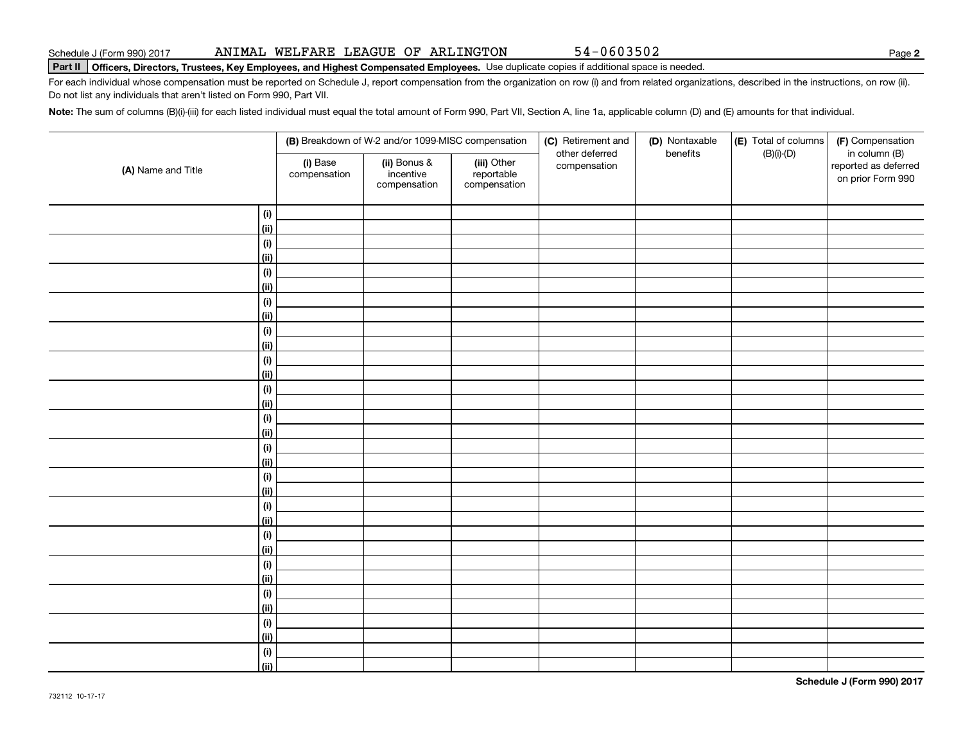**2**

# **Part II Officers, Directors, Trustees, Key Employees, and Highest Compensated Employees.**  Schedule J (Form 990) 2017 Page Use duplicate copies if additional space is needed.

For each individual whose compensation must be reported on Schedule J, report compensation from the organization on row (i) and from related organizations, described in the instructions, on row (ii). Do not list any individuals that aren't listed on Form 990, Part VII.

**Note:**  The sum of columns (B)(i)-(iii) for each listed individual must equal the total amount of Form 990, Part VII, Section A, line 1a, applicable column (D) and (E) amounts for that individual.

|                    |                          | (B) Breakdown of W-2 and/or 1099-MISC compensation |                                           | (C) Retirement and<br>other deferred | (D) Nontaxable<br>benefits | (E) Total of columns<br>$(B)(i)-(D)$ | (F) Compensation<br>in column (B)         |  |
|--------------------|--------------------------|----------------------------------------------------|-------------------------------------------|--------------------------------------|----------------------------|--------------------------------------|-------------------------------------------|--|
| (A) Name and Title | (i) Base<br>compensation | (ii) Bonus &<br>incentive<br>compensation          | (iii) Other<br>reportable<br>compensation | compensation                         |                            |                                      | reported as deferred<br>on prior Form 990 |  |
| (i)                |                          |                                                    |                                           |                                      |                            |                                      |                                           |  |
| <u>(ii)</u>        |                          |                                                    |                                           |                                      |                            |                                      |                                           |  |
| (i)                |                          |                                                    |                                           |                                      |                            |                                      |                                           |  |
| <u>(ii)</u>        |                          |                                                    |                                           |                                      |                            |                                      |                                           |  |
| (i)                |                          |                                                    |                                           |                                      |                            |                                      |                                           |  |
| <u>(ii)</u>        |                          |                                                    |                                           |                                      |                            |                                      |                                           |  |
| (i)                |                          |                                                    |                                           |                                      |                            |                                      |                                           |  |
| (ii)               |                          |                                                    |                                           |                                      |                            |                                      |                                           |  |
| (i)                |                          |                                                    |                                           |                                      |                            |                                      |                                           |  |
| (ii)               |                          |                                                    |                                           |                                      |                            |                                      |                                           |  |
| (i)                |                          |                                                    |                                           |                                      |                            |                                      |                                           |  |
| (ii)               |                          |                                                    |                                           |                                      |                            |                                      |                                           |  |
| (i)                |                          |                                                    |                                           |                                      |                            |                                      |                                           |  |
| (ii)               |                          |                                                    |                                           |                                      |                            |                                      |                                           |  |
| (i)                |                          |                                                    |                                           |                                      |                            |                                      |                                           |  |
| (ii)               |                          |                                                    |                                           |                                      |                            |                                      |                                           |  |
| (i)                |                          |                                                    |                                           |                                      |                            |                                      |                                           |  |
| (ii)               |                          |                                                    |                                           |                                      |                            |                                      |                                           |  |
| (i)                |                          |                                                    |                                           |                                      |                            |                                      |                                           |  |
| (ii)               |                          |                                                    |                                           |                                      |                            |                                      |                                           |  |
| (i)                |                          |                                                    |                                           |                                      |                            |                                      |                                           |  |
| (ii)               |                          |                                                    |                                           |                                      |                            |                                      |                                           |  |
| (i)                |                          |                                                    |                                           |                                      |                            |                                      |                                           |  |
| (ii)               |                          |                                                    |                                           |                                      |                            |                                      |                                           |  |
| (i)                |                          |                                                    |                                           |                                      |                            |                                      |                                           |  |
| (ii)               |                          |                                                    |                                           |                                      |                            |                                      |                                           |  |
| (i)                |                          |                                                    |                                           |                                      |                            |                                      |                                           |  |
| (ii)               |                          |                                                    |                                           |                                      |                            |                                      |                                           |  |
| $(\sf{i})$         |                          |                                                    |                                           |                                      |                            |                                      |                                           |  |
| (ii)               |                          |                                                    |                                           |                                      |                            |                                      |                                           |  |
| (i)                |                          |                                                    |                                           |                                      |                            |                                      |                                           |  |
| (ii)               |                          |                                                    |                                           |                                      |                            |                                      |                                           |  |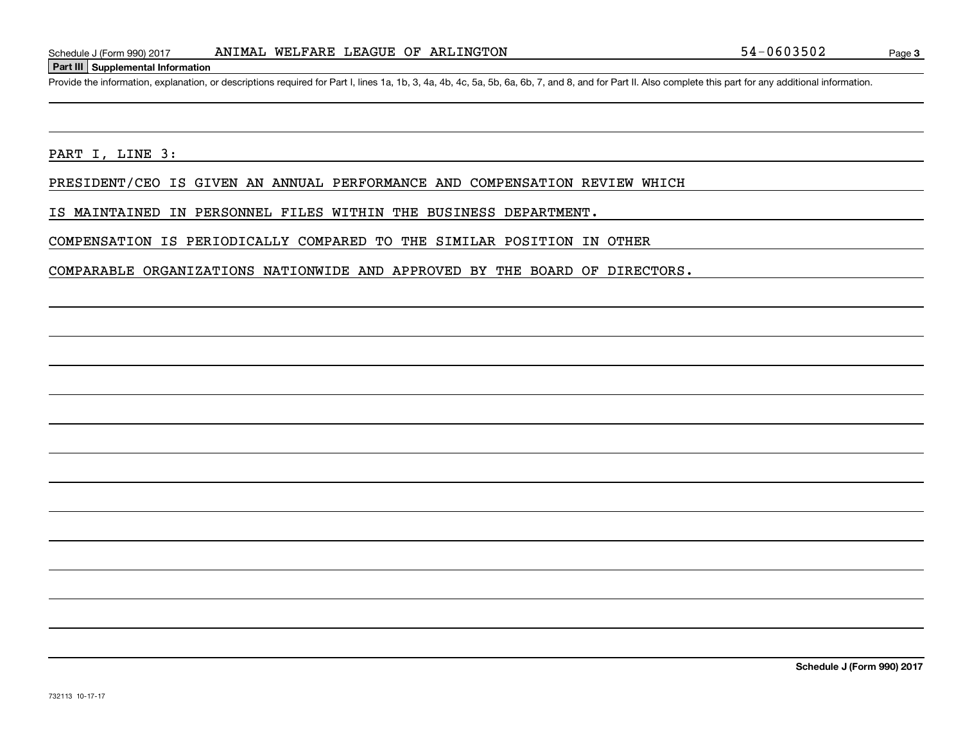#### **Part III Supplemental Information**

Schedule J (Form 990) 2017 ANIMAL WELFARE LEAGUE OF ARLINGTON 54-0603502<br>Part III Supplemental Information<br>Provide the information, explanation, or descriptions required for Part I, lines 1a, 1b, 3, 4a, 4b, 4c, 5a, 5b, 6a,

PART I, LINE 3:

PRESIDENT/CEO IS GIVEN AN ANNUAL PERFORMANCE AND COMPENSATION REVIEW WHICH

IS MAINTAINED IN PERSONNEL FILES WITHIN THE BUSINESS DEPARTMENT.

COMPENSATION IS PERIODICALLY COMPARED TO THE SIMILAR POSITION IN OTHER

COMPARABLE ORGANIZATIONS NATIONWIDE AND APPROVED BY THE BOARD OF DIRECTORS.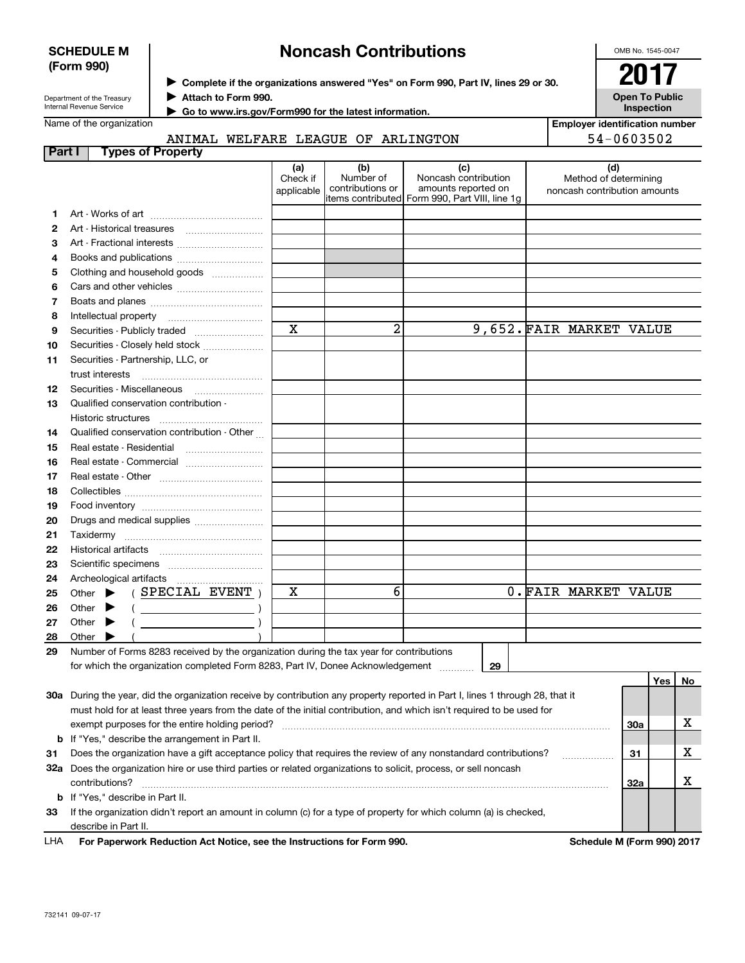| <b>SCHEDULE M</b>                                                             |                                                                          |  | <b>Noncash Contributions</b> |                                                                                      |                        |                                                                                                                                |                                                                                                |    |  |                                                       |                       | OMB No. 1545-0047 |    |  |
|-------------------------------------------------------------------------------|--------------------------------------------------------------------------|--|------------------------------|--------------------------------------------------------------------------------------|------------------------|--------------------------------------------------------------------------------------------------------------------------------|------------------------------------------------------------------------------------------------|----|--|-------------------------------------------------------|-----------------------|-------------------|----|--|
| (Form 990)                                                                    |                                                                          |  |                              | > Complete if the organizations answered "Yes" on Form 990, Part IV, lines 29 or 30. |                        |                                                                                                                                |                                                                                                |    |  |                                                       |                       |                   |    |  |
|                                                                               |                                                                          |  |                              |                                                                                      |                        |                                                                                                                                |                                                                                                |    |  |                                                       |                       |                   |    |  |
| Attach to Form 990.<br>Department of the Treasury<br>Internal Revenue Service |                                                                          |  |                              |                                                                                      |                        |                                                                                                                                |                                                                                                |    |  |                                                       | <b>Open To Public</b> |                   |    |  |
|                                                                               | Name of the organization                                                 |  |                              |                                                                                      |                        | Go to www.irs.gov/Form990 for the latest information.                                                                          |                                                                                                |    |  | <b>Employer identification number</b>                 | Inspection            |                   |    |  |
|                                                                               |                                                                          |  |                              |                                                                                      |                        | ANIMAL WELFARE LEAGUE OF ARLINGTON                                                                                             |                                                                                                |    |  |                                                       | 54-0603502            |                   |    |  |
| Part I                                                                        |                                                                          |  | <b>Types of Property</b>     |                                                                                      |                        |                                                                                                                                |                                                                                                |    |  |                                                       |                       |                   |    |  |
|                                                                               |                                                                          |  |                              |                                                                                      | (a)                    | (b)                                                                                                                            | (c)                                                                                            |    |  |                                                       | (d)                   |                   |    |  |
|                                                                               |                                                                          |  |                              |                                                                                      | Check if<br>applicable | Number of<br>contributions or                                                                                                  | Noncash contribution<br>amounts reported on<br>litems contributed Form 990, Part VIII, line 1g |    |  | Method of determining<br>noncash contribution amounts |                       |                   |    |  |
| 1                                                                             |                                                                          |  |                              |                                                                                      |                        |                                                                                                                                |                                                                                                |    |  |                                                       |                       |                   |    |  |
| 2                                                                             |                                                                          |  |                              |                                                                                      |                        |                                                                                                                                |                                                                                                |    |  |                                                       |                       |                   |    |  |
| 3                                                                             |                                                                          |  |                              |                                                                                      |                        |                                                                                                                                |                                                                                                |    |  |                                                       |                       |                   |    |  |
| 4                                                                             |                                                                          |  |                              |                                                                                      |                        |                                                                                                                                |                                                                                                |    |  |                                                       |                       |                   |    |  |
| 5                                                                             | Clothing and household goods                                             |  |                              |                                                                                      |                        |                                                                                                                                |                                                                                                |    |  |                                                       |                       |                   |    |  |
| 6                                                                             |                                                                          |  |                              |                                                                                      |                        |                                                                                                                                |                                                                                                |    |  |                                                       |                       |                   |    |  |
| 7                                                                             |                                                                          |  |                              |                                                                                      |                        |                                                                                                                                |                                                                                                |    |  |                                                       |                       |                   |    |  |
| 8                                                                             | Intellectual property                                                    |  |                              |                                                                                      |                        |                                                                                                                                |                                                                                                |    |  |                                                       |                       |                   |    |  |
| 9                                                                             | Securities - Publicly traded                                             |  |                              |                                                                                      | $\mathbf X$            | 2                                                                                                                              |                                                                                                |    |  | 9,652. FAIR MARKET VALUE                              |                       |                   |    |  |
| 10                                                                            | Securities - Closely held stock                                          |  |                              |                                                                                      |                        |                                                                                                                                |                                                                                                |    |  |                                                       |                       |                   |    |  |
| 11                                                                            | Securities - Partnership, LLC, or                                        |  |                              |                                                                                      |                        |                                                                                                                                |                                                                                                |    |  |                                                       |                       |                   |    |  |
|                                                                               | trust interests                                                          |  |                              |                                                                                      |                        |                                                                                                                                |                                                                                                |    |  |                                                       |                       |                   |    |  |
| 12                                                                            | Securities Miscellaneous                                                 |  |                              |                                                                                      |                        |                                                                                                                                |                                                                                                |    |  |                                                       |                       |                   |    |  |
| 13                                                                            | Qualified conservation contribution -                                    |  |                              |                                                                                      |                        |                                                                                                                                |                                                                                                |    |  |                                                       |                       |                   |    |  |
|                                                                               | Historic structures                                                      |  |                              |                                                                                      |                        |                                                                                                                                |                                                                                                |    |  |                                                       |                       |                   |    |  |
| 14<br>15                                                                      | Qualified conservation contribution - Other<br>Real estate - Residential |  |                              |                                                                                      |                        |                                                                                                                                |                                                                                                |    |  |                                                       |                       |                   |    |  |
| 16                                                                            |                                                                          |  |                              |                                                                                      |                        |                                                                                                                                |                                                                                                |    |  |                                                       |                       |                   |    |  |
| 17                                                                            |                                                                          |  |                              | Real estate - Commercial                                                             |                        |                                                                                                                                |                                                                                                |    |  |                                                       |                       |                   |    |  |
| 18                                                                            |                                                                          |  |                              |                                                                                      |                        |                                                                                                                                |                                                                                                |    |  |                                                       |                       |                   |    |  |
| 19                                                                            |                                                                          |  |                              |                                                                                      |                        |                                                                                                                                |                                                                                                |    |  |                                                       |                       |                   |    |  |
| 20                                                                            | Drugs and medical supplies                                               |  |                              |                                                                                      |                        |                                                                                                                                |                                                                                                |    |  |                                                       |                       |                   |    |  |
| 21                                                                            |                                                                          |  |                              |                                                                                      |                        |                                                                                                                                |                                                                                                |    |  |                                                       |                       |                   |    |  |
| 22                                                                            | Historical artifacts                                                     |  |                              |                                                                                      |                        |                                                                                                                                |                                                                                                |    |  |                                                       |                       |                   |    |  |
| 23                                                                            |                                                                          |  |                              |                                                                                      |                        |                                                                                                                                |                                                                                                |    |  |                                                       |                       |                   |    |  |
| 24                                                                            |                                                                          |  |                              |                                                                                      |                        |                                                                                                                                |                                                                                                |    |  |                                                       |                       |                   |    |  |
| 25                                                                            | Other                                                                    |  |                              | SPECIAL EVENT                                                                        | х                      | 6                                                                                                                              |                                                                                                |    |  | 0. FAIR MARKET VALUE                                  |                       |                   |    |  |
| 26                                                                            | Other                                                                    |  |                              |                                                                                      |                        |                                                                                                                                |                                                                                                |    |  |                                                       |                       |                   |    |  |
| 27                                                                            | Other                                                                    |  |                              |                                                                                      |                        |                                                                                                                                |                                                                                                |    |  |                                                       |                       |                   |    |  |
| 28                                                                            | Other                                                                    |  |                              |                                                                                      |                        |                                                                                                                                |                                                                                                |    |  |                                                       |                       |                   |    |  |
| 29                                                                            |                                                                          |  |                              |                                                                                      |                        | Number of Forms 8283 received by the organization during the tax year for contributions                                        |                                                                                                |    |  |                                                       |                       |                   |    |  |
|                                                                               |                                                                          |  |                              |                                                                                      |                        | for which the organization completed Form 8283, Part IV, Donee Acknowledgement                                                 |                                                                                                | 29 |  |                                                       |                       |                   |    |  |
|                                                                               |                                                                          |  |                              |                                                                                      |                        |                                                                                                                                |                                                                                                |    |  |                                                       |                       | Yes               | No |  |
|                                                                               |                                                                          |  |                              |                                                                                      |                        | 30a During the year, did the organization receive by contribution any property reported in Part I, lines 1 through 28, that it |                                                                                                |    |  |                                                       |                       |                   |    |  |
|                                                                               |                                                                          |  |                              |                                                                                      |                        | must hold for at least three years from the date of the initial contribution, and which isn't required to be used for          |                                                                                                |    |  |                                                       |                       |                   |    |  |
|                                                                               |                                                                          |  |                              |                                                                                      |                        |                                                                                                                                |                                                                                                |    |  |                                                       | 30a                   |                   | x  |  |
|                                                                               | <b>b</b> If "Yes," describe the arrangement in Part II.                  |  |                              |                                                                                      |                        |                                                                                                                                |                                                                                                |    |  |                                                       |                       |                   |    |  |
| 31                                                                            |                                                                          |  |                              |                                                                                      |                        | Does the organization have a gift acceptance policy that requires the review of any nonstandard contributions?<br>.            |                                                                                                |    |  |                                                       |                       |                   | x  |  |
|                                                                               |                                                                          |  |                              |                                                                                      |                        | 32a Does the organization hire or use third parties or related organizations to solicit, process, or sell noncash              |                                                                                                |    |  |                                                       |                       |                   |    |  |
|                                                                               | contributions?                                                           |  |                              |                                                                                      |                        |                                                                                                                                |                                                                                                |    |  |                                                       |                       |                   | х  |  |
|                                                                               | <b>b</b> If "Yes," describe in Part II.                                  |  |                              |                                                                                      |                        |                                                                                                                                |                                                                                                |    |  |                                                       |                       |                   |    |  |
| 33                                                                            |                                                                          |  |                              |                                                                                      |                        | If the organization didn't report an amount in column (c) for a type of property for which column (a) is checked,              |                                                                                                |    |  |                                                       |                       |                   |    |  |
|                                                                               | describe in Part II.                                                     |  |                              |                                                                                      |                        |                                                                                                                                |                                                                                                |    |  |                                                       |                       |                   |    |  |

**For Paperwork Reduction Act Notice, see the Instructions for Form 990. Schedule M (Form 990) 2017** LHA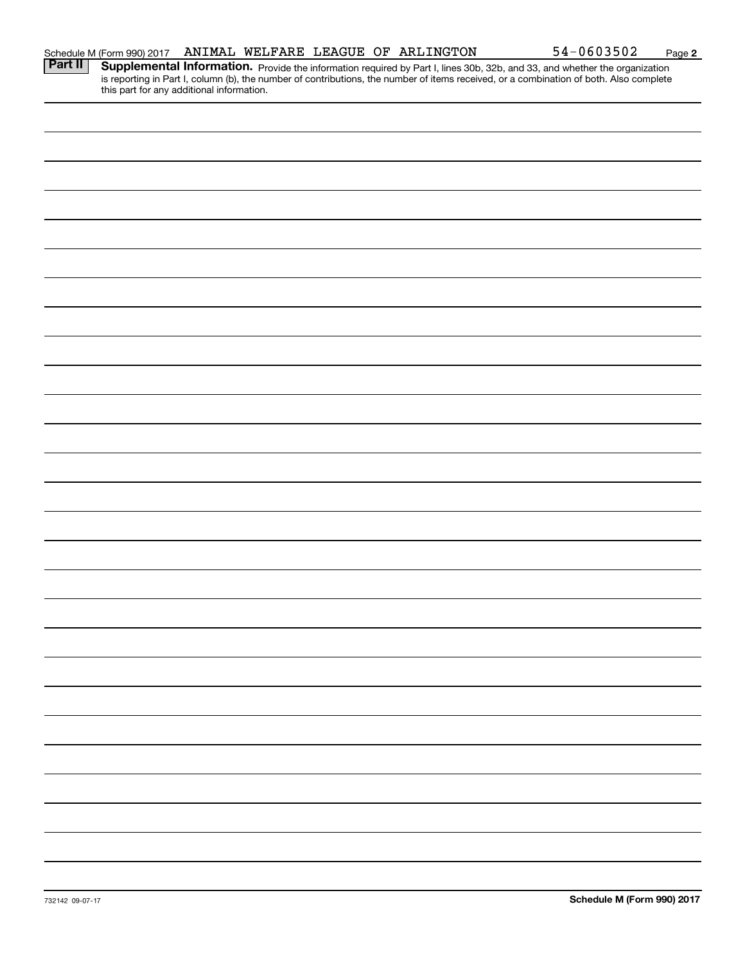| Schedule M (Form 990) 2017<br><b>Part II</b> Supplementa | ANIMAL WELFARE LEAGUE OF ARLINGTON |  |  | $54 - 0603502$                                                                                                                                                                                                                      | Page 2 |
|----------------------------------------------------------|------------------------------------|--|--|-------------------------------------------------------------------------------------------------------------------------------------------------------------------------------------------------------------------------------------|--------|
|                                                          |                                    |  |  | <b>Supplemental Information.</b> Provide the information required by Part I, lines 30b, 32b, and 33, and whether the organization is reporting in Part I, column (b), the number of contributions, the number of items received, or |        |
| this part for any additional information.                |                                    |  |  |                                                                                                                                                                                                                                     |        |
|                                                          |                                    |  |  |                                                                                                                                                                                                                                     |        |
|                                                          |                                    |  |  |                                                                                                                                                                                                                                     |        |
|                                                          |                                    |  |  |                                                                                                                                                                                                                                     |        |
|                                                          |                                    |  |  |                                                                                                                                                                                                                                     |        |
|                                                          |                                    |  |  |                                                                                                                                                                                                                                     |        |
|                                                          |                                    |  |  |                                                                                                                                                                                                                                     |        |
|                                                          |                                    |  |  |                                                                                                                                                                                                                                     |        |
|                                                          |                                    |  |  |                                                                                                                                                                                                                                     |        |
|                                                          |                                    |  |  |                                                                                                                                                                                                                                     |        |
|                                                          |                                    |  |  |                                                                                                                                                                                                                                     |        |
|                                                          |                                    |  |  |                                                                                                                                                                                                                                     |        |
|                                                          |                                    |  |  |                                                                                                                                                                                                                                     |        |
|                                                          |                                    |  |  |                                                                                                                                                                                                                                     |        |
|                                                          |                                    |  |  |                                                                                                                                                                                                                                     |        |
|                                                          |                                    |  |  |                                                                                                                                                                                                                                     |        |
|                                                          |                                    |  |  |                                                                                                                                                                                                                                     |        |
|                                                          |                                    |  |  |                                                                                                                                                                                                                                     |        |
|                                                          |                                    |  |  |                                                                                                                                                                                                                                     |        |
|                                                          |                                    |  |  |                                                                                                                                                                                                                                     |        |
|                                                          |                                    |  |  |                                                                                                                                                                                                                                     |        |
|                                                          |                                    |  |  |                                                                                                                                                                                                                                     |        |
|                                                          |                                    |  |  |                                                                                                                                                                                                                                     |        |
|                                                          |                                    |  |  |                                                                                                                                                                                                                                     |        |
|                                                          |                                    |  |  |                                                                                                                                                                                                                                     |        |
|                                                          |                                    |  |  |                                                                                                                                                                                                                                     |        |
|                                                          |                                    |  |  |                                                                                                                                                                                                                                     |        |
|                                                          |                                    |  |  |                                                                                                                                                                                                                                     |        |
|                                                          |                                    |  |  |                                                                                                                                                                                                                                     |        |
|                                                          |                                    |  |  |                                                                                                                                                                                                                                     |        |
|                                                          |                                    |  |  |                                                                                                                                                                                                                                     |        |
|                                                          |                                    |  |  |                                                                                                                                                                                                                                     |        |
|                                                          |                                    |  |  |                                                                                                                                                                                                                                     |        |
|                                                          |                                    |  |  |                                                                                                                                                                                                                                     |        |
|                                                          |                                    |  |  |                                                                                                                                                                                                                                     |        |
|                                                          |                                    |  |  |                                                                                                                                                                                                                                     |        |
|                                                          |                                    |  |  |                                                                                                                                                                                                                                     |        |
|                                                          |                                    |  |  |                                                                                                                                                                                                                                     |        |
|                                                          |                                    |  |  |                                                                                                                                                                                                                                     |        |
|                                                          |                                    |  |  |                                                                                                                                                                                                                                     |        |
|                                                          |                                    |  |  |                                                                                                                                                                                                                                     |        |
|                                                          |                                    |  |  |                                                                                                                                                                                                                                     |        |
|                                                          |                                    |  |  |                                                                                                                                                                                                                                     |        |
|                                                          |                                    |  |  |                                                                                                                                                                                                                                     |        |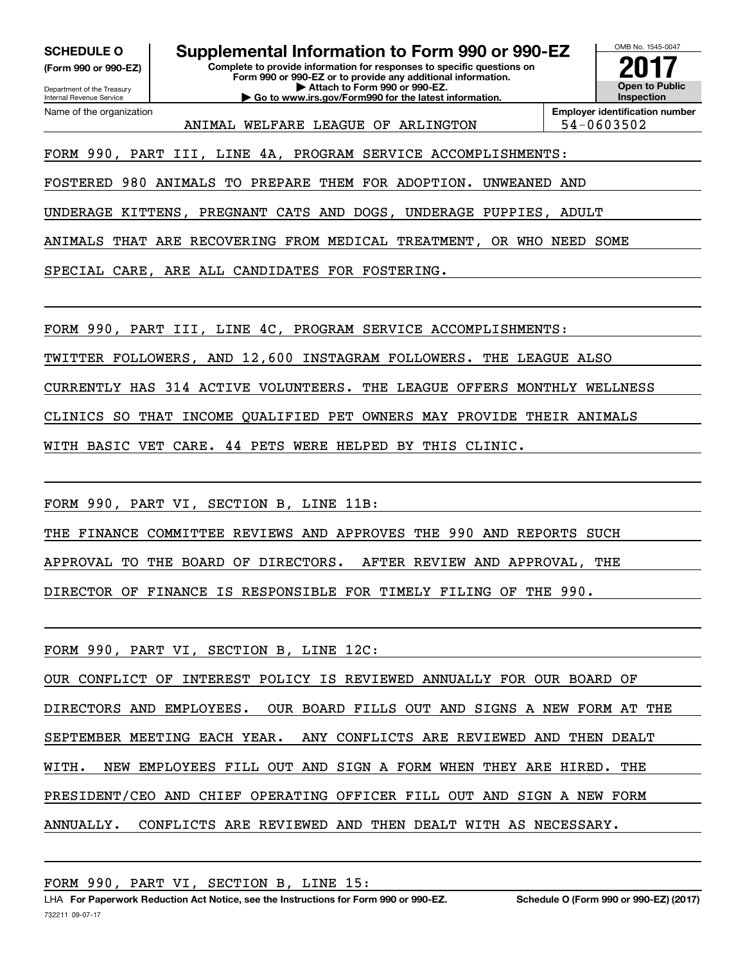**(Form 990 or 990-EZ) SCHEDULE O Supplemental Information to Form 990 or 990-EZ**

Department of the Treasury Internal Revenue Service

Name of the organization

**Complete to provide information for responses to specific questions on Form 990 or 990-EZ or to provide any additional information. | Attach to Form 990 or 990-EZ. | Go to www.irs.gov/Form990 for the latest information.**



ANIMAL WELFARE LEAGUE OF ARLINGTON 194-0603502

FORM 990, PART III, LINE 4A, PROGRAM SERVICE ACCOMPLISHMENTS:

FOSTERED 980 ANIMALS TO PREPARE THEM FOR ADOPTION. UNWEANED AND

UNDERAGE KITTENS, PREGNANT CATS AND DOGS, UNDERAGE PUPPIES, ADULT

ANIMALS THAT ARE RECOVERING FROM MEDICAL TREATMENT, OR WHO NEED SOME

SPECIAL CARE, ARE ALL CANDIDATES FOR FOSTERING.

FORM 990, PART III, LINE 4C, PROGRAM SERVICE ACCOMPLISHMENTS:

TWITTER FOLLOWERS, AND 12,600 INSTAGRAM FOLLOWERS. THE LEAGUE ALSO

CURRENTLY HAS 314 ACTIVE VOLUNTEERS. THE LEAGUE OFFERS MONTHLY WELLNESS

CLINICS SO THAT INCOME QUALIFIED PET OWNERS MAY PROVIDE THEIR ANIMALS

WITH BASIC VET CARE. 44 PETS WERE HELPED BY THIS CLINIC.

FORM 990, PART VI, SECTION B, LINE 11B:

THE FINANCE COMMITTEE REVIEWS AND APPROVES THE 990 AND REPORTS SUCH

APPROVAL TO THE BOARD OF DIRECTORS. AFTER REVIEW AND APPROVAL, THE

DIRECTOR OF FINANCE IS RESPONSIBLE FOR TIMELY FILING OF THE 990.

FORM 990, PART VI, SECTION B, LINE 12C:

OUR CONFLICT OF INTEREST POLICY IS REVIEWED ANNUALLY FOR OUR BOARD OF DIRECTORS AND EMPLOYEES. OUR BOARD FILLS OUT AND SIGNS A NEW FORM AT THE SEPTEMBER MEETING EACH YEAR. ANY CONFLICTS ARE REVIEWED AND THEN DEALT WITH. NEW EMPLOYEES FILL OUT AND SIGN A FORM WHEN THEY ARE HIRED. THE PRESIDENT/CEO AND CHIEF OPERATING OFFICER FILL OUT AND SIGN A NEW FORM ANNUALLY. CONFLICTS ARE REVIEWED AND THEN DEALT WITH AS NECESSARY.